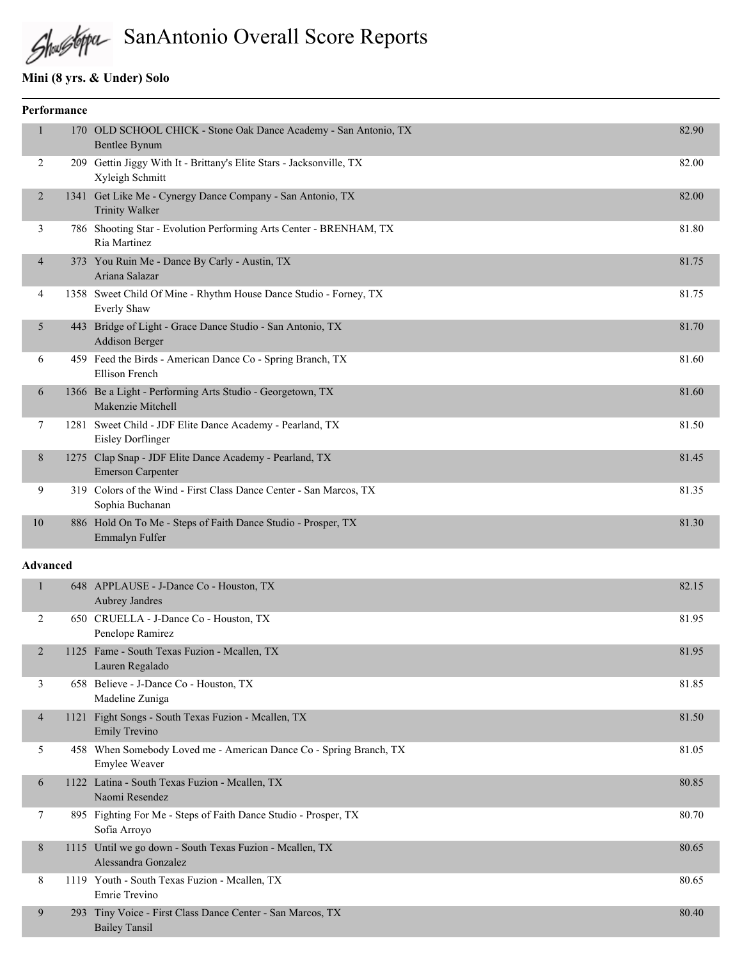# Shallsbypa SanAntonio Overall Score Reports

# **Mini (8 yrs. & Under) Solo**

|                | Performance |                                                                                         |       |
|----------------|-------------|-----------------------------------------------------------------------------------------|-------|
|                | 170         | OLD SCHOOL CHICK - Stone Oak Dance Academy - San Antonio, TX<br><b>Bentlee Bynum</b>    | 82.90 |
| 2              | 209         | Gettin Jiggy With It - Brittany's Elite Stars - Jacksonville, TX<br>Xyleigh Schmitt     | 82.00 |
| 2              |             | 1341 Get Like Me - Cynergy Dance Company - San Antonio, TX<br><b>Trinity Walker</b>     | 82.00 |
| 3              |             | 786 Shooting Star - Evolution Performing Arts Center - BRENHAM, TX<br>Ria Martinez      | 81.80 |
| $\overline{4}$ |             | 373 You Ruin Me - Dance By Carly - Austin, TX<br>Ariana Salazar                         | 81.75 |
| 4              |             | 1358 Sweet Child Of Mine - Rhythm House Dance Studio - Forney, TX<br><b>Everly Shaw</b> | 81.75 |
| 5              | 443         | Bridge of Light - Grace Dance Studio - San Antonio, TX<br><b>Addison Berger</b>         | 81.70 |
| 6              |             | 459 Feed the Birds - American Dance Co - Spring Branch, TX<br><b>Ellison French</b>     | 81.60 |
| 6              |             | 1366 Be a Light - Performing Arts Studio - Georgetown, TX<br>Makenzie Mitchell          | 81.60 |
| 7              |             | 1281 Sweet Child - JDF Elite Dance Academy - Pearland, TX<br><b>Eisley Dorflinger</b>   | 81.50 |
| 8              | 1275        | Clap Snap - JDF Elite Dance Academy - Pearland, TX<br><b>Emerson Carpenter</b>          | 81.45 |
| 9              |             | 319 Colors of the Wind - First Class Dance Center - San Marcos, TX<br>Sophia Buchanan   | 81.35 |
| 10             |             | 886 Hold On To Me - Steps of Faith Dance Studio - Prosper, TX<br>Emmalyn Fulfer         | 81.30 |

|                |            | 648 APPLAUSE - J-Dance Co - Houston, TX<br>Aubrey Jandres                                  | 82.15 |
|----------------|------------|--------------------------------------------------------------------------------------------|-------|
| 2              |            | 650 CRUELLA - J-Dance Co - Houston, TX<br>Penelope Ramirez                                 | 81.95 |
| $\overline{2}$ |            | 1125 Fame - South Texas Fuzion - Mcallen, TX<br>Lauren Regalado                            | 81.95 |
| 3              | 658        | Believe - J-Dance Co - Houston, TX<br>Madeline Zuniga                                      | 81.85 |
| $\overline{4}$ | 1121       | Fight Songs - South Texas Fuzion - Mcallen, TX<br><b>Emily Trevino</b>                     | 81.50 |
| 5              |            | 458 When Somebody Loved me - American Dance Co - Spring Branch, TX<br><b>Emylee Weaver</b> | 81.05 |
| 6              | 1122       | Latina - South Texas Fuzion - Mcallen, TX<br>Naomi Resendez                                | 80.85 |
| 7              |            | 895 Fighting For Me - Steps of Faith Dance Studio - Prosper, TX<br>Sofia Arroyo            | 80.70 |
| 8              |            | 1115 Until we go down - South Texas Fuzion - Mcallen, TX<br>Alessandra Gonzalez            | 80.65 |
| 8              |            | 1119 Youth - South Texas Fuzion - Mcallen, TX<br>Emrie Trevino                             | 80.65 |
| 9              | <b>293</b> | Tiny Voice - First Class Dance Center - San Marcos, TX<br><b>Bailey Tansil</b>             | 80.40 |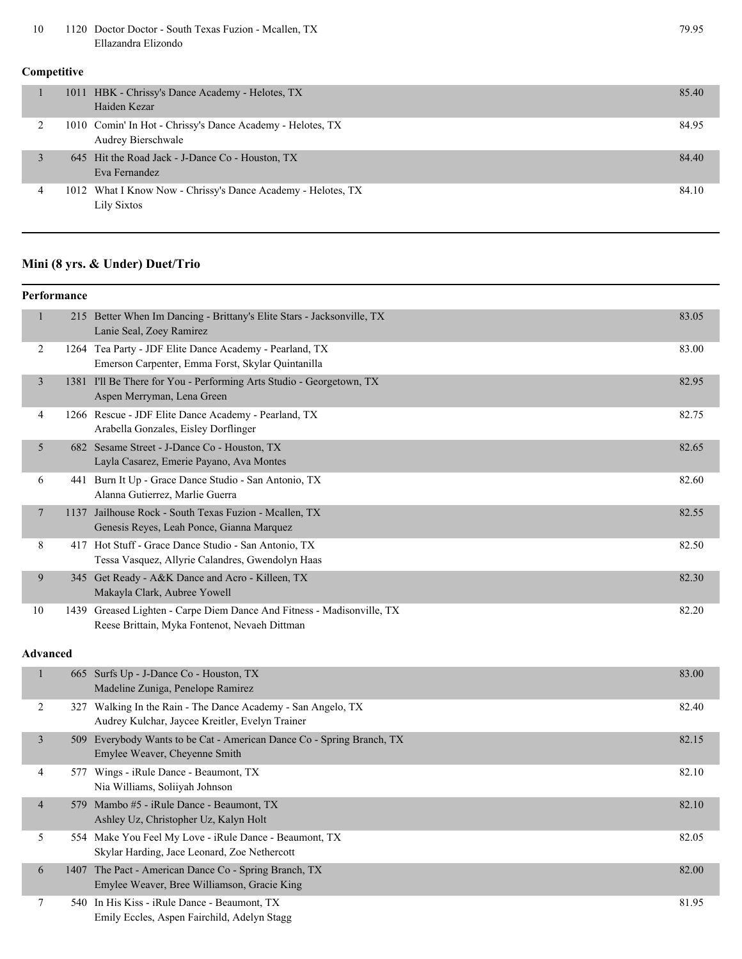10 1120 Doctor Doctor - South Texas Fuzion - Mcallen, TX 79.95 Ellazandra Elizondo

#### **Competitive**

|   | 1011 HBK - Chrissy's Dance Academy - Helotes, TX<br>Haiden Kezar                 | 85.40 |
|---|----------------------------------------------------------------------------------|-------|
|   | 1010 Comin' In Hot - Chrissy's Dance Academy - Helotes, TX<br>Audrey Bierschwale | 84.95 |
|   | 645 Hit the Road Jack - J-Dance Co - Houston, TX<br>Eva Fernandez                | 84.40 |
| 4 | 1012 What I Know Now - Chrissy's Dance Academy - Helotes, TX<br>Lily Sixtos      | 84.10 |

#### **Mini (8 yrs. & Under) Duet/Trio**

#### **Performance** 1 215 Better When Im Dancing - Brittany's Elite Stars - Jacksonville, TX 83.05 Lanie Seal, Zoey Ramirez 2 1264 Tea Party - JDF Elite Dance Academy - Pearland, TX 83.00 Emerson Carpenter, Emma Forst, Skylar Quintanilla 3 1381 I'll Be There for You - Performing Arts Studio - Georgetown, TX 82.95 Aspen Merryman, Lena Green 4 1266 Rescue - JDF Elite Dance Academy - Pearland, TX 82.75 Arabella Gonzales, Eisley Dorflinger 5 682 Sesame Street - J-Dance Co - Houston, TX 82.65 Layla Casarez, Emerie Payano, Ava Montes 6 441 Burn It Up - Grace Dance Studio - San Antonio, TX 82.60 Alanna Gutierrez, Marlie Guerra 7 1137 Jailhouse Rock - South Texas Fuzion - Mcallen, TX 82.55 Genesis Reyes, Leah Ponce, Gianna Marquez 8 417 Hot Stuff - Grace Dance Studio - San Antonio, TX 82.50 Tessa Vasquez, Allyrie Calandres, Gwendolyn Haas 9 345 Get Ready - A&K Dance and Acro - Killeen, TX 82.30 Makayla Clark, Aubree Yowell 10 1439 Greased Lighten - Carpe Diem Dance And Fitness - Madisonville, TX 82.20 Reese Brittain, Myka Fontenot, Nevaeh Dittman

|                | 665 Surfs Up - J-Dance Co - Houston, TX<br>Madeline Zuniga, Penelope Ramirez                                    | 83.00 |
|----------------|-----------------------------------------------------------------------------------------------------------------|-------|
| 2              | 327 Walking In the Rain - The Dance Academy - San Angelo, TX<br>Audrey Kulchar, Jaycee Kreitler, Evelyn Trainer | 82.40 |
| 3              | 509 Everybody Wants to be Cat - American Dance Co - Spring Branch, TX<br>Emylee Weaver, Cheyenne Smith          | 82.15 |
| 4              | 577 Wings - iRule Dance - Beaumont, TX<br>Nia Williams, Soliiyah Johnson                                        | 82.10 |
| $\overline{4}$ | 579 Mambo #5 - iRule Dance - Beaumont, TX<br>Ashley Uz, Christopher Uz, Kalyn Holt                              | 82.10 |
| 5              | 554 Make You Feel My Love - iRule Dance - Beaumont, TX<br>Skylar Harding, Jace Leonard, Zoe Nethercott          | 82.05 |
| 6              | 1407 The Pact - American Dance Co - Spring Branch, TX<br>Emylee Weaver, Bree Williamson, Gracie King            | 82.00 |
| 7              | 540 In His Kiss - iRule Dance - Beaumont, TX<br>Emily Eccles, Aspen Fairchild, Adelyn Stagg                     | 81.95 |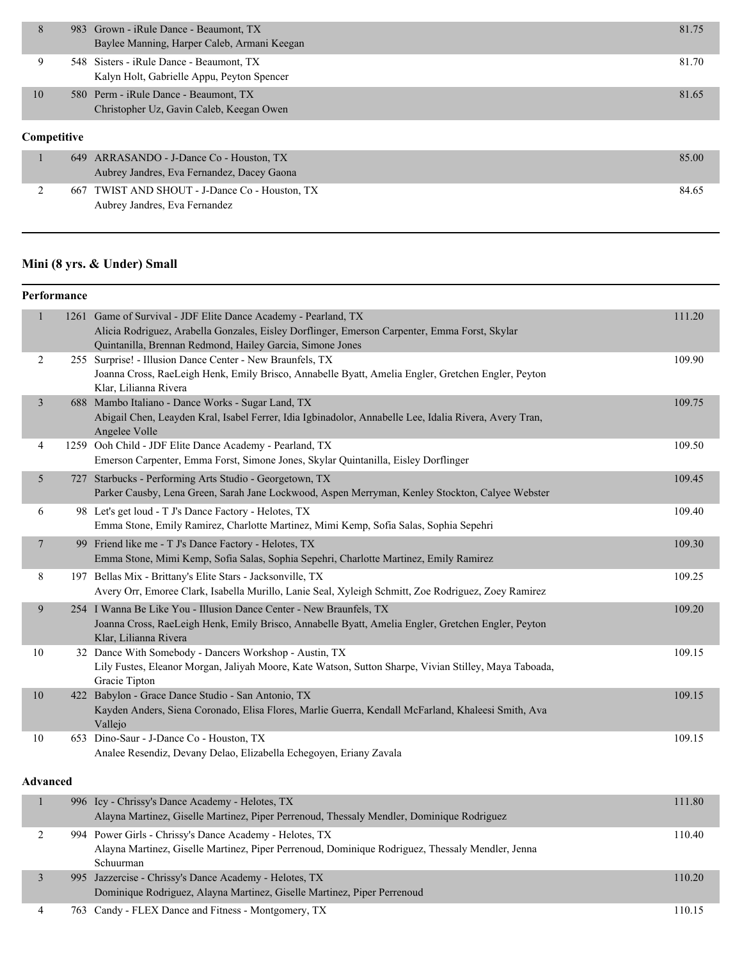|    |             | 983 Grown - iRule Dance - Beaumont, TX<br>Baylee Manning, Harper Caleb, Armani Keegan  | 81.75 |  |
|----|-------------|----------------------------------------------------------------------------------------|-------|--|
|    |             | 548 Sisters - iRule Dance - Beaumont, TX<br>Kalyn Holt, Gabrielle Appu, Peyton Spencer | 81.70 |  |
| 10 |             | 580 Perm - iRule Dance - Beaumont, TX<br>Christopher Uz, Gavin Caleb, Keegan Owen      | 81.65 |  |
|    | Competitive |                                                                                        |       |  |

| 649 ARRASANDO - J-Dance Co - Houston, TX       | 85.00 |
|------------------------------------------------|-------|
| Aubrey Jandres, Eva Fernandez, Dacey Gaona     |       |
| 667 TWIST AND SHOUT - J-Dance Co - Houston, TX | 84.65 |
| Aubrey Jandres, Eva Fernandez                  |       |

# **Mini (8 yrs. & Under) Small**

| Performance  |                                                                                                                                                                                                                              |        |
|--------------|------------------------------------------------------------------------------------------------------------------------------------------------------------------------------------------------------------------------------|--------|
|              | 1261 Game of Survival - JDF Elite Dance Academy - Pearland, TX<br>Alicia Rodriguez, Arabella Gonzales, Eisley Dorflinger, Emerson Carpenter, Emma Forst, Skylar<br>Quintanilla, Brennan Redmond, Hailey Garcia, Simone Jones | 111.20 |
| 2            | 255 Surprise! - Illusion Dance Center - New Braunfels, TX<br>Joanna Cross, RaeLeigh Henk, Emily Brisco, Annabelle Byatt, Amelia Engler, Gretchen Engler, Peyton<br>Klar, Lilianna Rivera                                     | 109.90 |
| 3            | 688 Mambo Italiano - Dance Works - Sugar Land, TX<br>Abigail Chen, Leayden Kral, Isabel Ferrer, Idia Igbinadolor, Annabelle Lee, Idalia Rivera, Avery Tran,<br>Angelee Volle                                                 | 109.75 |
| 4            | 1259 Ooh Child - JDF Elite Dance Academy - Pearland, TX<br>Emerson Carpenter, Emma Forst, Simone Jones, Skylar Quintanilla, Eisley Dorflinger                                                                                | 109.50 |
| 5            | 727 Starbucks - Performing Arts Studio - Georgetown, TX<br>Parker Causby, Lena Green, Sarah Jane Lockwood, Aspen Merryman, Kenley Stockton, Calyee Webster                                                                   | 109.45 |
| 6            | 98 Let's get loud - T J's Dance Factory - Helotes, TX<br>Emma Stone, Emily Ramirez, Charlotte Martinez, Mimi Kemp, Sofia Salas, Sophia Sepehri                                                                               | 109.40 |
| 7            | 99 Friend like me - T J's Dance Factory - Helotes, TX<br>Emma Stone, Mimi Kemp, Sofia Salas, Sophia Sepehri, Charlotte Martinez, Emily Ramirez                                                                               | 109.30 |
| 8            | 197 Bellas Mix - Brittany's Elite Stars - Jacksonville, TX<br>Avery Orr, Emoree Clark, Isabella Murillo, Lanie Seal, Xyleigh Schmitt, Zoe Rodriguez, Zoey Ramirez                                                            | 109.25 |
| 9            | 254 I Wanna Be Like You - Illusion Dance Center - New Braunfels, TX<br>Joanna Cross, RaeLeigh Henk, Emily Brisco, Annabelle Byatt, Amelia Engler, Gretchen Engler, Peyton<br>Klar, Lilianna Rivera                           | 109.20 |
| 10           | 32 Dance With Somebody - Dancers Workshop - Austin, TX<br>Lily Fustes, Eleanor Morgan, Jaliyah Moore, Kate Watson, Sutton Sharpe, Vivian Stilley, Maya Taboada,<br>Gracie Tipton                                             | 109.15 |
| 10           | 422 Babylon - Grace Dance Studio - San Antonio, TX<br>Kayden Anders, Siena Coronado, Elisa Flores, Marlie Guerra, Kendall McFarland, Khaleesi Smith, Ava<br>Vallejo                                                          | 109.15 |
| 10           | 653 Dino-Saur - J-Dance Co - Houston, TX<br>Analee Resendiz, Devany Delao, Elizabella Echegoyen, Eriany Zavala                                                                                                               | 109.15 |
| Advanced     |                                                                                                                                                                                                                              |        |
| $\mathbf{1}$ | 996 Icy - Chrissy's Dance Academy - Helotes, TX<br>$\mathbf{M}$ $\mathbf{C}$ $\mathbf{H}$ $\mathbf{M}$ $\mathbf{C}$ $\mathbf{D}$ $\mathbf{D}$                                                                                | 111.80 |
|              |                                                                                                                                                                                                                              |        |

|  | Alayna Martinez, Giselle Martinez, Piper Perrenoud, Thessaly Mendler, Dominique Rodriguez        |        |
|--|--------------------------------------------------------------------------------------------------|--------|
|  | 994 Power Girls - Chrissy's Dance Academy - Helotes, TX                                          | 110.40 |
|  | Alayna Martinez, Giselle Martinez, Piper Perrenoud, Dominique Rodriguez, Thessaly Mendler, Jenna |        |
|  | Schuurman                                                                                        |        |
|  | 995 Jazzercise - Chrissy's Dance Academy - Helotes, TX                                           | 110.20 |
|  | Dominique Rodriguez, Alayna Martinez, Giselle Martinez, Piper Perrenoud                          |        |
|  | 763 Candy - FLEX Dance and Fitness - Montgomery, TX                                              | 110.15 |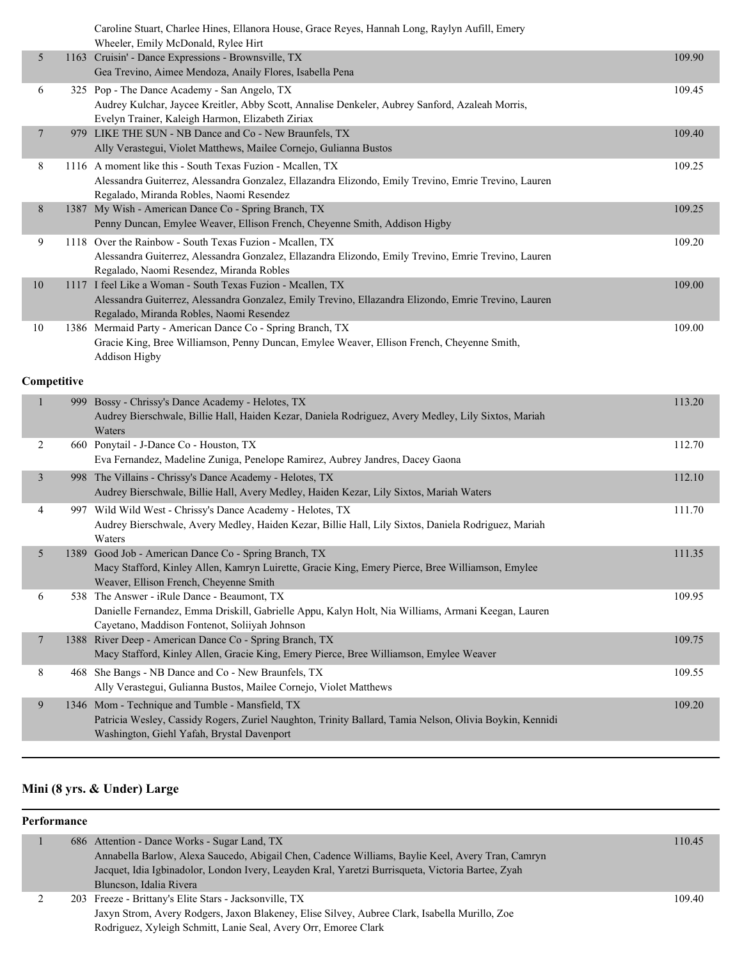|                | Caroline Stuart, Charlee Hines, Ellanora House, Grace Reyes, Hannah Long, Raylyn Aufill, Emery<br>Wheeler, Emily McDonald, Rylee Hirt                                                                           |        |
|----------------|-----------------------------------------------------------------------------------------------------------------------------------------------------------------------------------------------------------------|--------|
| 5              | 1163 Cruisin' - Dance Expressions - Brownsville, TX<br>Gea Trevino, Aimee Mendoza, Anaily Flores, Isabella Pena                                                                                                 | 109.90 |
| 6              | 325 Pop - The Dance Academy - San Angelo, TX<br>Audrey Kulchar, Jaycee Kreitler, Abby Scott, Annalise Denkeler, Aubrey Sanford, Azaleah Morris,<br>Evelyn Trainer, Kaleigh Harmon, Elizabeth Ziriax             | 109.45 |
| 7              | 979 LIKE THE SUN - NB Dance and Co - New Braunfels, TX<br>Ally Verastegui, Violet Matthews, Mailee Cornejo, Gulianna Bustos                                                                                     | 109.40 |
| 8              | 1116 A moment like this - South Texas Fuzion - Mcallen, TX<br>Alessandra Guiterrez, Alessandra Gonzalez, Ellazandra Elizondo, Emily Trevino, Emrie Trevino, Lauren<br>Regalado, Miranda Robles, Naomi Resendez  | 109.25 |
| 8              | 1387 My Wish - American Dance Co - Spring Branch, TX<br>Penny Duncan, Emylee Weaver, Ellison French, Cheyenne Smith, Addison Higby                                                                              | 109.25 |
| 9              | 1118 Over the Rainbow - South Texas Fuzion - Mcallen, TX<br>Alessandra Guiterrez, Alessandra Gonzalez, Ellazandra Elizondo, Emily Trevino, Emrie Trevino, Lauren<br>Regalado, Naomi Resendez, Miranda Robles    | 109.20 |
| $10\,$         | 1117 I feel Like a Woman - South Texas Fuzion - Mcallen, TX<br>Alessandra Guiterrez, Alessandra Gonzalez, Emily Trevino, Ellazandra Elizondo, Emrie Trevino, Lauren<br>Regalado, Miranda Robles, Naomi Resendez | 109.00 |
| 10             | 1386 Mermaid Party - American Dance Co - Spring Branch, TX<br>Gracie King, Bree Williamson, Penny Duncan, Emylee Weaver, Ellison French, Cheyenne Smith,<br>Addison Higby                                       | 109.00 |
| Competitive    |                                                                                                                                                                                                                 |        |
| $\mathbf{1}$   | 999 Bossy - Chrissy's Dance Academy - Helotes, TX<br>Audrey Bierschwale, Billie Hall, Haiden Kezar, Daniela Rodriguez, Avery Medley, Lily Sixtos, Mariah<br>Waters                                              | 113.20 |
| 2              | 660 Ponytail - J-Dance Co - Houston, TX<br>Eva Fernandez, Madeline Zuniga, Penelope Ramirez, Aubrey Jandres, Dacey Gaona                                                                                        | 112.70 |
| 3              | 998 The Villains - Chrissy's Dance Academy - Helotes, TX<br>Audrey Bierschwale, Billie Hall, Avery Medley, Haiden Kezar, Lily Sixtos, Mariah Waters                                                             | 112.10 |
| 4              | 997 Wild Wild West - Chrissy's Dance Academy - Helotes, TX<br>Audrey Bierschwale, Avery Medley, Haiden Kezar, Billie Hall, Lily Sixtos, Daniela Rodriguez, Mariah<br>Waters                                     | 111.70 |
| 5              | 1389 Good Job - American Dance Co - Spring Branch, TX<br>Macy Stafford, Kinley Allen, Kamryn Luirette, Gracie King, Emery Pierce, Bree Williamson, Emylee<br>Weaver, Ellison French, Cheyenne Smith             | 111.35 |
| 6              | 538 The Answer - iRule Dance - Beaumont, TX<br>Danielle Fernandez, Emma Driskill, Gabrielle Appu, Kalyn Holt, Nia Williams, Armani Keegan, Lauren<br>Cayetano, Maddison Fontenot, Soliiyah Johnson              | 109.95 |
| $\overline{7}$ | 1388 River Deep - American Dance Co - Spring Branch, TX<br>Macy Stafford, Kinley Allen, Gracie King, Emery Pierce, Bree Williamson, Emylee Weaver                                                               | 109.75 |
| 8              | 468 She Bangs - NB Dance and Co - New Braunfels, TX<br>Ally Verastegui, Gulianna Bustos, Mailee Cornejo, Violet Matthews                                                                                        | 109.55 |
| 9              | 1346 Mom - Technique and Tumble - Mansfield, TX<br>Patricia Wesley, Cassidy Rogers, Zuriel Naughton, Trinity Ballard, Tamia Nelson, Olivia Boykin, Kennidi<br>Washington, Giehl Yafah, Brystal Davenport        | 109.20 |
|                |                                                                                                                                                                                                                 |        |

# **Mini (8 yrs. & Under) Large**

#### **Performance**

|  | 686 Attention - Dance Works - Sugar Land, TX<br>Annabella Barlow, Alexa Saucedo, Abigail Chen, Cadence Williams, Baylie Keel, Avery Tran, Camryn<br>Jacquet, Idia Igbinadolor, London Ivery, Leayden Kral, Yaretzi Burrisqueta, Victoria Bartee, Zyah<br>Bluncson, Idalia Rivera | 110.45 |
|--|----------------------------------------------------------------------------------------------------------------------------------------------------------------------------------------------------------------------------------------------------------------------------------|--------|
|  | 203 Freeze - Brittany's Elite Stars - Jacksonville, TX<br>Jaxyn Strom, Avery Rodgers, Jaxon Blakeney, Elise Silvey, Aubree Clark, Isabella Murillo, Zoe<br>Rodriguez, Xyleigh Schmitt, Lanie Seal, Avery Orr, Emoree Clark                                                       | 109.40 |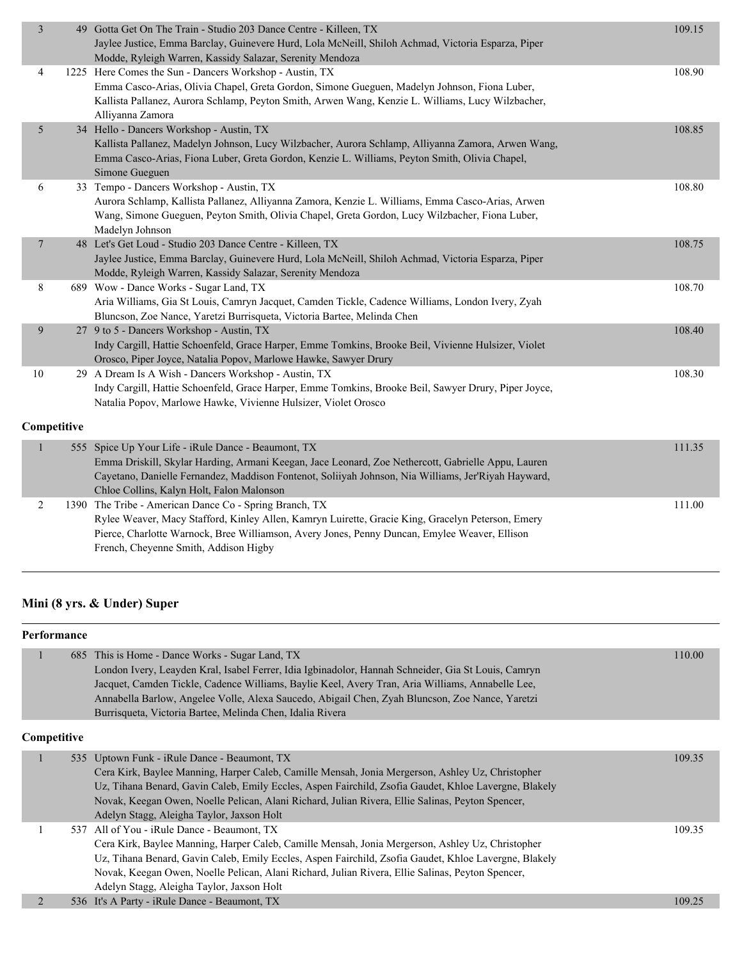| $\mathfrak{Z}$<br>109.15<br>49 Gotta Get On The Train - Studio 203 Dance Centre - Killeen, TX<br>Jaylee Justice, Emma Barclay, Guinevere Hurd, Lola McNeill, Shiloh Achmad, Victoria Esparza, Piper<br>Modde, Ryleigh Warren, Kassidy Salazar, Serenity Mendoza<br>108.90<br>1225 Here Comes the Sun - Dancers Workshop - Austin, TX<br>4<br>Emma Casco-Arias, Olivia Chapel, Greta Gordon, Simone Gueguen, Madelyn Johnson, Fiona Luber,<br>Kallista Pallanez, Aurora Schlamp, Peyton Smith, Arwen Wang, Kenzie L. Williams, Lucy Wilzbacher,<br>Alliyanna Zamora<br>34 Hello - Dancers Workshop - Austin, TX<br>5<br>108.85<br>Kallista Pallanez, Madelyn Johnson, Lucy Wilzbacher, Aurora Schlamp, Alliyanna Zamora, Arwen Wang,<br>Emma Casco-Arias, Fiona Luber, Greta Gordon, Kenzie L. Williams, Peyton Smith, Olivia Chapel,<br>Simone Gueguen<br>33 Tempo - Dancers Workshop - Austin, TX<br>108.80<br>6<br>Aurora Schlamp, Kallista Pallanez, Alliyanna Zamora, Kenzie L. Williams, Emma Casco-Arias, Arwen<br>Wang, Simone Gueguen, Peyton Smith, Olivia Chapel, Greta Gordon, Lucy Wilzbacher, Fiona Luber,<br>Madelyn Johnson<br>$\overline{7}$<br>48 Let's Get Loud - Studio 203 Dance Centre - Killeen, TX<br>108.75<br>Jaylee Justice, Emma Barclay, Guinevere Hurd, Lola McNeill, Shiloh Achmad, Victoria Esparza, Piper<br>Modde, Ryleigh Warren, Kassidy Salazar, Serenity Mendoza<br>8<br>689 Wow - Dance Works - Sugar Land, TX<br>108.70<br>Aria Williams, Gia St Louis, Camryn Jacquet, Camden Tickle, Cadence Williams, London Ivery, Zyah<br>Bluncson, Zoe Nance, Yaretzi Burrisqueta, Victoria Bartee, Melinda Chen<br>27 9 to 5 - Dancers Workshop - Austin, TX<br>9<br>108.40<br>Indy Cargill, Hattie Schoenfeld, Grace Harper, Emme Tomkins, Brooke Beil, Vivienne Hulsizer, Violet<br>Orosco, Piper Joyce, Natalia Popov, Marlowe Hawke, Sawyer Drury<br>29 A Dream Is A Wish - Dancers Workshop - Austin, TX<br>108.30<br>10<br>Indy Cargill, Hattie Schoenfeld, Grace Harper, Emme Tomkins, Brooke Beil, Sawyer Drury, Piper Joyce,<br>Natalia Popov, Marlowe Hawke, Vivienne Hulsizer, Violet Orosco<br>Competitive<br>$\mathbf{1}$<br>111.35<br>555 Spice Up Your Life - iRule Dance - Beaumont, TX<br>Emma Driskill, Skylar Harding, Armani Keegan, Jace Leonard, Zoe Nethercott, Gabrielle Appu, Lauren<br>Cayetano, Danielle Fernandez, Maddison Fontenot, Soliiyah Johnson, Nia Williams, Jer'Riyah Hayward,<br>Chloe Collins, Kalyn Holt, Falon Malonson<br>1390 The Tribe - American Dance Co - Spring Branch, TX<br>$\overline{c}$<br>111.00<br>Rylee Weaver, Macy Stafford, Kinley Allen, Kamryn Luirette, Gracie King, Gracelyn Peterson, Emery<br>Pierce, Charlotte Warnock, Bree Williamson, Avery Jones, Penny Duncan, Emylee Weaver, Ellison<br>French, Cheyenne Smith, Addison Higby |  |  |
|--------------------------------------------------------------------------------------------------------------------------------------------------------------------------------------------------------------------------------------------------------------------------------------------------------------------------------------------------------------------------------------------------------------------------------------------------------------------------------------------------------------------------------------------------------------------------------------------------------------------------------------------------------------------------------------------------------------------------------------------------------------------------------------------------------------------------------------------------------------------------------------------------------------------------------------------------------------------------------------------------------------------------------------------------------------------------------------------------------------------------------------------------------------------------------------------------------------------------------------------------------------------------------------------------------------------------------------------------------------------------------------------------------------------------------------------------------------------------------------------------------------------------------------------------------------------------------------------------------------------------------------------------------------------------------------------------------------------------------------------------------------------------------------------------------------------------------------------------------------------------------------------------------------------------------------------------------------------------------------------------------------------------------------------------------------------------------------------------------------------------------------------------------------------------------------------------------------------------------------------------------------------------------------------------------------------------------------------------------------------------------------------------------------------------------------------------------------------------------------------------------------------------------------------------------------------------------------------------------------------------------------------------------------------------------------------------------------------------------------------------------------------------------------------------------------------------------------|--|--|
|                                                                                                                                                                                                                                                                                                                                                                                                                                                                                                                                                                                                                                                                                                                                                                                                                                                                                                                                                                                                                                                                                                                                                                                                                                                                                                                                                                                                                                                                                                                                                                                                                                                                                                                                                                                                                                                                                                                                                                                                                                                                                                                                                                                                                                                                                                                                                                                                                                                                                                                                                                                                                                                                                                                                                                                                                                      |  |  |
|                                                                                                                                                                                                                                                                                                                                                                                                                                                                                                                                                                                                                                                                                                                                                                                                                                                                                                                                                                                                                                                                                                                                                                                                                                                                                                                                                                                                                                                                                                                                                                                                                                                                                                                                                                                                                                                                                                                                                                                                                                                                                                                                                                                                                                                                                                                                                                                                                                                                                                                                                                                                                                                                                                                                                                                                                                      |  |  |
|                                                                                                                                                                                                                                                                                                                                                                                                                                                                                                                                                                                                                                                                                                                                                                                                                                                                                                                                                                                                                                                                                                                                                                                                                                                                                                                                                                                                                                                                                                                                                                                                                                                                                                                                                                                                                                                                                                                                                                                                                                                                                                                                                                                                                                                                                                                                                                                                                                                                                                                                                                                                                                                                                                                                                                                                                                      |  |  |
|                                                                                                                                                                                                                                                                                                                                                                                                                                                                                                                                                                                                                                                                                                                                                                                                                                                                                                                                                                                                                                                                                                                                                                                                                                                                                                                                                                                                                                                                                                                                                                                                                                                                                                                                                                                                                                                                                                                                                                                                                                                                                                                                                                                                                                                                                                                                                                                                                                                                                                                                                                                                                                                                                                                                                                                                                                      |  |  |
|                                                                                                                                                                                                                                                                                                                                                                                                                                                                                                                                                                                                                                                                                                                                                                                                                                                                                                                                                                                                                                                                                                                                                                                                                                                                                                                                                                                                                                                                                                                                                                                                                                                                                                                                                                                                                                                                                                                                                                                                                                                                                                                                                                                                                                                                                                                                                                                                                                                                                                                                                                                                                                                                                                                                                                                                                                      |  |  |
|                                                                                                                                                                                                                                                                                                                                                                                                                                                                                                                                                                                                                                                                                                                                                                                                                                                                                                                                                                                                                                                                                                                                                                                                                                                                                                                                                                                                                                                                                                                                                                                                                                                                                                                                                                                                                                                                                                                                                                                                                                                                                                                                                                                                                                                                                                                                                                                                                                                                                                                                                                                                                                                                                                                                                                                                                                      |  |  |
|                                                                                                                                                                                                                                                                                                                                                                                                                                                                                                                                                                                                                                                                                                                                                                                                                                                                                                                                                                                                                                                                                                                                                                                                                                                                                                                                                                                                                                                                                                                                                                                                                                                                                                                                                                                                                                                                                                                                                                                                                                                                                                                                                                                                                                                                                                                                                                                                                                                                                                                                                                                                                                                                                                                                                                                                                                      |  |  |
|                                                                                                                                                                                                                                                                                                                                                                                                                                                                                                                                                                                                                                                                                                                                                                                                                                                                                                                                                                                                                                                                                                                                                                                                                                                                                                                                                                                                                                                                                                                                                                                                                                                                                                                                                                                                                                                                                                                                                                                                                                                                                                                                                                                                                                                                                                                                                                                                                                                                                                                                                                                                                                                                                                                                                                                                                                      |  |  |
|                                                                                                                                                                                                                                                                                                                                                                                                                                                                                                                                                                                                                                                                                                                                                                                                                                                                                                                                                                                                                                                                                                                                                                                                                                                                                                                                                                                                                                                                                                                                                                                                                                                                                                                                                                                                                                                                                                                                                                                                                                                                                                                                                                                                                                                                                                                                                                                                                                                                                                                                                                                                                                                                                                                                                                                                                                      |  |  |
|                                                                                                                                                                                                                                                                                                                                                                                                                                                                                                                                                                                                                                                                                                                                                                                                                                                                                                                                                                                                                                                                                                                                                                                                                                                                                                                                                                                                                                                                                                                                                                                                                                                                                                                                                                                                                                                                                                                                                                                                                                                                                                                                                                                                                                                                                                                                                                                                                                                                                                                                                                                                                                                                                                                                                                                                                                      |  |  |
|                                                                                                                                                                                                                                                                                                                                                                                                                                                                                                                                                                                                                                                                                                                                                                                                                                                                                                                                                                                                                                                                                                                                                                                                                                                                                                                                                                                                                                                                                                                                                                                                                                                                                                                                                                                                                                                                                                                                                                                                                                                                                                                                                                                                                                                                                                                                                                                                                                                                                                                                                                                                                                                                                                                                                                                                                                      |  |  |

# **Mini (8 yrs. & Under) Super**

|   | Performance |                                                                                                                                                                                                                                                                                                                                                                                                                        |        |
|---|-------------|------------------------------------------------------------------------------------------------------------------------------------------------------------------------------------------------------------------------------------------------------------------------------------------------------------------------------------------------------------------------------------------------------------------------|--------|
|   | 685         | This is Home - Dance Works - Sugar Land, TX<br>London Ivery, Leayden Kral, Isabel Ferrer, Idia Igbinadolor, Hannah Schneider, Gia St Louis, Camryn<br>Jacquet, Camden Tickle, Cadence Williams, Baylie Keel, Avery Tran, Aria Williams, Annabelle Lee,<br>Annabella Barlow, Angelee Volle, Alexa Saucedo, Abigail Chen, Zyah Bluncson, Zoe Nance, Yaretzi<br>Burrisqueta, Victoria Bartee, Melinda Chen, Idalia Rivera | 110.00 |
|   | Competitive |                                                                                                                                                                                                                                                                                                                                                                                                                        |        |
|   |             | 535 Uptown Funk - iRule Dance - Beaumont, TX<br>Cera Kirk, Baylee Manning, Harper Caleb, Camille Mensah, Jonia Mergerson, Ashley Uz, Christopher<br>Uz, Tihana Benard, Gavin Caleb, Emily Eccles, Aspen Fairchild, Zsofia Gaudet, Khloe Lavergne, Blakely<br>Novak, Keegan Owen, Noelle Pelican, Alani Richard, Julian Rivera, Ellie Salinas, Peyton Spencer,<br>Adelyn Stagg, Aleigha Taylor, Jaxson Holt             | 109.35 |
|   | 537         | All of You - iRule Dance - Beaumont, TX<br>Cera Kirk, Baylee Manning, Harper Caleb, Camille Mensah, Jonia Mergerson, Ashley Uz, Christopher<br>Uz, Tihana Benard, Gavin Caleb, Emily Eccles, Aspen Fairchild, Zsofia Gaudet, Khloe Lavergne, Blakely<br>Novak, Keegan Owen, Noelle Pelican, Alani Richard, Julian Rivera, Ellie Salinas, Peyton Spencer,<br>Adelyn Stagg, Aleigha Taylor, Jaxson Holt                  | 109.35 |
| 2 |             | 536 It's A Party - iRule Dance - Beaumont, TX                                                                                                                                                                                                                                                                                                                                                                          | 109.25 |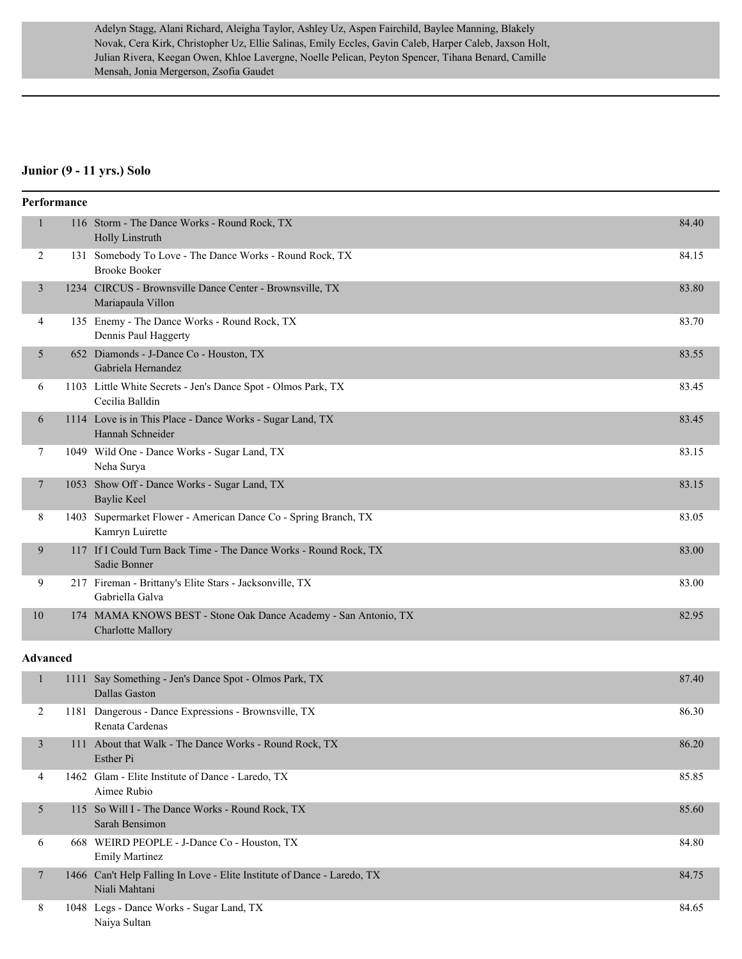Adelyn Stagg, Alani Richard, Aleigha Taylor, Ashley Uz, Aspen Fairchild, Baylee Manning, Blakely Novak, Cera Kirk, Christopher Uz, Ellie Salinas, Emily Eccles, Gavin Caleb, Harper Caleb, Jaxson Holt, Julian Rivera, Keegan Owen, Khloe Lavergne, Noelle Pelican, Peyton Spencer, Tihana Benard, Camille Mensah, Jonia Mergerson, Zsofia Gaudet

#### **Junior (9 - 11 yrs.) Solo**

|                 | Performance |                                                                                             |       |
|-----------------|-------------|---------------------------------------------------------------------------------------------|-------|
| $\mathbf{1}$    |             | 116 Storm - The Dance Works - Round Rock, TX<br>Holly Linstruth                             | 84.40 |
| 2               |             | 131 Somebody To Love - The Dance Works - Round Rock, TX<br><b>Brooke Booker</b>             | 84.15 |
| $\mathfrak{Z}$  |             | 1234 CIRCUS - Brownsville Dance Center - Brownsville, TX<br>Mariapaula Villon               | 83.80 |
| 4               |             | 135 Enemy - The Dance Works - Round Rock, TX<br>Dennis Paul Haggerty                        | 83.70 |
| 5               |             | 652 Diamonds - J-Dance Co - Houston, TX<br>Gabriela Hernandez                               | 83.55 |
| 6               |             | 1103 Little White Secrets - Jen's Dance Spot - Olmos Park, TX<br>Cecilia Balldin            | 83.45 |
| 6               |             | 1114 Love is in This Place - Dance Works - Sugar Land, TX<br>Hannah Schneider               | 83.45 |
| 7               |             | 1049 Wild One - Dance Works - Sugar Land, TX<br>Neha Surya                                  | 83.15 |
| 7               |             | 1053 Show Off - Dance Works - Sugar Land, TX<br><b>Baylie Keel</b>                          | 83.15 |
| 8               |             | 1403 Supermarket Flower - American Dance Co - Spring Branch, TX<br>Kamryn Luirette          | 83.05 |
| 9               |             | 117 If I Could Turn Back Time - The Dance Works - Round Rock, TX<br>Sadie Bonner            | 83.00 |
| 9               |             | 217 Fireman - Brittany's Elite Stars - Jacksonville, TX<br>Gabriella Galva                  | 83.00 |
| 10              |             | 174 MAMA KNOWS BEST - Stone Oak Dance Academy - San Antonio, TX<br><b>Charlotte Mallory</b> | 82.95 |
| <b>Advanced</b> |             |                                                                                             |       |
| $\mathbf{1}$    |             | 1111 Say Something - Jen's Dance Spot - Olmos Park, TX<br>Dallas Gaston                     | 87.40 |
| 2               |             | 1181 Dangerous - Dance Expressions - Brownsville, TX<br>Renata Cardenas                     | 86.30 |
| 3               |             | 111 About that Walk - The Dance Works - Round Rock, TX<br>Esther Pi                         | 86.20 |
| 4               |             | 1462 Glam - Elite Institute of Dance - Laredo, TX<br>Aimee Rubio                            | 85.85 |
| 5               |             | 115 So Will I - The Dance Works - Round Rock, TX<br>Sarah Bensimon                          | 85.60 |
| 6               |             | 668 WEIRD PEOPLE - J-Dance Co - Houston, TX<br><b>Emily Martinez</b>                        | 84.80 |
| $\tau$          |             | 1466 Can't Help Falling In Love - Elite Institute of Dance - Laredo, TX<br>Niali Mahtani    | 84.75 |
| 8               |             | 1048 Legs - Dance Works - Sugar Land, TX<br>Naiya Sultan                                    | 84.65 |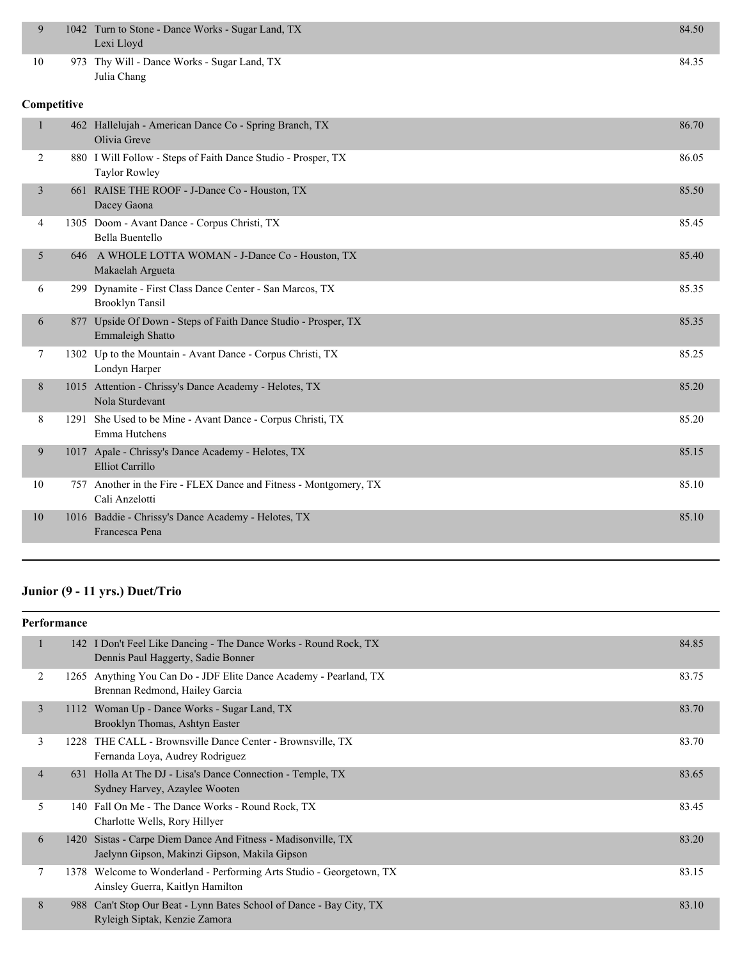| 9              |     | 1042 Turn to Stone - Dance Works - Sugar Land, TX<br>Lexi Lloyd                       | 84.50 |
|----------------|-----|---------------------------------------------------------------------------------------|-------|
| 10             |     | 973 Thy Will - Dance Works - Sugar Land, TX<br>Julia Chang                            | 84.35 |
| Competitive    |     |                                                                                       |       |
| $\mathbf{1}$   |     | 462 Hallelujah - American Dance Co - Spring Branch, TX<br>Olivia Greve                | 86.70 |
| $\overline{2}$ |     | 880 I Will Follow - Steps of Faith Dance Studio - Prosper, TX<br><b>Taylor Rowley</b> | 86.05 |
| $\overline{3}$ |     | 661 RAISE THE ROOF - J-Dance Co - Houston, TX<br>Dacey Gaona                          | 85.50 |
| 4              |     | 1305 Doom - Avant Dance - Corpus Christi, TX<br>Bella Buentello                       | 85.45 |
| 5              |     | 646 A WHOLE LOTTA WOMAN - J-Dance Co - Houston, TX<br>Makaelah Argueta                | 85.40 |
| 6              |     | 299 Dynamite - First Class Dance Center - San Marcos, TX<br><b>Brooklyn Tansil</b>    | 85.35 |
| 6              | 877 | Upside Of Down - Steps of Faith Dance Studio - Prosper, TX<br>Emmaleigh Shatto        | 85.35 |
| 7              |     | 1302 Up to the Mountain - Avant Dance - Corpus Christi, TX<br>Londyn Harper           | 85.25 |
| 8              |     | 1015 Attention - Chrissy's Dance Academy - Helotes, TX<br>Nola Sturdevant             | 85.20 |
| 8              |     | 1291 She Used to be Mine - Avant Dance - Corpus Christi, TX<br>Emma Hutchens          | 85.20 |
| 9              |     | 1017 Apale - Chrissy's Dance Academy - Helotes, TX<br>Elliot Carrillo                 | 85.15 |
| 10             |     | 757 Another in the Fire - FLEX Dance and Fitness - Montgomery, TX<br>Cali Anzelotti   | 85.10 |
| 10             |     | 1016 Baddie - Chrissy's Dance Academy - Helotes, TX<br>Francesca Pena                 | 85.10 |

# **Junior (9 - 11 yrs.) Duet/Trio**

| <b>Performance</b> |      |                                                                                                           |       |
|--------------------|------|-----------------------------------------------------------------------------------------------------------|-------|
| 1                  |      | 142 I Don't Feel Like Dancing - The Dance Works - Round Rock, TX<br>Dennis Paul Haggerty, Sadie Bonner    | 84.85 |
| 2                  |      | 1265 Anything You Can Do - JDF Elite Dance Academy - Pearland, TX<br>Brennan Redmond, Hailey Garcia       | 83.75 |
| 3                  |      | 1112 Woman Up - Dance Works - Sugar Land, TX<br>Brooklyn Thomas, Ashtyn Easter                            | 83.70 |
| 3                  |      | 1228 THE CALL - Brownsville Dance Center - Brownsville, TX<br>Fernanda Loya, Audrey Rodriguez             | 83.70 |
| $\overline{4}$     |      | 631 Holla At The DJ - Lisa's Dance Connection - Temple, TX<br>Sydney Harvey, Azaylee Wooten               | 83.65 |
| 5                  |      | 140 Fall On Me - The Dance Works - Round Rock, TX<br>Charlotte Wells, Rory Hillyer                        | 83.45 |
| 6                  | 1420 | Sistas - Carpe Diem Dance And Fitness - Madisonville, TX<br>Jaelynn Gipson, Makinzi Gipson, Makila Gipson | 83.20 |
| 7                  |      | 1378 Welcome to Wonderland - Performing Arts Studio - Georgetown, TX<br>Ainsley Guerra, Kaitlyn Hamilton  | 83.15 |
| 8                  | 988  | Can't Stop Our Beat - Lynn Bates School of Dance - Bay City, TX<br>Ryleigh Siptak, Kenzie Zamora          | 83.10 |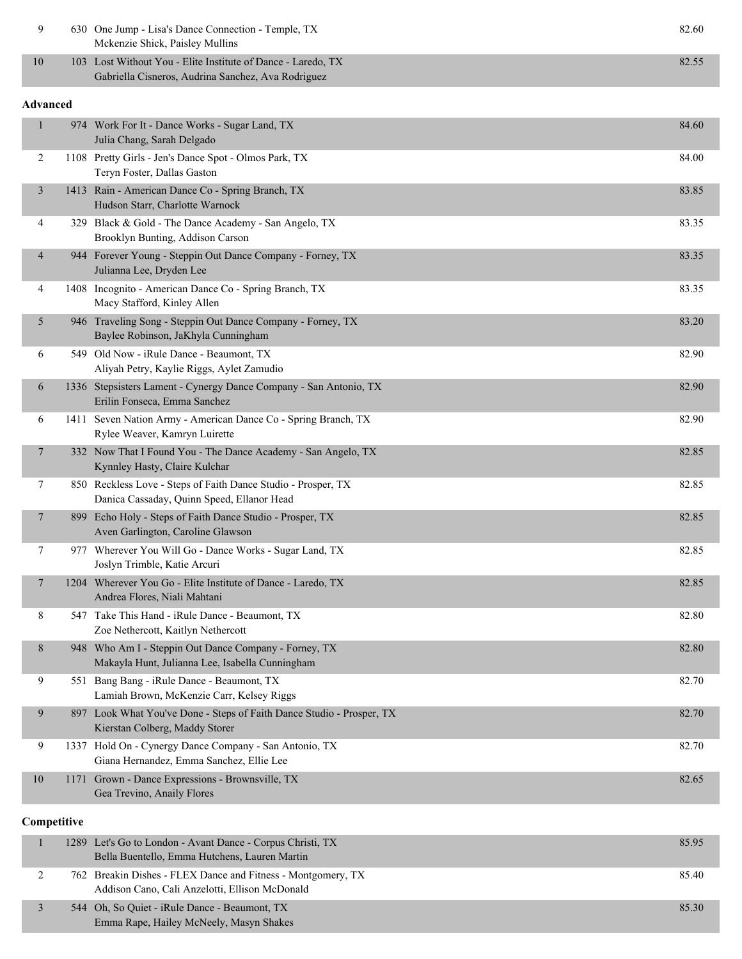| 9               |             | 630 One Jump - Lisa's Dance Connection - Temple, TX<br>Mckenzie Shick, Paisley Mullins                             | 82.60 |
|-----------------|-------------|--------------------------------------------------------------------------------------------------------------------|-------|
| 10              |             | 103 Lost Without You - Elite Institute of Dance - Laredo, TX<br>Gabriella Cisneros, Audrina Sanchez, Ava Rodriguez | 82.55 |
| <b>Advanced</b> |             |                                                                                                                    |       |
| $\mathbf{1}$    |             | 974 Work For It - Dance Works - Sugar Land, TX<br>Julia Chang, Sarah Delgado                                       | 84.60 |
| $\overline{c}$  |             | 1108 Pretty Girls - Jen's Dance Spot - Olmos Park, TX<br>Teryn Foster, Dallas Gaston                               | 84.00 |
| $\mathfrak{Z}$  |             | 1413 Rain - American Dance Co - Spring Branch, TX<br>Hudson Starr, Charlotte Warnock                               | 83.85 |
| 4               |             | 329 Black & Gold - The Dance Academy - San Angelo, TX<br>Brooklyn Bunting, Addison Carson                          | 83.35 |
| $\overline{4}$  |             | 944 Forever Young - Steppin Out Dance Company - Forney, TX<br>Julianna Lee, Dryden Lee                             | 83.35 |
| $\overline{4}$  |             | 1408 Incognito - American Dance Co - Spring Branch, TX<br>Macy Stafford, Kinley Allen                              | 83.35 |
| 5               |             | 946 Traveling Song - Steppin Out Dance Company - Forney, TX<br>Baylee Robinson, JaKhyla Cunningham                 | 83.20 |
| 6               |             | 549 Old Now - iRule Dance - Beaumont, TX<br>Aliyah Petry, Kaylie Riggs, Aylet Zamudio                              | 82.90 |
| 6               |             | 1336 Stepsisters Lament - Cynergy Dance Company - San Antonio, TX<br>Erilin Fonseca, Emma Sanchez                  | 82.90 |
| 6               |             | 1411 Seven Nation Army - American Dance Co - Spring Branch, TX<br>Rylee Weaver, Kamryn Luirette                    | 82.90 |
| $\overline{7}$  |             | 332 Now That I Found You - The Dance Academy - San Angelo, TX<br>Kynnley Hasty, Claire Kulchar                     | 82.85 |
| 7               |             | 850 Reckless Love - Steps of Faith Dance Studio - Prosper, TX<br>Danica Cassaday, Quinn Speed, Ellanor Head        | 82.85 |
| $\tau$          |             | 899 Echo Holy - Steps of Faith Dance Studio - Prosper, TX<br>Aven Garlington, Caroline Glawson                     | 82.85 |
| 7               |             | 977 Wherever You Will Go - Dance Works - Sugar Land, TX<br>Joslyn Trimble, Katie Arcuri                            | 82.85 |
| $\overline{7}$  |             | 1204 Wherever You Go - Elite Institute of Dance - Laredo, TX<br>Andrea Flores, Niali Mahtani                       | 82.85 |
| 8               |             | 547 Take This Hand - iRule Dance - Beaumont, TX<br>Zoe Nethercott, Kaitlyn Nethercott                              | 82.80 |
| 8               |             | 948 Who Am I - Steppin Out Dance Company - Forney, TX<br>Makayla Hunt, Julianna Lee, Isabella Cunningham           | 82.80 |
| 9               |             | 551 Bang Bang - iRule Dance - Beaumont, TX<br>Lamiah Brown, McKenzie Carr, Kelsey Riggs                            | 82.70 |
| 9               |             | 897 Look What You've Done - Steps of Faith Dance Studio - Prosper, TX<br>Kierstan Colberg, Maddy Storer            | 82.70 |
| 9               |             | 1337 Hold On - Cynergy Dance Company - San Antonio, TX<br>Giana Hernandez, Emma Sanchez, Ellie Lee                 | 82.70 |
| 10              |             | 1171 Grown - Dance Expressions - Brownsville, TX<br>Gea Trevino, Anaily Flores                                     | 82.65 |
|                 | Competitive |                                                                                                                    |       |
| 1               |             | 1289 Let's Go to London - Avant Dance - Corpus Christi, TX<br>Bella Buentello, Emma Hutchens, Lauren Martin        | 85.95 |
| $\overline{c}$  |             | 762 Breakin Dishes - FLEX Dance and Fitness - Montgomery, TX<br>Addison Cano, Cali Anzelotti, Ellison McDonald     | 85.40 |

| 544 Oh, So Quiet - iRule Dance - Beaumont, TX | 85.30 |
|-----------------------------------------------|-------|
| Emma Rape, Hailey McNeely, Masyn Shakes       |       |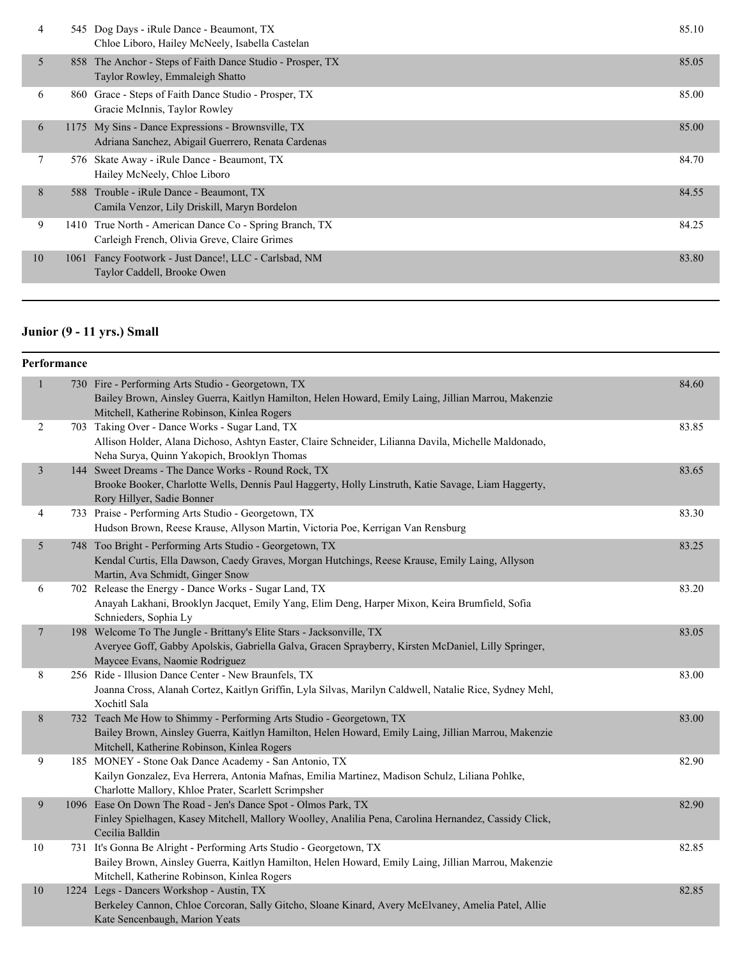| 4  |      | 545 Dog Days - iRule Dance - Beaumont, TX<br>Chloe Liboro, Hailey McNeely, Isabella Castelan             | 85.10 |
|----|------|----------------------------------------------------------------------------------------------------------|-------|
| 5  |      | 858 The Anchor - Steps of Faith Dance Studio - Prosper, TX<br>Taylor Rowley, Emmaleigh Shatto            | 85.05 |
| 6  |      | 860 Grace - Steps of Faith Dance Studio - Prosper, TX<br>Gracie McInnis, Taylor Rowley                   | 85.00 |
| 6  |      | 1175 My Sins - Dance Expressions - Brownsville, TX<br>Adriana Sanchez, Abigail Guerrero, Renata Cardenas | 85.00 |
| 7  |      | 576 Skate Away - iRule Dance - Beaumont, TX<br>Hailey McNeely, Chloe Liboro                              | 84.70 |
| 8  |      | 588 Trouble - iRule Dance - Beaumont, TX<br>Camila Venzor, Lily Driskill, Maryn Bordelon                 | 84.55 |
| 9  |      | 1410 True North - American Dance Co - Spring Branch, TX<br>Carleigh French, Olivia Greve, Claire Grimes  | 84.25 |
| 10 | 1061 | Fancy Footwork - Just Dance!, LLC - Carlsbad, NM<br>Taylor Caddell, Brooke Owen                          | 83.80 |
|    |      |                                                                                                          |       |

# **Junior (9 - 11 yrs.) Small**

| Performance     |                                                                                                                                                                                                                            |       |
|-----------------|----------------------------------------------------------------------------------------------------------------------------------------------------------------------------------------------------------------------------|-------|
| $\mathbf{1}$    | 730 Fire - Performing Arts Studio - Georgetown, TX<br>Bailey Brown, Ainsley Guerra, Kaitlyn Hamilton, Helen Howard, Emily Laing, Jillian Marrou, Makenzie<br>Mitchell, Katherine Robinson, Kinlea Rogers                   | 84.60 |
| $\overline{2}$  | 703 Taking Over - Dance Works - Sugar Land, TX<br>Allison Holder, Alana Dichoso, Ashtyn Easter, Claire Schneider, Lilianna Davila, Michelle Maldonado,<br>Neha Surya, Quinn Yakopich, Brooklyn Thomas                      | 83.85 |
| $\mathfrak{Z}$  | 144 Sweet Dreams - The Dance Works - Round Rock, TX<br>Brooke Booker, Charlotte Wells, Dennis Paul Haggerty, Holly Linstruth, Katie Savage, Liam Haggerty,<br>Rory Hillyer, Sadie Bonner                                   | 83.65 |
| 4               | 733 Praise - Performing Arts Studio - Georgetown, TX<br>Hudson Brown, Reese Krause, Allyson Martin, Victoria Poe, Kerrigan Van Rensburg                                                                                    | 83.30 |
| $5\overline{)}$ | 748 Too Bright - Performing Arts Studio - Georgetown, TX<br>Kendal Curtis, Ella Dawson, Caedy Graves, Morgan Hutchings, Reese Krause, Emily Laing, Allyson<br>Martin, Ava Schmidt, Ginger Snow                             | 83.25 |
| 6               | 702 Release the Energy - Dance Works - Sugar Land, TX<br>Anayah Lakhani, Brooklyn Jacquet, Emily Yang, Elim Deng, Harper Mixon, Keira Brumfield, Sofia<br>Schnieders, Sophia Ly                                            | 83.20 |
| $\overline{7}$  | 198 Welcome To The Jungle - Brittany's Elite Stars - Jacksonville, TX<br>Averyee Goff, Gabby Apolskis, Gabriella Galva, Gracen Sprayberry, Kirsten McDaniel, Lilly Springer,<br>Maycee Evans, Naomie Rodriguez             | 83.05 |
| 8               | 256 Ride - Illusion Dance Center - New Braunfels, TX<br>Joanna Cross, Alanah Cortez, Kaitlyn Griffin, Lyla Silvas, Marilyn Caldwell, Natalie Rice, Sydney Mehl,<br>Xochitl Sala                                            | 83.00 |
| 8               | 732 Teach Me How to Shimmy - Performing Arts Studio - Georgetown, TX<br>Bailey Brown, Ainsley Guerra, Kaitlyn Hamilton, Helen Howard, Emily Laing, Jillian Marrou, Makenzie<br>Mitchell, Katherine Robinson, Kinlea Rogers | 83.00 |
| 9               | 185 MONEY - Stone Oak Dance Academy - San Antonio, TX<br>Kailyn Gonzalez, Eva Herrera, Antonia Mafnas, Emilia Martinez, Madison Schulz, Liliana Pohlke,<br>Charlotte Mallory, Khloe Prater, Scarlett Scrimpsher            | 82.90 |
| 9               | 1096 Ease On Down The Road - Jen's Dance Spot - Olmos Park, TX<br>Finley Spielhagen, Kasey Mitchell, Mallory Woolley, Analilia Pena, Carolina Hernandez, Cassidy Click,<br>Cecilia Balldin                                 | 82.90 |
| 10              | 731 It's Gonna Be Alright - Performing Arts Studio - Georgetown, TX<br>Bailey Brown, Ainsley Guerra, Kaitlyn Hamilton, Helen Howard, Emily Laing, Jillian Marrou, Makenzie<br>Mitchell, Katherine Robinson, Kinlea Rogers  | 82.85 |
| $10\,$          | 1224 Legs - Dancers Workshop - Austin, TX<br>Berkeley Cannon, Chloe Corcoran, Sally Gitcho, Sloane Kinard, Avery McElvaney, Amelia Patel, Allie<br>Kate Sencenbaugh, Marion Yeats                                          | 82.85 |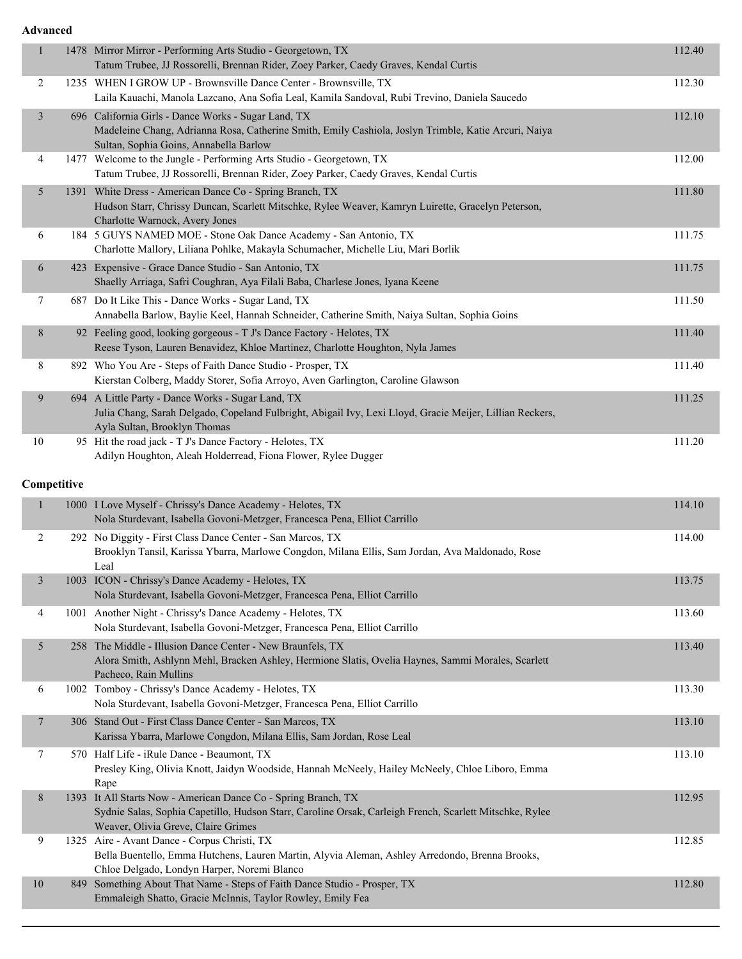| $\mathbf{1}$   | 1478 Mirror Mirror - Performing Arts Studio - Georgetown, TX<br>Tatum Trubee, JJ Rossorelli, Brennan Rider, Zoey Parker, Caedy Graves, Kendal Curtis                                                             | 112.40 |
|----------------|------------------------------------------------------------------------------------------------------------------------------------------------------------------------------------------------------------------|--------|
| $\overline{c}$ | 1235 WHEN I GROW UP - Brownsville Dance Center - Brownsville, TX<br>Laila Kauachi, Manola Lazcano, Ana Sofia Leal, Kamila Sandoval, Rubi Trevino, Daniela Saucedo                                                | 112.30 |
| 3              | 696 California Girls - Dance Works - Sugar Land, TX<br>Madeleine Chang, Adrianna Rosa, Catherine Smith, Emily Cashiola, Joslyn Trimble, Katie Arcuri, Naiya<br>Sultan, Sophia Goins, Annabella Barlow            | 112.10 |
| 4              | 1477 Welcome to the Jungle - Performing Arts Studio - Georgetown, TX<br>Tatum Trubee, JJ Rossorelli, Brennan Rider, Zoey Parker, Caedy Graves, Kendal Curtis                                                     | 112.00 |
| 5              | 1391 White Dress - American Dance Co - Spring Branch, TX<br>Hudson Starr, Chrissy Duncan, Scarlett Mitschke, Rylee Weaver, Kamryn Luirette, Gracelyn Peterson,<br>Charlotte Warnock, Avery Jones                 | 111.80 |
| 6              | 184 5 GUYS NAMED MOE - Stone Oak Dance Academy - San Antonio, TX<br>Charlotte Mallory, Liliana Pohlke, Makayla Schumacher, Michelle Liu, Mari Borlik                                                             | 111.75 |
| 6              | 423 Expensive - Grace Dance Studio - San Antonio, TX<br>Shaelly Arriaga, Safri Coughran, Aya Filali Baba, Charlese Jones, Iyana Keene                                                                            | 111.75 |
| 7              | 687 Do It Like This - Dance Works - Sugar Land, TX<br>Annabella Barlow, Baylie Keel, Hannah Schneider, Catherine Smith, Naiya Sultan, Sophia Goins                                                               | 111.50 |
| 8              | 92 Feeling good, looking gorgeous - T J's Dance Factory - Helotes, TX<br>Reese Tyson, Lauren Benavidez, Khloe Martinez, Charlotte Houghton, Nyla James                                                           | 111.40 |
| 8              | 892 Who You Are - Steps of Faith Dance Studio - Prosper, TX<br>Kierstan Colberg, Maddy Storer, Sofia Arroyo, Aven Garlington, Caroline Glawson                                                                   | 111.40 |
| 9              | 694 A Little Party - Dance Works - Sugar Land, TX<br>Julia Chang, Sarah Delgado, Copeland Fulbright, Abigail Ivy, Lexi Lloyd, Gracie Meijer, Lillian Reckers,<br>Ayla Sultan, Brooklyn Thomas                    | 111.25 |
| $10\,$         | 95 Hit the road jack - T J's Dance Factory - Helotes, TX<br>Adilyn Houghton, Aleah Holderread, Fiona Flower, Rylee Dugger                                                                                        | 111.20 |
|                |                                                                                                                                                                                                                  |        |
| Competitive    |                                                                                                                                                                                                                  |        |
| $\mathbf{1}$   | 1000 I Love Myself - Chrissy's Dance Academy - Helotes, TX<br>Nola Sturdevant, Isabella Govoni-Metzger, Francesca Pena, Elliot Carrillo                                                                          | 114.10 |
| 2              | 292 No Diggity - First Class Dance Center - San Marcos, TX<br>Brooklyn Tansil, Karissa Ybarra, Marlowe Congdon, Milana Ellis, Sam Jordan, Ava Maldonado, Rose<br>Leal                                            | 114.00 |
| 3              | 1003 ICON - Chrissy's Dance Academy - Helotes, TX<br>Nola Sturdevant, Isabella Govoni-Metzger, Francesca Pena, Elliot Carrillo                                                                                   | 113.75 |
| 4              | 1001 Another Night - Chrissy's Dance Academy - Helotes, TX<br>Nola Sturdevant, Isabella Govoni-Metzger, Francesca Pena, Elliot Carrillo                                                                          | 113.60 |
| 5              | 258 The Middle - Illusion Dance Center - New Braunfels, TX<br>Alora Smith, Ashlynn Mehl, Bracken Ashley, Hermione Slatis, Ovelia Haynes, Sammi Morales, Scarlett<br>Pacheco, Rain Mullins                        | 113.40 |
| 6              | 1002 Tomboy - Chrissy's Dance Academy - Helotes, TX<br>Nola Sturdevant, Isabella Govoni-Metzger, Francesca Pena, Elliot Carrillo                                                                                 | 113.30 |
| 7              | 306 Stand Out - First Class Dance Center - San Marcos, TX<br>Karissa Ybarra, Marlowe Congdon, Milana Ellis, Sam Jordan, Rose Leal                                                                                | 113.10 |
| 7              | 570 Half Life - iRule Dance - Beaumont, TX<br>Presley King, Olivia Knott, Jaidyn Woodside, Hannah McNeely, Hailey McNeely, Chloe Liboro, Emma<br>Rape                                                            | 113.10 |
| 8              | 1393 It All Starts Now - American Dance Co - Spring Branch, TX<br>Sydnie Salas, Sophia Capetillo, Hudson Starr, Caroline Orsak, Carleigh French, Scarlett Mitschke, Rylee<br>Weaver, Olivia Greve, Claire Grimes | 112.95 |
| 9              | 1325 Aire - Avant Dance - Corpus Christi, TX<br>Bella Buentello, Emma Hutchens, Lauren Martin, Alyvia Aleman, Ashley Arredondo, Brenna Brooks,<br>Chloe Delgado, Londyn Harper, Noremi Blanco                    | 112.85 |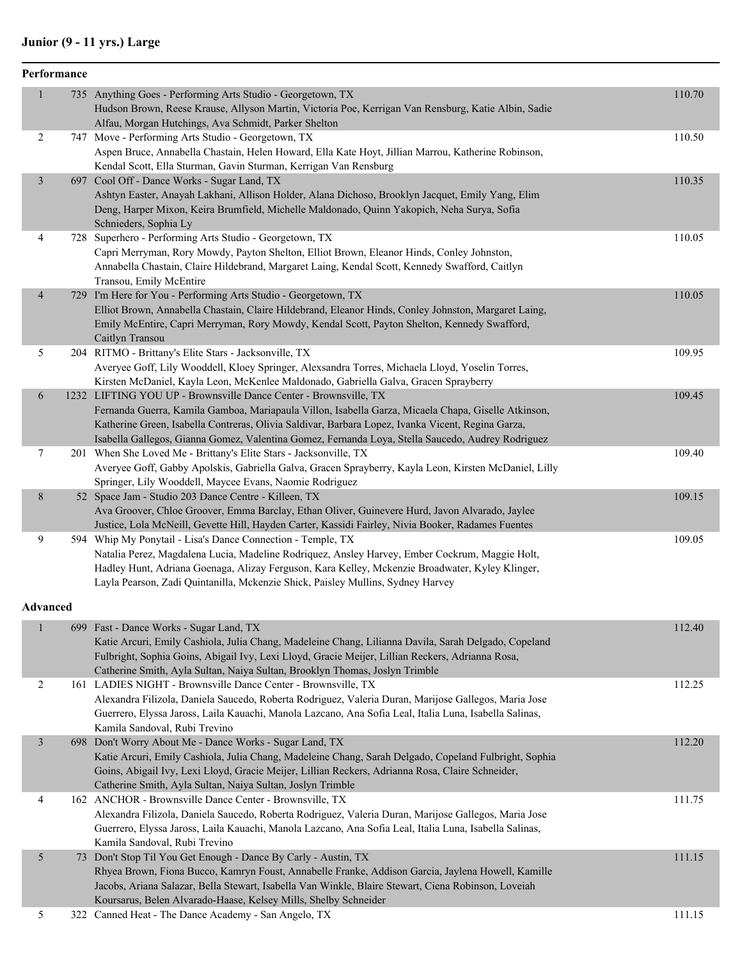#### **Junior (9 - 11 yrs.) Large**

|                | Performance |                                                                                                                                                                 |        |
|----------------|-------------|-----------------------------------------------------------------------------------------------------------------------------------------------------------------|--------|
| $\mathbf{1}$   |             | 735 Anything Goes - Performing Arts Studio - Georgetown, TX                                                                                                     | 110.70 |
|                |             | Hudson Brown, Reese Krause, Allyson Martin, Victoria Poe, Kerrigan Van Rensburg, Katie Albin, Sadie                                                             |        |
|                |             | Alfau, Morgan Hutchings, Ava Schmidt, Parker Shelton                                                                                                            |        |
| 2              |             | 747 Move - Performing Arts Studio - Georgetown, TX                                                                                                              | 110.50 |
|                |             | Aspen Bruce, Annabella Chastain, Helen Howard, Ella Kate Hoyt, Jillian Marrou, Katherine Robinson,                                                              |        |
|                |             | Kendal Scott, Ella Sturman, Gavin Sturman, Kerrigan Van Rensburg                                                                                                |        |
| $\mathfrak{Z}$ |             | 697 Cool Off - Dance Works - Sugar Land, TX                                                                                                                     | 110.35 |
|                |             | Ashtyn Easter, Anayah Lakhani, Allison Holder, Alana Dichoso, Brooklyn Jacquet, Emily Yang, Elim                                                                |        |
|                |             | Deng, Harper Mixon, Keira Brumfield, Michelle Maldonado, Quinn Yakopich, Neha Surya, Sofia                                                                      |        |
|                |             | Schnieders, Sophia Ly                                                                                                                                           |        |
| 4              |             | 728 Superhero - Performing Arts Studio - Georgetown, TX                                                                                                         | 110.05 |
|                |             | Capri Merryman, Rory Mowdy, Payton Shelton, Elliot Brown, Eleanor Hinds, Conley Johnston,                                                                       |        |
|                |             | Annabella Chastain, Claire Hildebrand, Margaret Laing, Kendal Scott, Kennedy Swafford, Caitlyn                                                                  |        |
|                |             | Transou, Emily McEntire                                                                                                                                         |        |
| $\overline{4}$ |             | 729 I'm Here for You - Performing Arts Studio - Georgetown, TX                                                                                                  | 110.05 |
|                |             | Elliot Brown, Annabella Chastain, Claire Hildebrand, Eleanor Hinds, Conley Johnston, Margaret Laing,                                                            |        |
|                |             | Emily McEntire, Capri Merryman, Rory Mowdy, Kendal Scott, Payton Shelton, Kennedy Swafford,                                                                     |        |
|                |             | Caitlyn Transou                                                                                                                                                 |        |
| 5              |             | 204 RITMO - Brittany's Elite Stars - Jacksonville, TX                                                                                                           | 109.95 |
|                |             | Averyee Goff, Lily Wooddell, Kloey Springer, Alexsandra Torres, Michaela Lloyd, Yoselin Torres,                                                                 |        |
|                |             | Kirsten McDaniel, Kayla Leon, McKenlee Maldonado, Gabriella Galva, Gracen Sprayberry<br>1232 LIFTING YOU UP - Brownsville Dance Center - Brownsville, TX        | 109.45 |
| 6              |             | Fernanda Guerra, Kamila Gamboa, Mariapaula Villon, Isabella Garza, Micaela Chapa, Giselle Atkinson,                                                             |        |
|                |             | Katherine Green, Isabella Contreras, Olivia Saldivar, Barbara Lopez, Ivanka Vicent, Regina Garza,                                                               |        |
|                |             | Isabella Gallegos, Gianna Gomez, Valentina Gomez, Fernanda Loya, Stella Saucedo, Audrey Rodriguez                                                               |        |
| 7              |             | 201 When She Loved Me - Brittany's Elite Stars - Jacksonville, TX                                                                                               | 109.40 |
|                |             | Averyee Goff, Gabby Apolskis, Gabriella Galva, Gracen Sprayberry, Kayla Leon, Kirsten McDaniel, Lilly                                                           |        |
|                |             | Springer, Lily Wooddell, Maycee Evans, Naomie Rodriguez                                                                                                         |        |
| 8              |             | 52 Space Jam - Studio 203 Dance Centre - Killeen, TX                                                                                                            | 109.15 |
|                |             | Ava Groover, Chloe Groover, Emma Barclay, Ethan Oliver, Guinevere Hurd, Javon Alvarado, Jaylee                                                                  |        |
|                |             | Justice, Lola McNeill, Gevette Hill, Hayden Carter, Kassidi Fairley, Nivia Booker, Radames Fuentes                                                              |        |
| 9              |             | 594 Whip My Ponytail - Lisa's Dance Connection - Temple, TX                                                                                                     | 109.05 |
|                |             | Natalia Perez, Magdalena Lucia, Madeline Rodriquez, Ansley Harvey, Ember Cockrum, Maggie Holt,                                                                  |        |
|                |             | Hadley Hunt, Adriana Goenaga, Alizay Ferguson, Kara Kelley, Mckenzie Broadwater, Kyley Klinger,                                                                 |        |
|                |             | Layla Pearson, Zadi Quintanilla, Mckenzie Shick, Paisley Mullins, Sydney Harvey                                                                                 |        |
|                |             |                                                                                                                                                                 |        |
| Advanced       |             |                                                                                                                                                                 |        |
| $\mathbf{1}$   |             | 699 Fast - Dance Works - Sugar Land, TX                                                                                                                         | 112.40 |
|                |             | Katie Arcuri, Emily Cashiola, Julia Chang, Madeleine Chang, Lilianna Davila, Sarah Delgado, Copeland                                                            |        |
|                |             | Fulbright, Sophia Goins, Abigail Ivy, Lexi Lloyd, Gracie Meijer, Lillian Reckers, Adrianna Rosa,                                                                |        |
|                |             | Catherine Smith, Ayla Sultan, Naiya Sultan, Brooklyn Thomas, Joslyn Trimble                                                                                     |        |
| $\overline{2}$ |             | 161 LADIES NIGHT - Brownsville Dance Center - Brownsville, TX                                                                                                   | 112.25 |
|                |             | Alexandra Filizola, Daniela Saucedo, Roberta Rodriguez, Valeria Duran, Marijose Gallegos, Maria Jose                                                            |        |
|                |             | Guerrero, Elyssa Jaross, Laila Kauachi, Manola Lazcano, Ana Sofia Leal, Italia Luna, Isabella Salinas,                                                          |        |
|                |             | Kamila Sandoval, Rubi Trevino                                                                                                                                   |        |
| 3              |             | 698 Don't Worry About Me - Dance Works - Sugar Land, TX                                                                                                         | 112.20 |
|                |             | Katie Arcuri, Emily Cashiola, Julia Chang, Madeleine Chang, Sarah Delgado, Copeland Fulbright, Sophia                                                           |        |
|                |             | Goins, Abigail Ivy, Lexi Lloyd, Gracie Meijer, Lillian Reckers, Adrianna Rosa, Claire Schneider,                                                                |        |
|                |             | Catherine Smith, Ayla Sultan, Naiya Sultan, Joslyn Trimble                                                                                                      |        |
| 4              |             | 162 ANCHOR - Brownsville Dance Center - Brownsville, TX<br>Alexandra Filizola, Daniela Saucedo, Roberta Rodriguez, Valeria Duran, Marijose Gallegos, Maria Jose | 111.75 |
|                |             |                                                                                                                                                                 |        |

Guerrero, Elyssa Jaross, Laila Kauachi, Manola Lazcano, Ana Sofia Leal, Italia Luna, Isabella Salinas, Kamila Sandoval, Rubi Trevino 5 73 Don't Stop Til You Get Enough - Dance By Carly - Austin, TX 111.15 Rhyea Brown, Fiona Bucco, Kamryn Foust, Annabelle Franke, Addison Garcia, Jaylena Howell, Kamille Jacobs, Ariana Salazar, Bella Stewart, Isabella Van Winkle, Blaire Stewart, Ciena Robinson, Loveiah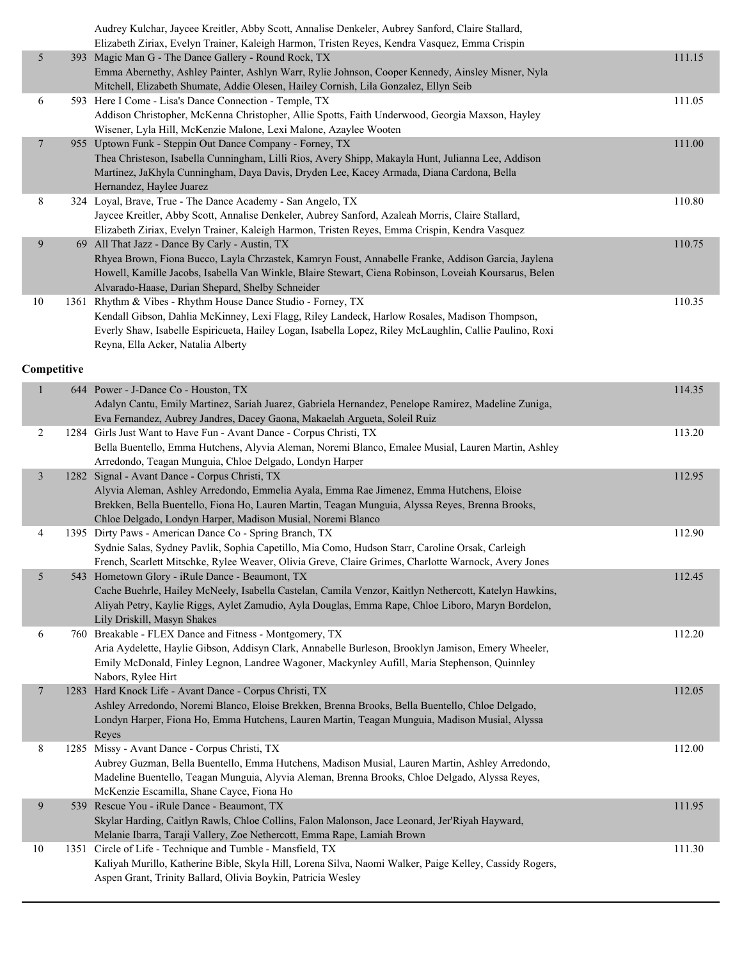|        |    | Audrey Kulchar, Jaycee Kreitler, Abby Scott, Annalise Denkeler, Aubrey Sanford, Claire Stallard,        |        |
|--------|----|---------------------------------------------------------------------------------------------------------|--------|
|        |    | Elizabeth Ziriax, Evelyn Trainer, Kaleigh Harmon, Tristen Reyes, Kendra Vasquez, Emma Crispin           |        |
| 5      |    | 393 Magic Man G - The Dance Gallery - Round Rock, TX                                                    | 111.15 |
|        |    | Emma Abernethy, Ashley Painter, Ashlyn Warr, Rylie Johnson, Cooper Kennedy, Ainsley Misner, Nyla        |        |
|        |    | Mitchell, Elizabeth Shumate, Addie Olesen, Hailey Cornish, Lila Gonzalez, Ellyn Seib                    |        |
| 6      |    | 593 Here I Come - Lisa's Dance Connection - Temple, TX                                                  | 111.05 |
|        |    | Addison Christopher, McKenna Christopher, Allie Spotts, Faith Underwood, Georgia Maxson, Hayley         |        |
|        |    | Wisener, Lyla Hill, McKenzie Malone, Lexi Malone, Azaylee Wooten                                        |        |
| $\tau$ |    | 955 Uptown Funk - Steppin Out Dance Company - Forney, TX                                                | 111.00 |
|        |    | Thea Christeson, Isabella Cunningham, Lilli Rios, Avery Shipp, Makayla Hunt, Julianna Lee, Addison      |        |
|        |    | Martinez, JaKhyla Cunningham, Daya Davis, Dryden Lee, Kacey Armada, Diana Cardona, Bella                |        |
|        |    | Hernandez, Haylee Juarez                                                                                |        |
| 8      |    | 324 Loyal, Brave, True - The Dance Academy - San Angelo, TX                                             | 110.80 |
|        |    | Jaycee Kreitler, Abby Scott, Annalise Denkeler, Aubrey Sanford, Azaleah Morris, Claire Stallard,        |        |
|        |    | Elizabeth Ziriax, Evelyn Trainer, Kaleigh Harmon, Tristen Reyes, Emma Crispin, Kendra Vasquez           |        |
| 9      | 69 | All That Jazz - Dance By Carly - Austin, TX                                                             | 110.75 |
|        |    | Rhyea Brown, Fiona Bucco, Layla Chrzastek, Kamryn Foust, Annabelle Franke, Addison Garcia, Jaylena      |        |
|        |    | Howell, Kamille Jacobs, Isabella Van Winkle, Blaire Stewart, Ciena Robinson, Loveiah Koursarus, Belen   |        |
|        |    | Alvarado-Haase, Darian Shepard, Shelby Schneider                                                        |        |
| 10     |    | 1361 Rhythm & Vibes - Rhythm House Dance Studio - Forney, TX                                            | 110.35 |
|        |    | Kendall Gibson, Dahlia McKinney, Lexi Flagg, Riley Landeck, Harlow Rosales, Madison Thompson,           |        |
|        |    | Everly Shaw, Isabelle Espiricueta, Hailey Logan, Isabella Lopez, Riley McLaughlin, Callie Paulino, Roxi |        |
|        |    | Reyna, Ella Acker, Natalia Alberty                                                                      |        |

#### **Competitive**

| $\mathbf{1}$   | 644 Power - J-Dance Co - Houston, TX<br>Adalyn Cantu, Emily Martinez, Sariah Juarez, Gabriela Hernandez, Penelope Ramirez, Madeline Zuniga,<br>Eva Fernandez, Aubrey Jandres, Dacey Gaona, Makaelah Argueta, Soleil Ruiz                                                                                    | 114.35 |
|----------------|-------------------------------------------------------------------------------------------------------------------------------------------------------------------------------------------------------------------------------------------------------------------------------------------------------------|--------|
| $\overline{c}$ | 1284 Girls Just Want to Have Fun - Avant Dance - Corpus Christi, TX<br>Bella Buentello, Emma Hutchens, Alyvia Aleman, Noremi Blanco, Emalee Musial, Lauren Martin, Ashley<br>Arredondo, Teagan Munguia, Chloe Delgado, Londyn Harper                                                                        | 113.20 |
| $\mathfrak{Z}$ | 1282 Signal - Avant Dance - Corpus Christi, TX<br>Alyvia Aleman, Ashley Arredondo, Emmelia Ayala, Emma Rae Jimenez, Emma Hutchens, Eloise<br>Brekken, Bella Buentello, Fiona Ho, Lauren Martin, Teagan Munguia, Alyssa Reyes, Brenna Brooks,<br>Chloe Delgado, Londyn Harper, Madison Musial, Noremi Blanco | 112.95 |
| $\overline{4}$ | 1395 Dirty Paws - American Dance Co - Spring Branch, TX<br>Sydnie Salas, Sydney Pavlik, Sophia Capetillo, Mia Como, Hudson Starr, Caroline Orsak, Carleigh<br>French, Scarlett Mitschke, Rylee Weaver, Olivia Greve, Claire Grimes, Charlotte Warnock, Avery Jones                                          | 112.90 |
| 5              | 543 Hometown Glory - iRule Dance - Beaumont, TX<br>Cache Buehrle, Hailey McNeely, Isabella Castelan, Camila Venzor, Kaitlyn Nethercott, Katelyn Hawkins,<br>Aliyah Petry, Kaylie Riggs, Aylet Zamudio, Ayla Douglas, Emma Rape, Chloe Liboro, Maryn Bordelon,<br>Lily Driskill, Masyn Shakes                | 112.45 |
| 6              | 760 Breakable - FLEX Dance and Fitness - Montgomery, TX<br>Aria Aydelette, Haylie Gibson, Addisyn Clark, Annabelle Burleson, Brooklyn Jamison, Emery Wheeler,<br>Emily McDonald, Finley Legnon, Landree Wagoner, Mackynley Aufill, Maria Stephenson, Quinnley<br>Nabors, Rylee Hirt                         | 112.20 |
| $\overline{7}$ | 1283 Hard Knock Life - Avant Dance - Corpus Christi, TX<br>Ashley Arredondo, Noremi Blanco, Eloise Brekken, Brenna Brooks, Bella Buentello, Chloe Delgado,<br>Londyn Harper, Fiona Ho, Emma Hutchens, Lauren Martin, Teagan Munguia, Madison Musial, Alyssa<br>Reyes                                        | 112.05 |
| 8              | 1285 Missy - Avant Dance - Corpus Christi, TX<br>Aubrey Guzman, Bella Buentello, Emma Hutchens, Madison Musial, Lauren Martin, Ashley Arredondo,<br>Madeline Buentello, Teagan Munguia, Alyvia Aleman, Brenna Brooks, Chloe Delgado, Alyssa Reyes,<br>McKenzie Escamilla, Shane Cayce, Fiona Ho             | 112.00 |
| 9              | 539 Rescue You - iRule Dance - Beaumont, TX<br>Skylar Harding, Caitlyn Rawls, Chloe Collins, Falon Malonson, Jace Leonard, Jer'Riyah Hayward,<br>Melanie Ibarra, Taraji Vallery, Zoe Nethercott, Emma Rape, Lamiah Brown                                                                                    | 111.95 |
| 10             | 1351 Circle of Life - Technique and Tumble - Mansfield, TX<br>Kaliyah Murillo, Katherine Bible, Skyla Hill, Lorena Silva, Naomi Walker, Paige Kelley, Cassidy Rogers,<br>Aspen Grant, Trinity Ballard, Olivia Boykin, Patricia Wesley                                                                       | 111.30 |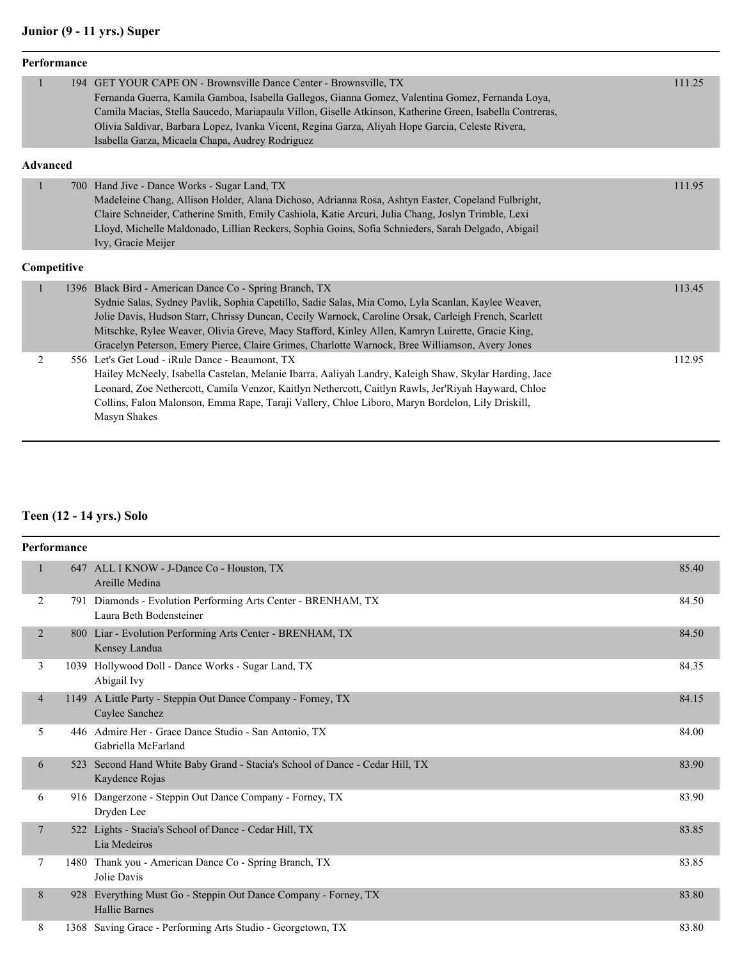# **Junior (9 - 11 yrs.) Super**

|                 | Performance |                                                                                                                                                                                                                                                                                                                                                                                                                                                                              |        |
|-----------------|-------------|------------------------------------------------------------------------------------------------------------------------------------------------------------------------------------------------------------------------------------------------------------------------------------------------------------------------------------------------------------------------------------------------------------------------------------------------------------------------------|--------|
| $\mathbf{1}$    |             | 194 GET YOUR CAPE ON - Brownsville Dance Center - Brownsville, TX<br>Fernanda Guerra, Kamila Gamboa, Isabella Gallegos, Gianna Gomez, Valentina Gomez, Fernanda Loya,<br>Camila Macias, Stella Saucedo, Mariapaula Villon, Giselle Atkinson, Katherine Green, Isabella Contreras,<br>Olivia Saldivar, Barbara Lopez, Ivanka Vicent, Regina Garza, Aliyah Hope Garcia, Celeste Rivera,<br>Isabella Garza, Micaela Chapa, Audrey Rodriguez                                     | 111.25 |
| <b>Advanced</b> |             |                                                                                                                                                                                                                                                                                                                                                                                                                                                                              |        |
| $\mathbf{1}$    |             | 700 Hand Jive - Dance Works - Sugar Land, TX<br>Madeleine Chang, Allison Holder, Alana Dichoso, Adrianna Rosa, Ashtyn Easter, Copeland Fulbright,<br>Claire Schneider, Catherine Smith, Emily Cashiola, Katie Arcuri, Julia Chang, Joslyn Trimble, Lexi<br>Lloyd, Michelle Maldonado, Lillian Reckers, Sophia Goins, Sofia Schnieders, Sarah Delgado, Abigail<br>Ivy, Gracie Meijer                                                                                          | 111.95 |
| Competitive     |             |                                                                                                                                                                                                                                                                                                                                                                                                                                                                              |        |
| 1               |             | 1396 Black Bird - American Dance Co - Spring Branch, TX<br>Sydnie Salas, Sydney Pavlik, Sophia Capetillo, Sadie Salas, Mia Como, Lyla Scanlan, Kaylee Weaver,<br>Jolie Davis, Hudson Starr, Chrissy Duncan, Cecily Warnock, Caroline Orsak, Carleigh French, Scarlett<br>Mitschke, Rylee Weaver, Olivia Greve, Macy Stafford, Kinley Allen, Kamryn Luirette, Gracie King,<br>Gracelyn Peterson, Emery Pierce, Claire Grimes, Charlotte Warnock, Bree Williamson, Avery Jones | 113.45 |
| 2               |             | 556 Let's Get Loud - iRule Dance - Beaumont, TX<br>Hailey McNeely, Isabella Castelan, Melanie Ibarra, Aaliyah Landry, Kaleigh Shaw, Skylar Harding, Jace<br>Leonard, Zoe Nethercott, Camila Venzor, Kaitlyn Nethercott, Caitlyn Rawls, Jer'Riyah Hayward, Chloe<br>Collins, Falon Malonson, Emma Rape, Taraji Vallery, Chloe Liboro, Maryn Bordelon, Lily Driskill,<br>Masyn Shakes                                                                                          | 112.95 |

# **Teen (12 - 14 yrs.) Solo**

|                | Performance |                                                                                            |       |
|----------------|-------------|--------------------------------------------------------------------------------------------|-------|
|                |             | 647 ALL I KNOW - J-Dance Co - Houston, TX<br>Areille Medina                                | 85.40 |
| 2              |             | 791 Diamonds - Evolution Performing Arts Center - BRENHAM, TX<br>Laura Beth Bodensteiner   | 84.50 |
| 2              |             | 800 Liar - Evolution Performing Arts Center - BRENHAM, TX<br>Kensey Landua                 | 84.50 |
| 3              |             | 1039 Hollywood Doll - Dance Works - Sugar Land, TX<br>Abigail Ivy                          | 84.35 |
| $\overline{4}$ |             | 1149 A Little Party - Steppin Out Dance Company - Forney, TX<br>Caylee Sanchez             | 84.15 |
| 5              |             | 446 Admire Her - Grace Dance Studio - San Antonio, TX<br>Gabriella McFarland               | 84.00 |
| 6              | 523         | Second Hand White Baby Grand - Stacia's School of Dance - Cedar Hill, TX<br>Kaydence Rojas | 83.90 |
| 6              |             | 916 Dangerzone - Steppin Out Dance Company - Forney, TX<br>Dryden Lee                      | 83.90 |
| 7              |             | 522 Lights - Stacia's School of Dance - Cedar Hill, TX<br>Lia Medeiros                     | 83.85 |
| $\tau$         | 1480        | Thank you - American Dance Co - Spring Branch, TX<br>Jolie Davis                           | 83.85 |
| 8              | 928         | Everything Must Go - Steppin Out Dance Company - Forney, TX<br><b>Hallie Barnes</b>        | 83.80 |
| 8              |             | 1368 Saving Grace - Performing Arts Studio - Georgetown, TX                                | 83.80 |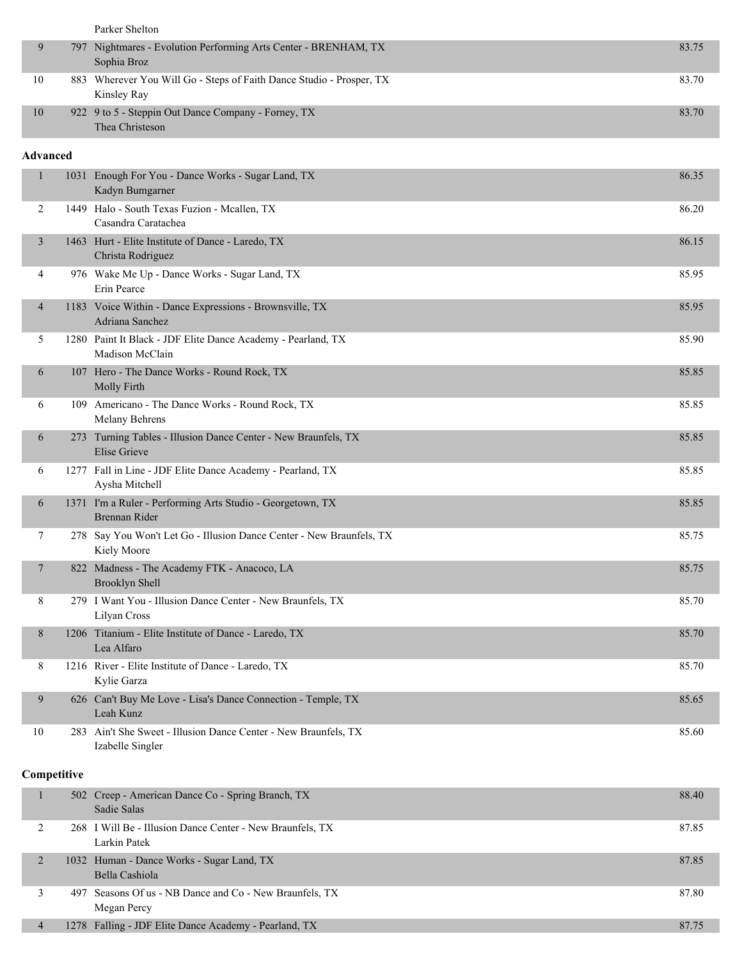|              |             | Parker Shelton                                                                        |       |
|--------------|-------------|---------------------------------------------------------------------------------------|-------|
| 9            |             | 797 Nightmares - Evolution Performing Arts Center - BRENHAM, TX<br>Sophia Broz        | 83.75 |
| 10           |             | 883 Wherever You Will Go - Steps of Faith Dance Studio - Prosper, TX<br>Kinsley Ray   | 83.70 |
| 10           |             | 922 9 to 5 - Steppin Out Dance Company - Forney, TX<br>Thea Christeson                | 83.70 |
| Advanced     |             |                                                                                       |       |
| $\mathbf{1}$ |             | 1031 Enough For You - Dance Works - Sugar Land, TX<br>Kadyn Bumgarner                 | 86.35 |
| 2            |             | 1449 Halo - South Texas Fuzion - Mcallen, TX<br>Casandra Caratachea                   | 86.20 |
| 3            |             | 1463 Hurt - Elite Institute of Dance - Laredo, TX<br>Christa Rodriguez                | 86.15 |
| 4            |             | 976 Wake Me Up - Dance Works - Sugar Land, TX<br>Erin Pearce                          | 85.95 |
| 4            |             | 1183 Voice Within - Dance Expressions - Brownsville, TX<br>Adriana Sanchez            | 85.95 |
| 5            |             | 1280 Paint It Black - JDF Elite Dance Academy - Pearland, TX<br>Madison McClain       | 85.90 |
| 6            |             | 107 Hero - The Dance Works - Round Rock, TX<br>Molly Firth                            | 85.85 |
| 6            |             | 109 Americano - The Dance Works - Round Rock, TX<br>Melany Behrens                    | 85.85 |
| 6            |             | 273 Turning Tables - Illusion Dance Center - New Braunfels, TX<br><b>Elise Grieve</b> | 85.85 |
| 6            |             | 1277 Fall in Line - JDF Elite Dance Academy - Pearland, TX<br>Aysha Mitchell          | 85.85 |
| 6            |             | 1371 I'm a Ruler - Performing Arts Studio - Georgetown, TX<br>Brennan Rider           | 85.85 |
| 7            |             | 278 Say You Won't Let Go - Illusion Dance Center - New Braunfels, TX<br>Kiely Moore   | 85.75 |
| $\tau$       |             | 822 Madness - The Academy FTK - Anacoco, LA<br>Brooklyn Shell                         | 85.75 |
| 8            |             | 279 I Want You - Illusion Dance Center - New Braunfels, TX<br>Lilyan Cross            | 85.70 |
| 8            |             | 1206 Titanium - Elite Institute of Dance - Laredo, TX<br>Lea Alfaro                   | 85.70 |
| 8            |             | 1216 River - Elite Institute of Dance - Laredo, TX<br>Kylie Garza                     | 85.70 |
| 9            |             | 626 Can't Buy Me Love - Lisa's Dance Connection - Temple, TX<br>Leah Kunz             | 85.65 |
| 10           |             | 283 Ain't She Sweet - Illusion Dance Center - New Braunfels, TX<br>Izabelle Singler   | 85.60 |
|              | Competitive |                                                                                       |       |
|              |             |                                                                                       |       |
| 1            |             | 502 Creep - American Dance Co - Spring Branch, TX<br>Sadie Salas                      | 88.40 |
| $\gamma$     |             | 268 I Will Be - Illusion Dance Center - New Braunfels TV                              | 87.85 |

|  | 268 I Will Be - Illusion Dance Center - New Braunfels, TX<br>Larkin Patek | 87.85 |
|--|---------------------------------------------------------------------------|-------|
|  | 1032 Human - Dance Works - Sugar Land, TX<br>Bella Cashiola               | 87.85 |
|  | 497 Seasons Of us - NB Dance and Co - New Braunfels, TX<br>Megan Percy    | 87.80 |
|  | 1278 Falling - JDF Elite Dance Academy - Pearland, TX                     | 87.75 |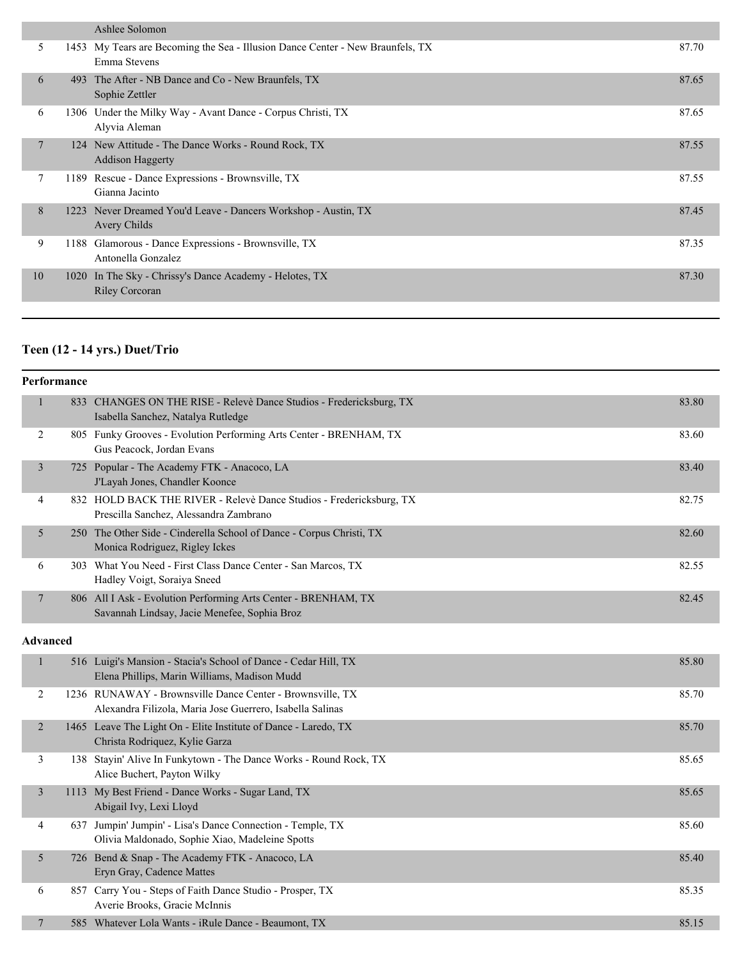|    |      | Ashlee Solomon                                                                                 |       |
|----|------|------------------------------------------------------------------------------------------------|-------|
| 5  |      | 1453 My Tears are Becoming the Sea - Illusion Dance Center - New Braunfels, TX<br>Emma Stevens | 87.70 |
| 6  | 493  | The After - NB Dance and Co - New Braunfels, TX<br>Sophie Zettler                              | 87.65 |
| 6  | 1306 | Under the Milky Way - Avant Dance - Corpus Christi, TX<br>Alyvia Aleman                        | 87.65 |
| 7  | 124  | New Attitude - The Dance Works - Round Rock, TX<br><b>Addison Haggerty</b>                     | 87.55 |
|    | 1189 | Rescue - Dance Expressions - Brownsville, TX<br>Gianna Jacinto                                 | 87.55 |
| 8  |      | 1223 Never Dreamed You'd Leave - Dancers Workshop - Austin, TX<br>Avery Childs                 | 87.45 |
| 9  | 1188 | Glamorous - Dance Expressions - Brownsville, TX<br>Antonella Gonzalez                          | 87.35 |
| 10 | 1020 | In The Sky - Chrissy's Dance Academy - Helotes, TX<br><b>Riley Corcoran</b>                    | 87.30 |
|    |      |                                                                                                |       |

# **Teen (12 - 14 yrs.) Duet/Trio**

|                | Performance     |                                                                                                                        |       |
|----------------|-----------------|------------------------------------------------------------------------------------------------------------------------|-------|
| $\mathbf{1}$   |                 | 833 CHANGES ON THE RISE - Relevè Dance Studios - Fredericksburg, TX<br>Isabella Sanchez, Natalya Rutledge              | 83.80 |
| 2              |                 | 805 Funky Grooves - Evolution Performing Arts Center - BRENHAM, TX<br>Gus Peacock, Jordan Evans                        | 83.60 |
| $\mathfrak{Z}$ |                 | 725 Popular - The Academy FTK - Anacoco, LA<br>J'Layah Jones, Chandler Koonce                                          | 83.40 |
| 4              |                 | 832 HOLD BACK THE RIVER - Relevè Dance Studios - Fredericksburg, TX<br>Prescilla Sanchez, Alessandra Zambrano          | 82.75 |
| 5              |                 | 250 The Other Side - Cinderella School of Dance - Corpus Christi, TX<br>Monica Rodriguez, Rigley Ickes                 | 82.60 |
| 6              |                 | 303 What You Need - First Class Dance Center - San Marcos, TX<br>Hadley Voigt, Soraiya Sneed                           | 82.55 |
| $\overline{7}$ |                 | 806 All I Ask - Evolution Performing Arts Center - BRENHAM, TX<br>Savannah Lindsay, Jacie Menefee, Sophia Broz         | 82.45 |
|                | <b>Advanced</b> |                                                                                                                        |       |
| $\mathbf{1}$   |                 | 516 Luigi's Mansion - Stacia's School of Dance - Cedar Hill, TX<br>Elena Phillips, Marin Williams, Madison Mudd        | 85.80 |
| 2              |                 | 1236 RUNAWAY - Brownsville Dance Center - Brownsville, TX<br>Alexandra Filizola, Maria Jose Guerrero, Isabella Salinas | 85.70 |
| $\overline{2}$ |                 | 1465 Leave The Light On - Elite Institute of Dance - Laredo, TX<br>Christa Rodriquez, Kylie Garza                      | 85.70 |
| 3              |                 | 138 Stayin' Alive In Funkytown - The Dance Works - Round Rock, TX<br>Alice Buchert, Payton Wilky                       | 85.65 |
| $\mathfrak{Z}$ |                 | 1113 My Best Friend - Dance Works - Sugar Land, TX<br>Abigail Ivy, Lexi Lloyd                                          | 85.65 |
| 4              |                 | 637 Jumpin' Jumpin' - Lisa's Dance Connection - Temple, TX<br>Olivia Maldonado, Sophie Xiao, Madeleine Spotts          | 85.60 |
| 5              |                 | 726 Bend & Snap - The Academy FTK - Anacoco, LA<br>Eryn Gray, Cadence Mattes                                           | 85.40 |
| 6              |                 | 857 Carry You - Steps of Faith Dance Studio - Prosper, TX<br>Averie Brooks, Gracie McInnis                             | 85.35 |
| 7              |                 | 585 Whatever Lola Wants - iRule Dance - Beaumont, TX                                                                   | 85.15 |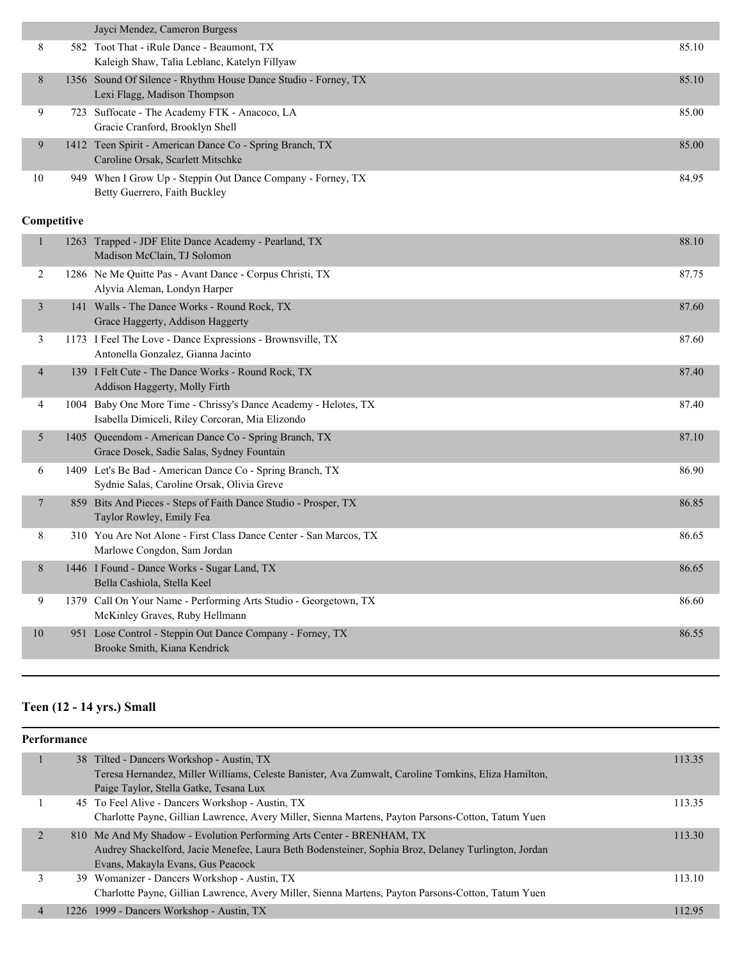|              |             | Jayci Mendez, Cameron Burgess                                                                                      |       |
|--------------|-------------|--------------------------------------------------------------------------------------------------------------------|-------|
| 8            |             | 582 Toot That - iRule Dance - Beaumont, TX<br>Kaleigh Shaw, Talia Leblanc, Katelyn Fillyaw                         | 85.10 |
| 8            |             | 1356 Sound Of Silence - Rhythm House Dance Studio - Forney, TX<br>Lexi Flagg, Madison Thompson                     | 85.10 |
| 9            |             | 723 Suffocate - The Academy FTK - Anacoco, LA<br>Gracie Cranford, Brooklyn Shell                                   | 85.00 |
| 9            |             | 1412 Teen Spirit - American Dance Co - Spring Branch, TX<br>Caroline Orsak, Scarlett Mitschke                      | 85.00 |
| 10           |             | 949 When I Grow Up - Steppin Out Dance Company - Forney, TX<br>Betty Guerrero, Faith Buckley                       | 84.95 |
|              | Competitive |                                                                                                                    |       |
| $\mathbf{1}$ |             | 1263 Trapped - JDF Elite Dance Academy - Pearland, TX<br>Madison McClain, TJ Solomon                               | 88.10 |
| 2            |             | 1286 Ne Me Quitte Pas - Avant Dance - Corpus Christi, TX<br>Alyvia Aleman, Londyn Harper                           | 87.75 |
| 3            |             | 141 Walls - The Dance Works - Round Rock, TX<br>Grace Haggerty, Addison Haggerty                                   | 87.60 |
| 3            |             | 1173 I Feel The Love - Dance Expressions - Brownsville, TX<br>Antonella Gonzalez, Gianna Jacinto                   | 87.60 |
| 4            |             | 139 I Felt Cute - The Dance Works - Round Rock, TX<br>Addison Haggerty, Molly Firth                                | 87.40 |
| 4            |             | 1004 Baby One More Time - Chrissy's Dance Academy - Helotes, TX<br>Isabella Dimiceli, Riley Corcoran, Mia Elizondo | 87.40 |
| 5            |             | 1405 Queendom - American Dance Co - Spring Branch, TX<br>Grace Dosek, Sadie Salas, Sydney Fountain                 | 87.10 |
| 6            |             | 1409 Let's Be Bad - American Dance Co - Spring Branch, TX<br>Sydnie Salas, Caroline Orsak, Olivia Greve            | 86.90 |
| 7            |             | 859 Bits And Pieces - Steps of Faith Dance Studio - Prosper, TX<br>Taylor Rowley, Emily Fea                        | 86.85 |
| 8            |             | 310 You Are Not Alone - First Class Dance Center - San Marcos, TX<br>Marlowe Congdon, Sam Jordan                   | 86.65 |
| 8            |             | 1446 I Found - Dance Works - Sugar Land, TX<br>Bella Cashiola, Stella Keel                                         | 86.65 |
| 9            |             | 1379 Call On Your Name - Performing Arts Studio - Georgetown, TX<br>McKinley Graves, Ruby Hellmann                 | 86.60 |
| 10           |             | 951 Lose Control - Steppin Out Dance Company - Forney, TX<br>Brooke Smith, Kiana Kendrick                          | 86.55 |
|              |             |                                                                                                                    |       |

# **Teen (12 - 14 yrs.) Small**

| Performance |                                                                                                                                                  |        |
|-------------|--------------------------------------------------------------------------------------------------------------------------------------------------|--------|
|             | 38 Tilted - Dancers Workshop - Austin, TX<br>Teresa Hernandez, Miller Williams, Celeste Banister, Ava Zumwalt, Caroline Tomkins, Eliza Hamilton, | 113.35 |
|             | Paige Taylor, Stella Gatke, Tesana Lux                                                                                                           |        |
|             | 45 To Feel Alive - Dancers Workshop - Austin, TX                                                                                                 | 113.35 |
|             | Charlotte Payne, Gillian Lawrence, Avery Miller, Sienna Martens, Payton Parsons-Cotton, Tatum Yuen                                               |        |
| 2           | 810 Me And My Shadow - Evolution Performing Arts Center - BRENHAM, TX                                                                            | 113.30 |
|             | Audrey Shackelford, Jacie Menefee, Laura Beth Bodensteiner, Sophia Broz, Delaney Turlington, Jordan                                              |        |
|             | Evans, Makayla Evans, Gus Peacock                                                                                                                |        |
|             | 39 Womanizer - Dancers Workshop - Austin, TX                                                                                                     | 113.10 |
|             | Charlotte Payne, Gillian Lawrence, Avery Miller, Sienna Martens, Payton Parsons-Cotton, Tatum Yuen                                               |        |
| 4           | 1226 1999 - Dancers Workshop - Austin, TX                                                                                                        | 112.95 |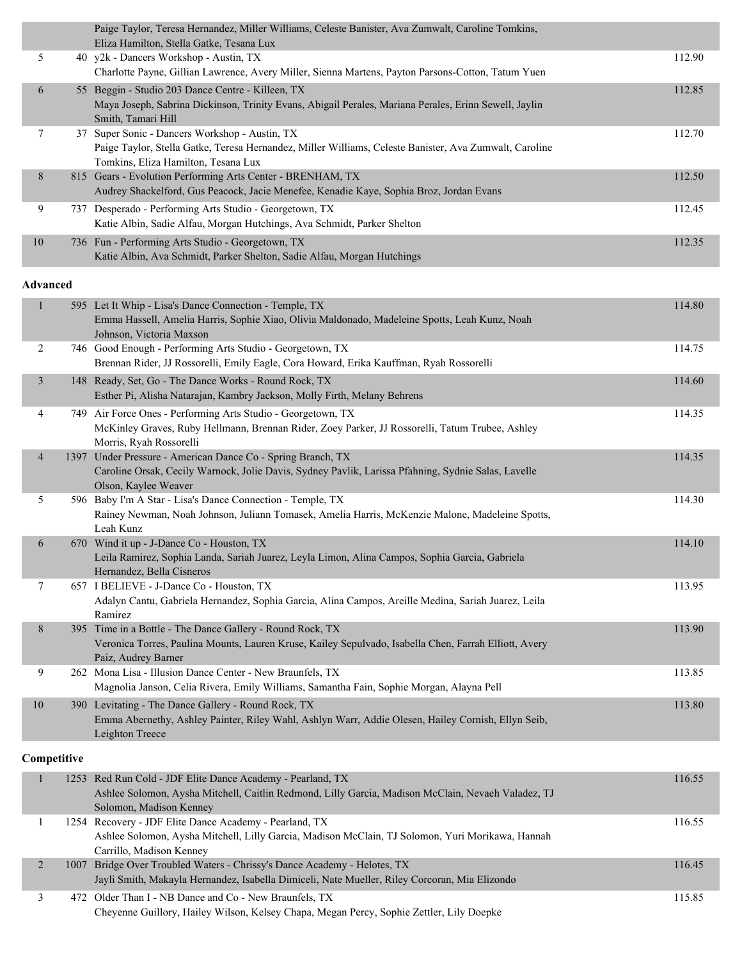|                 | Paige Taylor, Teresa Hernandez, Miller Williams, Celeste Banister, Ava Zumwalt, Caroline Tomkins,<br>Eliza Hamilton, Stella Gatke, Tesana Lux                                               |        |
|-----------------|---------------------------------------------------------------------------------------------------------------------------------------------------------------------------------------------|--------|
| 5               | 40 y2k - Dancers Workshop - Austin, TX                                                                                                                                                      | 112.90 |
|                 | Charlotte Payne, Gillian Lawrence, Avery Miller, Sienna Martens, Payton Parsons-Cotton, Tatum Yuen                                                                                          |        |
| 6               | 55 Beggin - Studio 203 Dance Centre - Killeen, TX                                                                                                                                           | 112.85 |
|                 | Maya Joseph, Sabrina Dickinson, Trinity Evans, Abigail Perales, Mariana Perales, Erinn Sewell, Jaylin<br>Smith, Tamari Hill                                                                 |        |
| 7               | 37 Super Sonic - Dancers Workshop - Austin, TX                                                                                                                                              | 112.70 |
|                 | Paige Taylor, Stella Gatke, Teresa Hernandez, Miller Williams, Celeste Banister, Ava Zumwalt, Caroline<br>Tomkins, Eliza Hamilton, Tesana Lux                                               |        |
| 8               | 815 Gears - Evolution Performing Arts Center - BRENHAM, TX<br>Audrey Shackelford, Gus Peacock, Jacie Menefee, Kenadie Kaye, Sophia Broz, Jordan Evans                                       | 112.50 |
| 9               | 737 Desperado - Performing Arts Studio - Georgetown, TX<br>Katie Albin, Sadie Alfau, Morgan Hutchings, Ava Schmidt, Parker Shelton                                                          | 112.45 |
| $10\,$          | 736 Fun - Performing Arts Studio - Georgetown, TX<br>Katie Albin, Ava Schmidt, Parker Shelton, Sadie Alfau, Morgan Hutchings                                                                | 112.35 |
| <b>Advanced</b> |                                                                                                                                                                                             |        |
|                 | 595 Let It Whip - Lisa's Dance Connection - Temple, TX                                                                                                                                      | 114.80 |
| $\mathbf{1}$    | Emma Hassell, Amelia Harris, Sophie Xiao, Olivia Maldonado, Madeleine Spotts, Leah Kunz, Noah<br>Johnson, Victoria Maxson                                                                   |        |
| 2               | 746 Good Enough - Performing Arts Studio - Georgetown, TX<br>Brennan Rider, JJ Rossorelli, Emily Eagle, Cora Howard, Erika Kauffman, Ryah Rossorelli                                        | 114.75 |
| 3               | 148 Ready, Set, Go - The Dance Works - Round Rock, TX<br>Esther Pi, Alisha Natarajan, Kambry Jackson, Molly Firth, Melany Behrens                                                           | 114.60 |
| 4               | 749 Air Force Ones - Performing Arts Studio - Georgetown, TX<br>McKinley Graves, Ruby Hellmann, Brennan Rider, Zoey Parker, JJ Rossorelli, Tatum Trubee, Ashley<br>Morris, Ryah Rossorelli  | 114.35 |
| $\overline{4}$  | 1397 Under Pressure - American Dance Co - Spring Branch, TX<br>Caroline Orsak, Cecily Warnock, Jolie Davis, Sydney Pavlik, Larissa Pfahning, Sydnie Salas, Lavelle<br>Olson, Kaylee Weaver  | 114.35 |
| 5               | 596 Baby I'm A Star - Lisa's Dance Connection - Temple, TX<br>Rainey Newman, Noah Johnson, Juliann Tomasek, Amelia Harris, McKenzie Malone, Madeleine Spotts,<br>Leah Kunz                  | 114.30 |
| 6               | 670 Wind it up - J-Dance Co - Houston, TX                                                                                                                                                   | 114.10 |
|                 | Leila Ramirez, Sophia Landa, Sariah Juarez, Leyla Limon, Alina Campos, Sophia Garcia, Gabriela<br>Hernandez, Bella Cisneros                                                                 |        |
| 7               | 657 I BELIEVE - J-Dance Co - Houston, TX                                                                                                                                                    | 113.95 |
|                 | Adalyn Cantu, Gabriela Hernandez, Sophia Garcia, Alina Campos, Areille Medina, Sariah Juarez, Leila<br>Ramirez                                                                              |        |
| 8               | 395 Time in a Bottle - The Dance Gallery - Round Rock, TX<br>Veronica Torres, Paulina Mounts, Lauren Kruse, Kailey Sepulvado, Isabella Chen, Farrah Elliott, Avery                          | 113.90 |
|                 | Paiz, Audrey Barner                                                                                                                                                                         |        |
| 9               | 262 Mona Lisa - Illusion Dance Center - New Braunfels, TX<br>Magnolia Janson, Celia Rivera, Emily Williams, Samantha Fain, Sophie Morgan, Alayna Pell                                       | 113.85 |
| 10              | 390 Levitating - The Dance Gallery - Round Rock, TX<br>Emma Abernethy, Ashley Painter, Riley Wahl, Ashlyn Warr, Addie Olesen, Hailey Cornish, Ellyn Seib,<br>Leighton Treece                | 113.80 |
| Competitive     |                                                                                                                                                                                             |        |
| $\mathbf{1}$    |                                                                                                                                                                                             | 116.55 |
|                 | 1253 Red Run Cold - JDF Elite Dance Academy - Pearland, TX<br>Ashlee Solomon, Aysha Mitchell, Caitlin Redmond, Lilly Garcia, Madison McClain, Nevaeh Valadez, TJ<br>Solomon, Madison Kenney |        |
| $\mathbf{1}$    | 1254 Recovery - JDF Elite Dance Academy - Pearland, TX<br>Ashlee Solomon, Aysha Mitchell, Lilly Garcia, Madison McClain, TJ Solomon, Yuri Morikawa, Hannah                                  | 116.55 |
|                 | Carrillo, Madison Kenney                                                                                                                                                                    |        |
| $\overline{2}$  | 1007 Bridge Over Troubled Waters - Chrissy's Dance Academy - Helotes, TX<br>Jayli Smith, Makayla Hernandez, Isabella Dimiceli, Nate Mueller, Riley Corcoran, Mia Elizondo                   | 116.45 |
| 3               | 472 Older Than I - NB Dance and Co - New Braunfels, TX<br>Cheyenne Guillory, Hailey Wilson, Kelsey Chapa, Megan Percy, Sophie Zettler, Lily Doepke                                          | 115.85 |

ı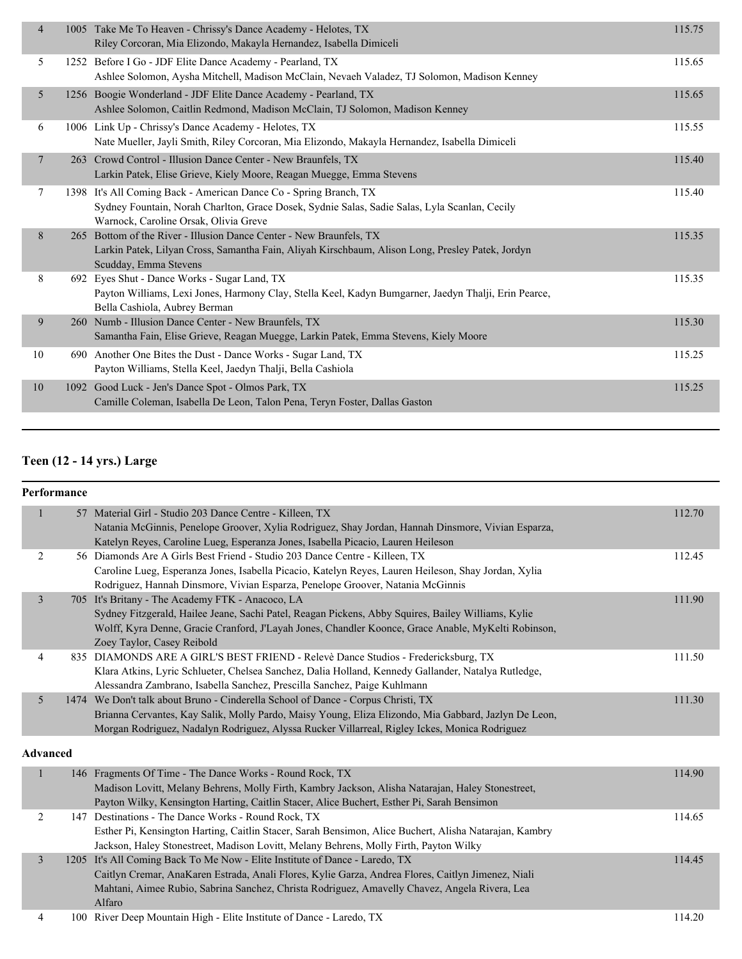| $\overline{4}$ | 1005 Take Me To Heaven - Chrissy's Dance Academy - Helotes, TX<br>Riley Corcoran, Mia Elizondo, Makayla Hernandez, Isabella Dimiceli                                                                        | 115.75 |
|----------------|-------------------------------------------------------------------------------------------------------------------------------------------------------------------------------------------------------------|--------|
| 5              | 1252 Before I Go - JDF Elite Dance Academy - Pearland, TX<br>Ashlee Solomon, Aysha Mitchell, Madison McClain, Nevaeh Valadez, TJ Solomon, Madison Kenney                                                    | 115.65 |
| 5              | 1256 Boogie Wonderland - JDF Elite Dance Academy - Pearland, TX<br>Ashlee Solomon, Caitlin Redmond, Madison McClain, TJ Solomon, Madison Kenney                                                             | 115.65 |
| 6              | 1006 Link Up - Chrissy's Dance Academy - Helotes, TX<br>Nate Mueller, Jayli Smith, Riley Corcoran, Mia Elizondo, Makayla Hernandez, Isabella Dimiceli                                                       | 115.55 |
| 7              | 263 Crowd Control - Illusion Dance Center - New Braunfels, TX<br>Larkin Patek, Elise Grieve, Kiely Moore, Reagan Muegge, Emma Stevens                                                                       | 115.40 |
| 7              | 1398 It's All Coming Back - American Dance Co - Spring Branch, TX<br>Sydney Fountain, Norah Charlton, Grace Dosek, Sydnie Salas, Sadie Salas, Lyla Scanlan, Cecily<br>Warnock, Caroline Orsak, Olivia Greve | 115.40 |
| 8              | 265 Bottom of the River - Illusion Dance Center - New Braunfels, TX<br>Larkin Patek, Lilyan Cross, Samantha Fain, Aliyah Kirschbaum, Alison Long, Presley Patek, Jordyn<br>Scudday, Emma Stevens            | 115.35 |
| 8              | 692 Eyes Shut - Dance Works - Sugar Land, TX<br>Payton Williams, Lexi Jones, Harmony Clay, Stella Keel, Kadyn Bumgarner, Jaedyn Thalji, Erin Pearce,<br>Bella Cashiola, Aubrey Berman                       | 115.35 |
| 9              | 260 Numb - Illusion Dance Center - New Braunfels, TX<br>Samantha Fain, Elise Grieve, Reagan Muegge, Larkin Patek, Emma Stevens, Kiely Moore                                                                 | 115.30 |
| 10             | 690 Another One Bites the Dust - Dance Works - Sugar Land, TX<br>Payton Williams, Stella Keel, Jaedyn Thalii, Bella Cashiola                                                                                | 115.25 |
| 10             | 1092 Good Luck - Jen's Dance Spot - Olmos Park, TX<br>Camille Coleman, Isabella De Leon, Talon Pena, Teryn Foster, Dallas Gaston                                                                            | 115.25 |
|                |                                                                                                                                                                                                             |        |

#### **Teen (12 - 14 yrs.) Large**

#### **Performance** 1 57 Material Girl - Studio 203 Dance Centre - Killeen, TX 112.70 Natania McGinnis, Penelope Groover, Xylia Rodriguez, Shay Jordan, Hannah Dinsmore, Vivian Esparza, Katelyn Reyes, Caroline Lueg, Esperanza Jones, Isabella Picacio, Lauren Heileson 2 56 Diamonds Are A Girls Best Friend - Studio 203 Dance Centre - Killeen, TX 112.45 Caroline Lueg, Esperanza Jones, Isabella Picacio, Katelyn Reyes, Lauren Heileson, Shay Jordan, Xylia Rodriguez, Hannah Dinsmore, Vivian Esparza, Penelope Groover, Natania McGinnis 3 705 It's Britany - The Academy FTK - Anacoco, LA 111.90 Sydney Fitzgerald, Hailee Jeane, Sachi Patel, Reagan Pickens, Abby Squires, Bailey Williams, Kylie Wolff, Kyra Denne, Gracie Cranford, J'Layah Jones, Chandler Koonce, Grace Anable, MyKelti Robinson, Zoey Taylor, Casey Reibold 4 835 DIAMONDS ARE A GIRL'S BEST FRIEND - Relevè Dance Studios - Fredericksburg, TX 111.50 Klara Atkins, Lyric Schlueter, Chelsea Sanchez, Dalia Holland, Kennedy Gallander, Natalya Rutledge, Alessandra Zambrano, Isabella Sanchez, Prescilla Sanchez, Paige Kuhlmann 5 1474 We Don't talk about Bruno - Cinderella School of Dance - Corpus Christi, TX 111.30 Brianna Cervantes, Kay Salik, Molly Pardo, Maisy Young, Eliza Elizondo, Mia Gabbard, Jazlyn De Leon, Morgan Rodriguez, Nadalyn Rodriguez, Alyssa Rucker Villarreal, Rigley Ickes, Monica Rodriguez **Advanced** 146 Fragments Of Time - The Dance Works - Round Rock, TX 114.90 Madison Lovitt, Melany Behrens, Molly Firth, Kambry Jackson, Alisha Natarajan, Haley Stonestreet,

|  | Madison Lovitt, Melany Behrens, Molly Firth, Kambry Jackson, Alisha Natarajan, Haley Stonestreet,      |        |
|--|--------------------------------------------------------------------------------------------------------|--------|
|  | Payton Wilky, Kensington Harting, Caitlin Stacer, Alice Buchert, Esther Pi, Sarah Bensimon             |        |
|  | 147 Destinations - The Dance Works - Round Rock, TX                                                    | 114.65 |
|  | Esther Pi, Kensington Harting, Caitlin Stacer, Sarah Bensimon, Alice Buchert, Alisha Natarajan, Kambry |        |
|  | Jackson, Haley Stonestreet, Madison Lovitt, Melany Behrens, Molly Firth, Payton Wilky                  |        |
|  | 1205 It's All Coming Back To Me Now - Elite Institute of Dance - Laredo, TX                            | 114.45 |
|  | Caitlyn Cremar, AnaKaren Estrada, Anali Flores, Kylie Garza, Andrea Flores, Caitlyn Jimenez, Niali     |        |
|  | Mahtani, Aimee Rubio, Sabrina Sanchez, Christa Rodriguez, Amavelly Chavez, Angela Rivera, Lea          |        |
|  | Alfaro                                                                                                 |        |
|  | 100 River Deep Mountain High - Elite Institute of Dance - Laredo, TX                                   | 114.20 |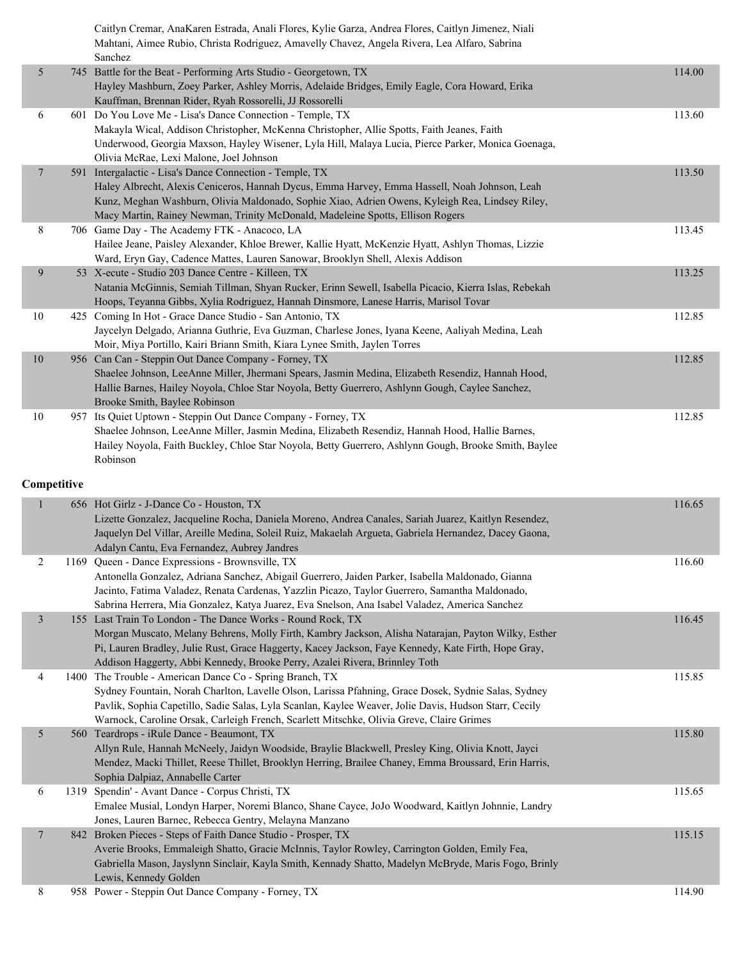|                |     | Caitlyn Cremar, AnaKaren Estrada, Anali Flores, Kylie Garza, Andrea Flores, Caitlyn Jimenez, Niali<br>Mahtani, Aimee Rubio, Christa Rodriguez, Amavelly Chavez, Angela Rivera, Lea Alfaro, Sabrina<br>Sanchez                                                                                                                              |        |
|----------------|-----|--------------------------------------------------------------------------------------------------------------------------------------------------------------------------------------------------------------------------------------------------------------------------------------------------------------------------------------------|--------|
| 5              |     | 745 Battle for the Beat - Performing Arts Studio - Georgetown, TX<br>Hayley Mashburn, Zoey Parker, Ashley Morris, Adelaide Bridges, Emily Eagle, Cora Howard, Erika<br>Kauffman, Brennan Rider, Ryah Rossorelli, JJ Rossorelli                                                                                                             | 114.00 |
| 6              |     | 601 Do You Love Me - Lisa's Dance Connection - Temple, TX<br>Makayla Wical, Addison Christopher, McKenna Christopher, Allie Spotts, Faith Jeanes, Faith<br>Underwood, Georgia Maxson, Hayley Wisener, Lyla Hill, Malaya Lucia, Pierce Parker, Monica Goenaga,<br>Olivia McRae, Lexi Malone, Joel Johnson                                   | 113.60 |
| $\overline{7}$ | 591 | Intergalactic - Lisa's Dance Connection - Temple, TX<br>Haley Albrecht, Alexis Ceniceros, Hannah Dycus, Emma Harvey, Emma Hassell, Noah Johnson, Leah<br>Kunz, Meghan Washburn, Olivia Maldonado, Sophie Xiao, Adrien Owens, Kyleigh Rea, Lindsey Riley,<br>Macy Martin, Rainey Newman, Trinity McDonald, Madeleine Spotts, Ellison Rogers | 113.50 |
| 8              |     | 706 Game Day - The Academy FTK - Anacoco, LA<br>Hailee Jeane, Paisley Alexander, Khloe Brewer, Kallie Hyatt, McKenzie Hyatt, Ashlyn Thomas, Lizzie<br>Ward, Eryn Gay, Cadence Mattes, Lauren Sanowar, Brooklyn Shell, Alexis Addison                                                                                                       | 113.45 |
| 9              |     | 53 X-ecute - Studio 203 Dance Centre - Killeen, TX<br>Natania McGinnis, Semiah Tillman, Shyan Rucker, Erinn Sewell, Isabella Picacio, Kierra Islas, Rebekah<br>Hoops, Teyanna Gibbs, Xylia Rodriguez, Hannah Dinsmore, Lanese Harris, Marisol Tovar                                                                                        | 113.25 |
| 10             |     | 425 Coming In Hot - Grace Dance Studio - San Antonio, TX<br>Jaycelyn Delgado, Arianna Guthrie, Eva Guzman, Charlese Jones, Iyana Keene, Aaliyah Medina, Leah<br>Moir, Miya Portillo, Kairi Briann Smith, Kiara Lynee Smith, Jaylen Torres                                                                                                  | 112.85 |
| $10\,$         |     | 956 Can Can - Steppin Out Dance Company - Forney, TX<br>Shaelee Johnson, LeeAnne Miller, Jhermani Spears, Jasmin Medina, Elizabeth Resendiz, Hannah Hood,<br>Hallie Barnes, Hailey Noyola, Chloe Star Noyola, Betty Guerrero, Ashlynn Gough, Caylee Sanchez,<br>Brooke Smith, Baylee Robinson                                              | 112.85 |
| 10             |     | 957 Its Quiet Uptown - Steppin Out Dance Company - Forney, TX<br>Shaelee Johnson, LeeAnne Miller, Jasmin Medina, Elizabeth Resendiz, Hannah Hood, Hallie Barnes,<br>Hailey Noyola, Faith Buckley, Chloe Star Noyola, Betty Guerrero, Ashlynn Gough, Brooke Smith, Baylee<br>Robinson                                                       | 112.85 |
| Competitive    |     |                                                                                                                                                                                                                                                                                                                                            |        |

| $\mathbf{1}$   | 656 Hot Girlz - J-Dance Co - Houston, TX                                                              | 116.65 |
|----------------|-------------------------------------------------------------------------------------------------------|--------|
|                | Lizette Gonzalez, Jacqueline Rocha, Daniela Moreno, Andrea Canales, Sariah Juarez, Kaitlyn Resendez,  |        |
|                | Jaquelyn Del Villar, Areille Medina, Soleil Ruiz, Makaelah Argueta, Gabriela Hernandez, Dacey Gaona,  |        |
|                | Adalyn Cantu, Eva Fernandez, Aubrey Jandres                                                           |        |
| $\overline{2}$ | 1169 Queen - Dance Expressions - Brownsville, TX                                                      | 116.60 |
|                | Antonella Gonzalez, Adriana Sanchez, Abigail Guerrero, Jaiden Parker, Isabella Maldonado, Gianna      |        |
|                | Jacinto, Fatima Valadez, Renata Cardenas, Yazzlin Picazo, Taylor Guerrero, Samantha Maldonado,        |        |
|                | Sabrina Herrera, Mia Gonzalez, Katya Juarez, Eva Snelson, Ana Isabel Valadez, America Sanchez         |        |
| $\mathfrak{Z}$ | 155 Last Train To London - The Dance Works - Round Rock, TX                                           | 116.45 |
|                | Morgan Muscato, Melany Behrens, Molly Firth, Kambry Jackson, Alisha Natarajan, Payton Wilky, Esther   |        |
|                | Pi, Lauren Bradley, Julie Rust, Grace Haggerty, Kacey Jackson, Faye Kennedy, Kate Firth, Hope Gray,   |        |
|                | Addison Haggerty, Abbi Kennedy, Brooke Perry, Azalei Rivera, Brinnley Toth                            |        |
| 4              | 1400 The Trouble - American Dance Co - Spring Branch, TX                                              | 115.85 |
|                | Sydney Fountain, Norah Charlton, Lavelle Olson, Larissa Pfahning, Grace Dosek, Sydnie Salas, Sydney   |        |
|                | Pavlik, Sophia Capetillo, Sadie Salas, Lyla Scanlan, Kaylee Weaver, Jolie Davis, Hudson Starr, Cecily |        |
|                | Warnock, Caroline Orsak, Carleigh French, Scarlett Mitschke, Olivia Greve, Claire Grimes              |        |
| 5              | 560 Teardrops - iRule Dance - Beaumont, TX                                                            | 115.80 |
|                | Allyn Rule, Hannah McNeely, Jaidyn Woodside, Braylie Blackwell, Presley King, Olivia Knott, Jayci     |        |
|                | Mendez, Macki Thillet, Reese Thillet, Brooklyn Herring, Brailee Chaney, Emma Broussard, Erin Harris,  |        |
|                | Sophia Dalpiaz, Annabelle Carter                                                                      |        |
| 6              | 1319 Spendin' - Avant Dance - Corpus Christi, TX                                                      | 115.65 |
|                | Emalee Musial, Londyn Harper, Noremi Blanco, Shane Cayce, JoJo Woodward, Kaitlyn Johnnie, Landry      |        |
|                | Jones, Lauren Barnec, Rebecca Gentry, Melayna Manzano                                                 |        |
| $\overline{7}$ | 842 Broken Pieces - Steps of Faith Dance Studio - Prosper, TX                                         | 115.15 |
|                | Averie Brooks, Emmaleigh Shatto, Gracie McInnis, Taylor Rowley, Carrington Golden, Emily Fea,         |        |
|                | Gabriella Mason, Jayslynn Sinclair, Kayla Smith, Kennady Shatto, Madelyn McBryde, Maris Fogo, Brinly  |        |
|                | Lewis, Kennedy Golden                                                                                 |        |
| 8              | 958 Power - Steppin Out Dance Company - Forney, TX                                                    | 114.90 |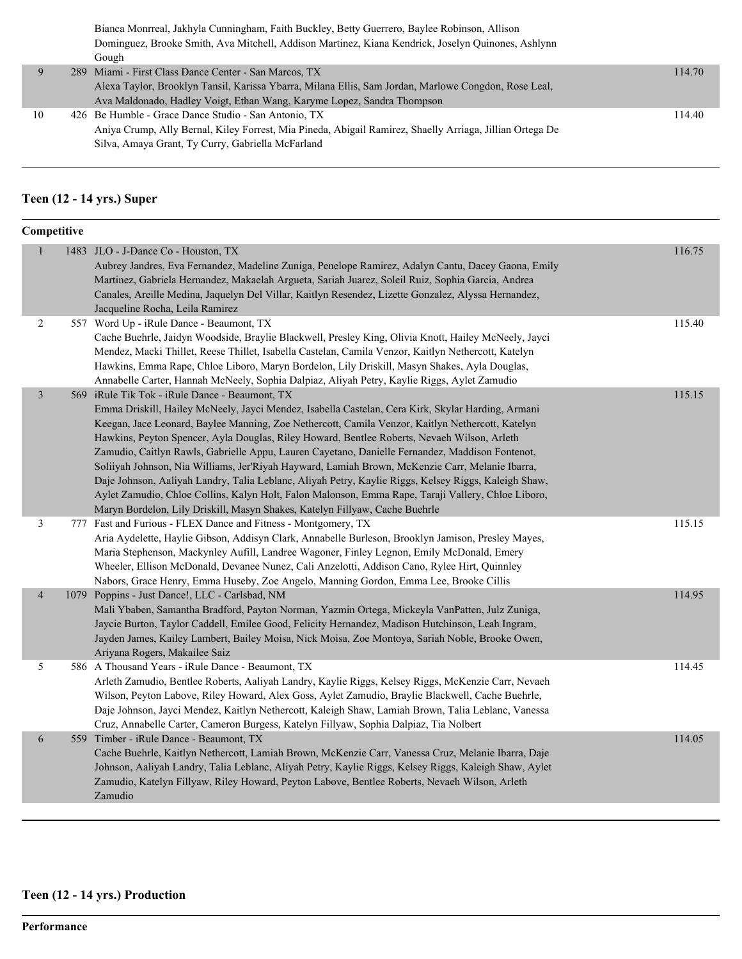|    | Bianca Monrreal, Jakhyla Cunningham, Faith Buckley, Betty Guerrero, Baylee Robinson, Allison             |        |
|----|----------------------------------------------------------------------------------------------------------|--------|
|    | Dominguez, Brooke Smith, Ava Mitchell, Addison Martinez, Kiana Kendrick, Joselyn Quinones, Ashlynn       |        |
|    | Gough                                                                                                    |        |
| 9  | 289 Miami - First Class Dance Center - San Marcos, TX                                                    | 114.70 |
|    | Alexa Taylor, Brooklyn Tansil, Karissa Ybarra, Milana Ellis, Sam Jordan, Marlowe Congdon, Rose Leal,     |        |
|    | Ava Maldonado, Hadley Voigt, Ethan Wang, Karyme Lopez, Sandra Thompson                                   |        |
| 10 | 426 Be Humble - Grace Dance Studio - San Antonio, TX                                                     | 114.40 |
|    | Aniya Crump, Ally Bernal, Kiley Forrest, Mia Pineda, Abigail Ramirez, Shaelly Arriaga, Jillian Ortega De |        |

# **Teen (12 - 14 yrs.) Super**

Silva, Amaya Grant, Ty Curry, Gabriella McFarland

| $\mathbf{1}$<br>1483 JLO - J-Dance Co - Houston, TX<br>116.75<br>Aubrey Jandres, Eva Fernandez, Madeline Zuniga, Penelope Ramirez, Adalyn Cantu, Dacey Gaona, Emily<br>Martinez, Gabriela Hernandez, Makaelah Argueta, Sariah Juarez, Soleil Ruiz, Sophia Garcia, Andrea<br>Canales, Areille Medina, Jaquelyn Del Villar, Kaitlyn Resendez, Lizette Gonzalez, Alyssa Hernandez,<br>Jacqueline Rocha, Leila Ramirez<br>$\overline{c}$<br>557 Word Up - iRule Dance - Beaumont, TX<br>115.40<br>Cache Buehrle, Jaidyn Woodside, Braylie Blackwell, Presley King, Olivia Knott, Hailey McNeely, Jayci<br>Mendez, Macki Thillet, Reese Thillet, Isabella Castelan, Camila Venzor, Kaitlyn Nethercott, Katelyn<br>Hawkins, Emma Rape, Chloe Liboro, Maryn Bordelon, Lily Driskill, Masyn Shakes, Ayla Douglas,<br>Annabelle Carter, Hannah McNeely, Sophia Dalpiaz, Aliyah Petry, Kaylie Riggs, Aylet Zamudio<br>3<br>115.15<br>569 iRule Tik Tok - iRule Dance - Beaumont, TX<br>Emma Driskill, Hailey McNeely, Jayci Mendez, Isabella Castelan, Cera Kirk, Skylar Harding, Armani<br>Keegan, Jace Leonard, Baylee Manning, Zoe Nethercott, Camila Venzor, Kaitlyn Nethercott, Katelyn<br>Hawkins, Peyton Spencer, Ayla Douglas, Riley Howard, Bentlee Roberts, Nevaeh Wilson, Arleth<br>Zamudio, Caitlyn Rawls, Gabrielle Appu, Lauren Cayetano, Danielle Fernandez, Maddison Fontenot,<br>Soliiyah Johnson, Nia Williams, Jer'Riyah Hayward, Lamiah Brown, McKenzie Carr, Melanie Ibarra,<br>Daje Johnson, Aaliyah Landry, Talia Leblanc, Aliyah Petry, Kaylie Riggs, Kelsey Riggs, Kaleigh Shaw,<br>Aylet Zamudio, Chloe Collins, Kalyn Holt, Falon Malonson, Emma Rape, Taraji Vallery, Chloe Liboro,<br>Maryn Bordelon, Lily Driskill, Masyn Shakes, Katelyn Fillyaw, Cache Buehrle<br>3<br>777 Fast and Furious - FLEX Dance and Fitness - Montgomery, TX<br>115.15<br>Aria Aydelette, Haylie Gibson, Addisyn Clark, Annabelle Burleson, Brooklyn Jamison, Presley Mayes,<br>Maria Stephenson, Mackynley Aufill, Landree Wagoner, Finley Legnon, Emily McDonald, Emery<br>Wheeler, Ellison McDonald, Devanee Nunez, Cali Anzelotti, Addison Cano, Rylee Hirt, Quinnley<br>Nabors, Grace Henry, Emma Huseby, Zoe Angelo, Manning Gordon, Emma Lee, Brooke Cillis<br>114.95<br>$\overline{4}$<br>1079 Poppins - Just Dance!, LLC - Carlsbad, NM<br>Mali Ybaben, Samantha Bradford, Payton Norman, Yazmin Ortega, Mickeyla VanPatten, Julz Zuniga,<br>Jaycie Burton, Taylor Caddell, Emilee Good, Felicity Hernandez, Madison Hutchinson, Leah Ingram,<br>Jayden James, Kailey Lambert, Bailey Moisa, Nick Moisa, Zoe Montoya, Sariah Noble, Brooke Owen,<br>Ariyana Rogers, Makailee Saiz<br>5<br>586 A Thousand Years - iRule Dance - Beaumont, TX<br>114.45<br>Arleth Zamudio, Bentlee Roberts, Aaliyah Landry, Kaylie Riggs, Kelsey Riggs, McKenzie Carr, Nevaeh<br>Wilson, Peyton Labove, Riley Howard, Alex Goss, Aylet Zamudio, Braylie Blackwell, Cache Buehrle,<br>Daje Johnson, Jayci Mendez, Kaitlyn Nethercott, Kaleigh Shaw, Lamiah Brown, Talia Leblanc, Vanessa<br>Cruz, Annabelle Carter, Cameron Burgess, Katelyn Fillyaw, Sophia Dalpiaz, Tia Nolbert<br>114.05<br>6<br>559 Timber - iRule Dance - Beaumont, TX<br>Cache Buehrle, Kaitlyn Nethercott, Lamiah Brown, McKenzie Carr, Vanessa Cruz, Melanie Ibarra, Daje<br>Johnson, Aaliyah Landry, Talia Leblanc, Aliyah Petry, Kaylie Riggs, Kelsey Riggs, Kaleigh Shaw, Aylet<br>Zamudio, Katelyn Fillyaw, Riley Howard, Peyton Labove, Bentlee Roberts, Nevaeh Wilson, Arleth<br>Zamudio | Competitive |  |  |  |  |
|-------------------------------------------------------------------------------------------------------------------------------------------------------------------------------------------------------------------------------------------------------------------------------------------------------------------------------------------------------------------------------------------------------------------------------------------------------------------------------------------------------------------------------------------------------------------------------------------------------------------------------------------------------------------------------------------------------------------------------------------------------------------------------------------------------------------------------------------------------------------------------------------------------------------------------------------------------------------------------------------------------------------------------------------------------------------------------------------------------------------------------------------------------------------------------------------------------------------------------------------------------------------------------------------------------------------------------------------------------------------------------------------------------------------------------------------------------------------------------------------------------------------------------------------------------------------------------------------------------------------------------------------------------------------------------------------------------------------------------------------------------------------------------------------------------------------------------------------------------------------------------------------------------------------------------------------------------------------------------------------------------------------------------------------------------------------------------------------------------------------------------------------------------------------------------------------------------------------------------------------------------------------------------------------------------------------------------------------------------------------------------------------------------------------------------------------------------------------------------------------------------------------------------------------------------------------------------------------------------------------------------------------------------------------------------------------------------------------------------------------------------------------------------------------------------------------------------------------------------------------------------------------------------------------------------------------------------------------------------------------------------------------------------------------------------------------------------------------------------------------------------------------------------------------------------------------------------------------------------------------------------------------------------------------------------------------------------------------------------------------------------------------------------------------------------------------------------------------------------------------------------------------------------------------------------------|-------------|--|--|--|--|
|                                                                                                                                                                                                                                                                                                                                                                                                                                                                                                                                                                                                                                                                                                                                                                                                                                                                                                                                                                                                                                                                                                                                                                                                                                                                                                                                                                                                                                                                                                                                                                                                                                                                                                                                                                                                                                                                                                                                                                                                                                                                                                                                                                                                                                                                                                                                                                                                                                                                                                                                                                                                                                                                                                                                                                                                                                                                                                                                                                                                                                                                                                                                                                                                                                                                                                                                                                                                                                                                                                                                                             |             |  |  |  |  |
|                                                                                                                                                                                                                                                                                                                                                                                                                                                                                                                                                                                                                                                                                                                                                                                                                                                                                                                                                                                                                                                                                                                                                                                                                                                                                                                                                                                                                                                                                                                                                                                                                                                                                                                                                                                                                                                                                                                                                                                                                                                                                                                                                                                                                                                                                                                                                                                                                                                                                                                                                                                                                                                                                                                                                                                                                                                                                                                                                                                                                                                                                                                                                                                                                                                                                                                                                                                                                                                                                                                                                             |             |  |  |  |  |
|                                                                                                                                                                                                                                                                                                                                                                                                                                                                                                                                                                                                                                                                                                                                                                                                                                                                                                                                                                                                                                                                                                                                                                                                                                                                                                                                                                                                                                                                                                                                                                                                                                                                                                                                                                                                                                                                                                                                                                                                                                                                                                                                                                                                                                                                                                                                                                                                                                                                                                                                                                                                                                                                                                                                                                                                                                                                                                                                                                                                                                                                                                                                                                                                                                                                                                                                                                                                                                                                                                                                                             |             |  |  |  |  |
|                                                                                                                                                                                                                                                                                                                                                                                                                                                                                                                                                                                                                                                                                                                                                                                                                                                                                                                                                                                                                                                                                                                                                                                                                                                                                                                                                                                                                                                                                                                                                                                                                                                                                                                                                                                                                                                                                                                                                                                                                                                                                                                                                                                                                                                                                                                                                                                                                                                                                                                                                                                                                                                                                                                                                                                                                                                                                                                                                                                                                                                                                                                                                                                                                                                                                                                                                                                                                                                                                                                                                             |             |  |  |  |  |
|                                                                                                                                                                                                                                                                                                                                                                                                                                                                                                                                                                                                                                                                                                                                                                                                                                                                                                                                                                                                                                                                                                                                                                                                                                                                                                                                                                                                                                                                                                                                                                                                                                                                                                                                                                                                                                                                                                                                                                                                                                                                                                                                                                                                                                                                                                                                                                                                                                                                                                                                                                                                                                                                                                                                                                                                                                                                                                                                                                                                                                                                                                                                                                                                                                                                                                                                                                                                                                                                                                                                                             |             |  |  |  |  |
|                                                                                                                                                                                                                                                                                                                                                                                                                                                                                                                                                                                                                                                                                                                                                                                                                                                                                                                                                                                                                                                                                                                                                                                                                                                                                                                                                                                                                                                                                                                                                                                                                                                                                                                                                                                                                                                                                                                                                                                                                                                                                                                                                                                                                                                                                                                                                                                                                                                                                                                                                                                                                                                                                                                                                                                                                                                                                                                                                                                                                                                                                                                                                                                                                                                                                                                                                                                                                                                                                                                                                             |             |  |  |  |  |
|                                                                                                                                                                                                                                                                                                                                                                                                                                                                                                                                                                                                                                                                                                                                                                                                                                                                                                                                                                                                                                                                                                                                                                                                                                                                                                                                                                                                                                                                                                                                                                                                                                                                                                                                                                                                                                                                                                                                                                                                                                                                                                                                                                                                                                                                                                                                                                                                                                                                                                                                                                                                                                                                                                                                                                                                                                                                                                                                                                                                                                                                                                                                                                                                                                                                                                                                                                                                                                                                                                                                                             |             |  |  |  |  |

# **Teen (12 - 14 yrs.) Production**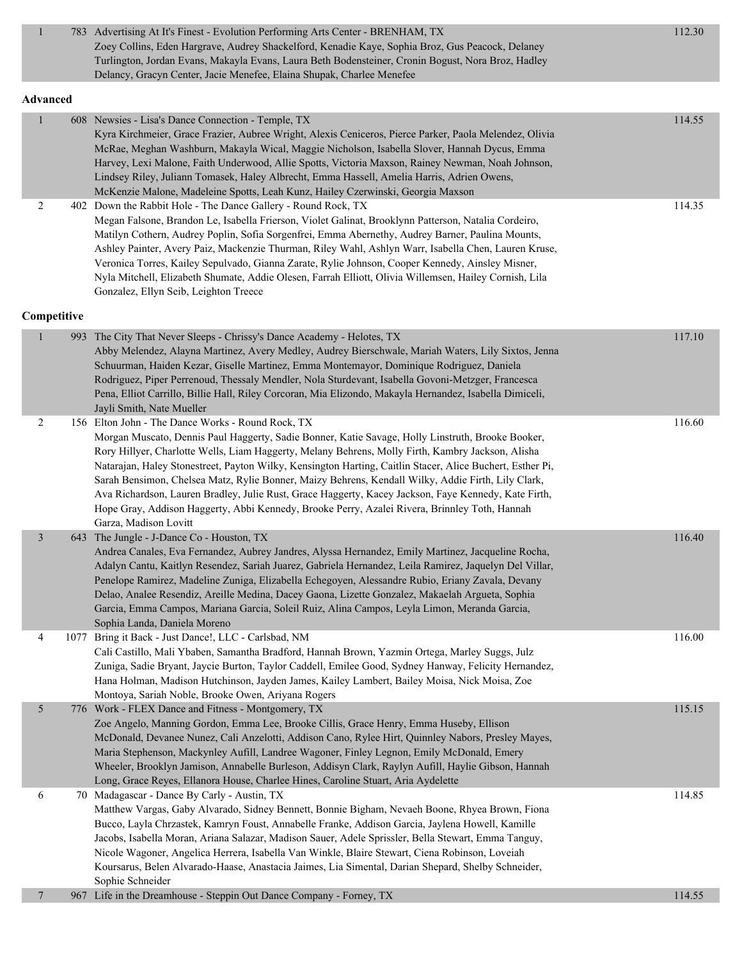| $\mathbf{1}$    | 783 Advertising At It's Finest - Evolution Performing Arts Center - BRENHAM, TX<br>Zoey Collins, Eden Hargrave, Audrey Shackelford, Kenadie Kaye, Sophia Broz, Gus Peacock, Delaney<br>Turlington, Jordan Evans, Makayla Evans, Laura Beth Bodensteiner, Cronin Bogust, Nora Broz, Hadley<br>Delancy, Gracyn Center, Jacie Menefee, Elaina Shupak, Charlee Menefee                                                                                                                                                                                                                                                                                                                                               | 112.30 |
|-----------------|------------------------------------------------------------------------------------------------------------------------------------------------------------------------------------------------------------------------------------------------------------------------------------------------------------------------------------------------------------------------------------------------------------------------------------------------------------------------------------------------------------------------------------------------------------------------------------------------------------------------------------------------------------------------------------------------------------------|--------|
| <b>Advanced</b> |                                                                                                                                                                                                                                                                                                                                                                                                                                                                                                                                                                                                                                                                                                                  |        |
|                 | 608 Newsies - Lisa's Dance Connection - Temple, TX<br>Kyra Kirchmeier, Grace Frazier, Aubree Wright, Alexis Ceniceros, Pierce Parker, Paola Melendez, Olivia<br>McRae, Meghan Washburn, Makayla Wical, Maggie Nicholson, Isabella Slover, Hannah Dycus, Emma<br>Harvey, Lexi Malone, Faith Underwood, Allie Spotts, Victoria Maxson, Rainey Newman, Noah Johnson,<br>Lindsey Riley, Juliann Tomasek, Haley Albrecht, Emma Hassell, Amelia Harris, Adrien Owens,<br>McKenzie Malone, Madeleine Spotts, Leah Kunz, Hailey Czerwinski, Georgia Maxson                                                                                                                                                               | 114.55 |
| 2               | 402 Down the Rabbit Hole - The Dance Gallery - Round Rock, TX<br>Megan Falsone, Brandon Le, Isabella Frierson, Violet Galinat, Brooklynn Patterson, Natalia Cordeiro,<br>Matilyn Cothern, Audrey Poplin, Sofia Sorgenfrei, Emma Abernethy, Audrey Barner, Paulina Mounts,<br>Ashley Painter, Avery Paiz, Mackenzie Thurman, Riley Wahl, Ashlyn Warr, Isabella Chen, Lauren Kruse,<br>Veronica Torres, Kailey Sepulvado, Gianna Zarate, Rylie Johnson, Cooper Kennedy, Ainsley Misner,<br>Nyla Mitchell, Elizabeth Shumate, Addie Olesen, Farrah Elliott, Olivia Willemsen, Hailey Cornish, Lila<br>Gonzalez, Ellyn Seib, Leighton Treece                                                                         | 114.35 |
| Competitive     |                                                                                                                                                                                                                                                                                                                                                                                                                                                                                                                                                                                                                                                                                                                  |        |
|                 | 993 The City That Never Sleeps - Chrissy's Dance Academy - Helotes, TX<br>Abby Melendez, Alayna Martinez, Avery Medley, Audrey Bierschwale, Mariah Waters, Lily Sixtos, Jenna<br>Schuurman, Haiden Kezar, Giselle Martinez, Emma Montemayor, Dominique Rodriguez, Daniela<br>Rodriguez, Piper Perrenoud, Thessaly Mendler, Nola Sturdevant, Isabella Govoni-Metzger, Francesca<br>Pena, Elliot Carrillo, Billie Hall, Riley Corcoran, Mia Elizondo, Makayla Hernandez, Isabella Dimiceli,<br>Jayli Smith, Nate Mueller                                                                                                                                                                                           | 117.10 |
| 2               | 156 Elton John - The Dance Works - Round Rock, TX<br>Morgan Muscato, Dennis Paul Haggerty, Sadie Bonner, Katie Savage, Holly Linstruth, Brooke Booker,<br>Rory Hillyer, Charlotte Wells, Liam Haggerty, Melany Behrens, Molly Firth, Kambry Jackson, Alisha<br>Natarajan, Haley Stonestreet, Payton Wilky, Kensington Harting, Caitlin Stacer, Alice Buchert, Esther Pi,<br>Sarah Bensimon, Chelsea Matz, Rylie Bonner, Maizy Behrens, Kendall Wilky, Addie Firth, Lily Clark,<br>Ava Richardson, Lauren Bradley, Julie Rust, Grace Haggerty, Kacey Jackson, Faye Kennedy, Kate Firth,<br>Hope Gray, Addison Haggerty, Abbi Kennedy, Brooke Perry, Azalei Rivera, Brinnley Toth, Hannah<br>Garza, Madison Lovitt | 116.60 |
| $\mathfrak{Z}$  | 643 The Jungle - J-Dance Co - Houston, TX<br>Andrea Canales, Eva Fernandez, Aubrey Jandres, Alyssa Hernandez, Emily Martinez, Jacqueline Rocha,<br>Adalyn Cantu, Kaitlyn Resendez, Sariah Juarez, Gabriela Hernandez, Leila Ramirez, Jaquelyn Del Villar,<br>Penelope Ramirez, Madeline Zuniga, Elizabella Echegoyen, Alessandre Rubio, Eriany Zavala, Devany<br>Delao, Analee Resendiz, Areille Medina, Dacey Gaona, Lizette Gonzalez, Makaelah Argueta, Sophia<br>Garcia, Emma Campos, Mariana Garcia, Soleil Ruiz, Alina Campos, Leyla Limon, Meranda Garcia,<br>Sophia Landa, Daniela Moreno                                                                                                                 | 116.40 |
| 4               | 1077 Bring it Back - Just Dance!, LLC - Carlsbad, NM<br>Cali Castillo, Mali Ybaben, Samantha Bradford, Hannah Brown, Yazmin Ortega, Marley Suggs, Julz<br>Zuniga, Sadie Bryant, Jaycie Burton, Taylor Caddell, Emilee Good, Sydney Hanway, Felicity Hernandez,<br>Hana Holman, Madison Hutchinson, Jayden James, Kailey Lambert, Bailey Moisa, Nick Moisa, Zoe<br>Montoya, Sariah Noble, Brooke Owen, Ariyana Rogers                                                                                                                                                                                                                                                                                             | 116.00 |
| 5               | 776 Work - FLEX Dance and Fitness - Montgomery, TX<br>Zoe Angelo, Manning Gordon, Emma Lee, Brooke Cillis, Grace Henry, Emma Huseby, Ellison<br>McDonald, Devanee Nunez, Cali Anzelotti, Addison Cano, Rylee Hirt, Quinnley Nabors, Presley Mayes,<br>Maria Stephenson, Mackynley Aufill, Landree Wagoner, Finley Legnon, Emily McDonald, Emery<br>Wheeler, Brooklyn Jamison, Annabelle Burleson, Addisyn Clark, Raylyn Aufill, Haylie Gibson, Hannah<br>Long, Grace Reyes, Ellanora House, Charlee Hines, Caroline Stuart, Aria Aydelette                                                                                                                                                                       | 115.15 |
| 6               | 70 Madagascar - Dance By Carly - Austin, TX<br>Matthew Vargas, Gaby Alvarado, Sidney Bennett, Bonnie Bigham, Nevaeh Boone, Rhyea Brown, Fiona<br>Bucco, Layla Chrzastek, Kamryn Foust, Annabelle Franke, Addison Garcia, Jaylena Howell, Kamille<br>Jacobs, Isabella Moran, Ariana Salazar, Madison Sauer, Adele Sprissler, Bella Stewart, Emma Tanguy,<br>Nicole Wagoner, Angelica Herrera, Isabella Van Winkle, Blaire Stewart, Ciena Robinson, Loveiah<br>Koursarus, Belen Alvarado-Haase, Anastacia Jaimes, Lia Simental, Darian Shepard, Shelby Schneider,<br>Sophie Schneider                                                                                                                              | 114.85 |
| 7               | 967 Life in the Dreamhouse - Steppin Out Dance Company - Forney, TX                                                                                                                                                                                                                                                                                                                                                                                                                                                                                                                                                                                                                                              | 114.55 |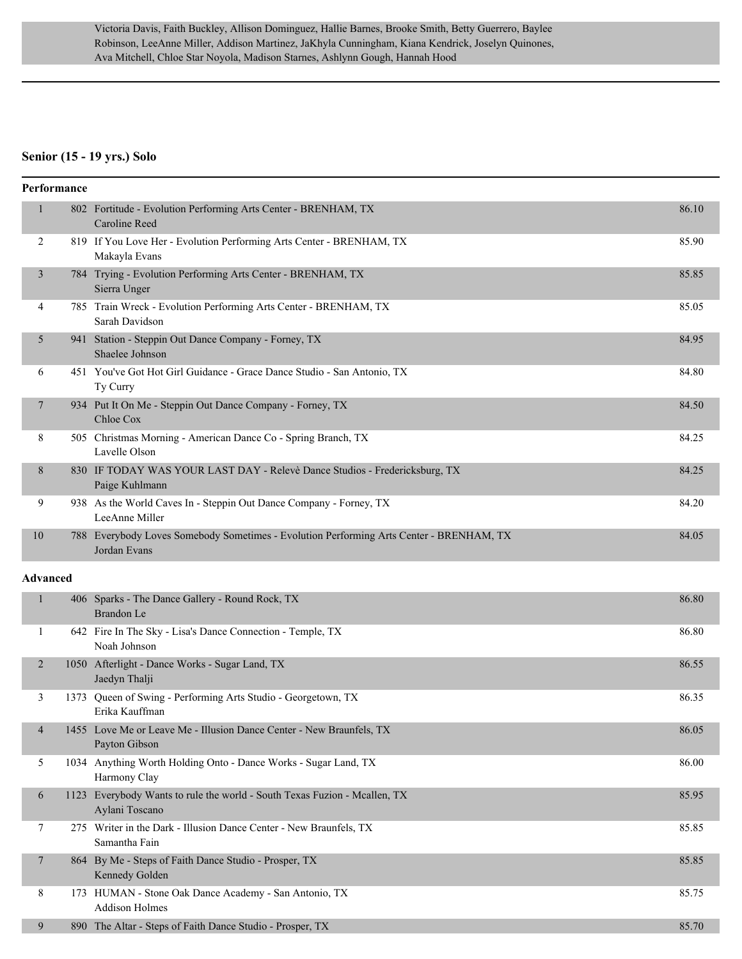#### **Senior (15 - 19 yrs.) Solo**

|              | Performance |                                                                                                         |       |
|--------------|-------------|---------------------------------------------------------------------------------------------------------|-------|
| $\mathbf{1}$ |             | 802 Fortitude - Evolution Performing Arts Center - BRENHAM, TX<br>Caroline Reed                         | 86.10 |
| 2            |             | 819 If You Love Her - Evolution Performing Arts Center - BRENHAM, TX<br>Makayla Evans                   | 85.90 |
| 3            |             | 784 Trying - Evolution Performing Arts Center - BRENHAM, TX<br>Sierra Unger                             | 85.85 |
| 4            |             | 785 Train Wreck - Evolution Performing Arts Center - BRENHAM, TX<br>Sarah Davidson                      | 85.05 |
| 5            |             | 941 Station - Steppin Out Dance Company - Forney, TX<br>Shaelee Johnson                                 | 84.95 |
| 6            |             | 451 You've Got Hot Girl Guidance - Grace Dance Studio - San Antonio, TX<br>Ty Curry                     | 84.80 |
| 7            |             | 934 Put It On Me - Steppin Out Dance Company - Forney, TX<br>Chloe Cox                                  | 84.50 |
| 8            |             | 505 Christmas Morning - American Dance Co - Spring Branch, TX<br>Lavelle Olson                          | 84.25 |
| 8            |             | 830 IF TODAY WAS YOUR LAST DAY - Relevè Dance Studios - Fredericksburg, TX<br>Paige Kuhlmann            | 84.25 |
| 9            |             | 938 As the World Caves In - Steppin Out Dance Company - Forney, TX<br>LeeAnne Miller                    | 84.20 |
| 10           |             | 788 Everybody Loves Somebody Sometimes - Evolution Performing Arts Center - BRENHAM, TX<br>Jordan Evans | 84.05 |
| Advanced     |             |                                                                                                         |       |
| $\mathbf{1}$ |             | 406 Sparks - The Dance Gallery - Round Rock, TX<br>Brandon Le                                           | 86.80 |
| 1            |             | 642 Fire In The Sky - Lisa's Dance Connection - Temple, TX<br>Noah Johnson                              | 86.80 |
| 2            |             | 1050 Afterlight - Dance Works - Sugar Land, TX<br>Jaedyn Thalji                                         | 86.55 |
| 3            |             | 1373 Queen of Swing - Performing Arts Studio - Georgetown, TX<br>Erika Kauffman                         | 86.35 |
| 4            |             | 1455 Love Me or Leave Me - Illusion Dance Center - New Braunfels, TX<br>Payton Gibson                   | 86.05 |
| 5            |             | 1034 Anything Worth Holding Onto - Dance Works - Sugar Land, TX<br>Harmony Clay                         | 86.00 |
| 6            |             | 1123 Everybody Wants to rule the world - South Texas Fuzion - Mcallen, TX<br>Aylani Toscano             | 85.95 |
| 7            |             | 275 Writer in the Dark - Illusion Dance Center - New Braunfels, TX<br>Samantha Fain                     | 85.85 |
| $\tau$       |             | 864 By Me - Steps of Faith Dance Studio - Prosper, TX<br>Kennedy Golden                                 | 85.85 |
| 8            |             | 173 HUMAN - Stone Oak Dance Academy - San Antonio, TX<br><b>Addison Holmes</b>                          | 85.75 |
| 9            |             | 890 The Altar - Steps of Faith Dance Studio - Prosper, TX                                               | 85.70 |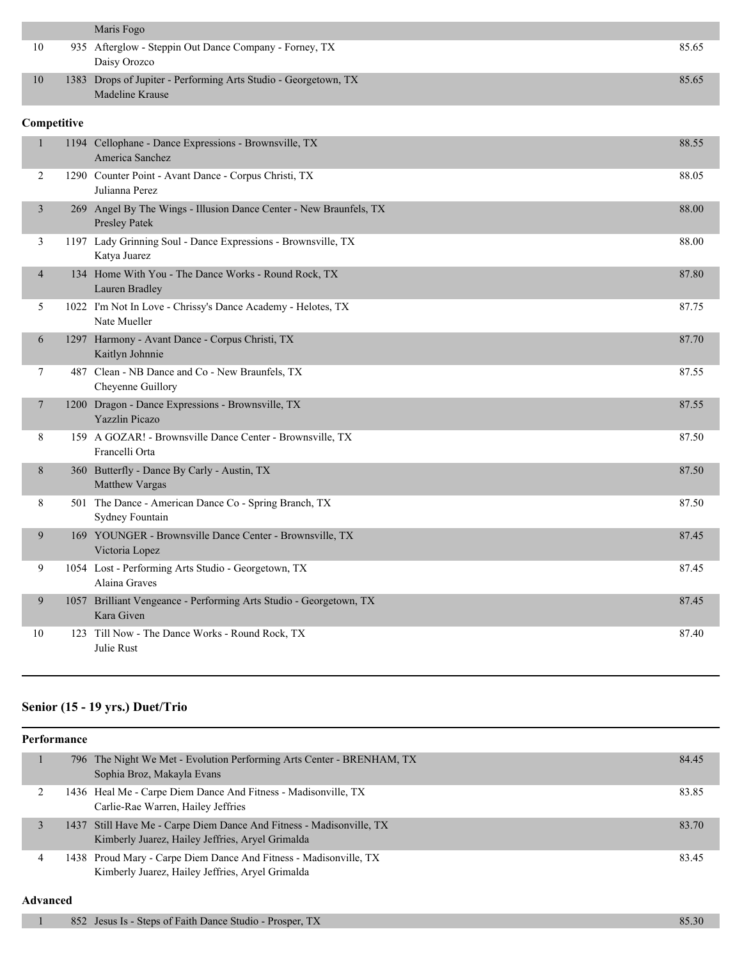|             | Maris Fogo                                                                          |       |
|-------------|-------------------------------------------------------------------------------------|-------|
| 10          | 935 Afterglow - Steppin Out Dance Company - Forney, TX<br>Daisy Orozco              | 85.65 |
| 10          | 1383 Drops of Jupiter - Performing Arts Studio - Georgetown, TX<br>Madeline Krause  | 85.65 |
| Competitive |                                                                                     |       |
| 1           | 1194 Cellophane - Dance Expressions - Brownsville, TX<br>America Sanchez            | 88.55 |
| 2           | 1290 Counter Point - Avant Dance - Corpus Christi, TX<br>Julianna Perez             | 88.05 |
| 3           | 269 Angel By The Wings - Illusion Dance Center - New Braunfels, TX<br>Presley Patek | 88.00 |
| 3           | 1197 Lady Grinning Soul - Dance Expressions - Brownsville, TX<br>Katya Juarez       | 88.00 |
| 4           | 134 Home With You - The Dance Works - Round Rock, TX<br>Lauren Bradley              | 87.80 |
| 5           | 1022 I'm Not In Love - Chrissy's Dance Academy - Helotes, TX<br>Nate Mueller        | 87.75 |
| 6           | 1297 Harmony - Avant Dance - Corpus Christi, TX<br>Kaitlyn Johnnie                  | 87.70 |
| 7           | 487 Clean - NB Dance and Co - New Braunfels, TX<br>Cheyenne Guillory                | 87.55 |
| 7           | 1200 Dragon - Dance Expressions - Brownsville, TX<br>Yazzlin Picazo                 | 87.55 |
| 8           | 159 A GOZAR! - Brownsville Dance Center - Brownsville, TX<br>Francelli Orta         | 87.50 |
| 8           | 360 Butterfly - Dance By Carly - Austin, TX<br>Matthew Vargas                       | 87.50 |
| 8           | 501 The Dance - American Dance Co - Spring Branch, TX<br>Sydney Fountain            | 87.50 |
| 9           | 169 YOUNGER - Brownsville Dance Center - Brownsville, TX<br>Victoria Lopez          | 87.45 |
| 9           | 1054 Lost - Performing Arts Studio - Georgetown, TX<br>Alaina Graves                | 87.45 |
| 9           | 1057 Brilliant Vengeance - Performing Arts Studio - Georgetown, TX<br>Kara Given    | 87.45 |
| 10          | 123 Till Now - The Dance Works - Round Rock, TX<br>Julie Rust                       | 87.40 |

# **Senior (15 - 19 yrs.) Duet/Trio**

| Performance |  |                                                                                                                          |       |
|-------------|--|--------------------------------------------------------------------------------------------------------------------------|-------|
|             |  | 796 The Night We Met - Evolution Performing Arts Center - BRENHAM, TX<br>Sophia Broz, Makayla Evans                      | 84.45 |
|             |  | 1436 Heal Me - Carpe Diem Dance And Fitness - Madisonville, TX<br>Carlie-Rae Warren, Hailey Jeffries                     | 83.85 |
|             |  | 1437 Still Have Me - Carpe Diem Dance And Fitness - Madisonville, TX<br>Kimberly Juarez, Hailey Jeffries, Aryel Grimalda | 83.70 |
|             |  | 1438 Proud Mary - Carpe Diem Dance And Fitness - Madisonville, TX<br>Kimberly Juarez, Hailey Jeffries, Aryel Grimalda    | 83.45 |

| 852 Jesus Is - Steps of Faith Dance Studio - Prosper, TX | 85.30 |
|----------------------------------------------------------|-------|
|                                                          |       |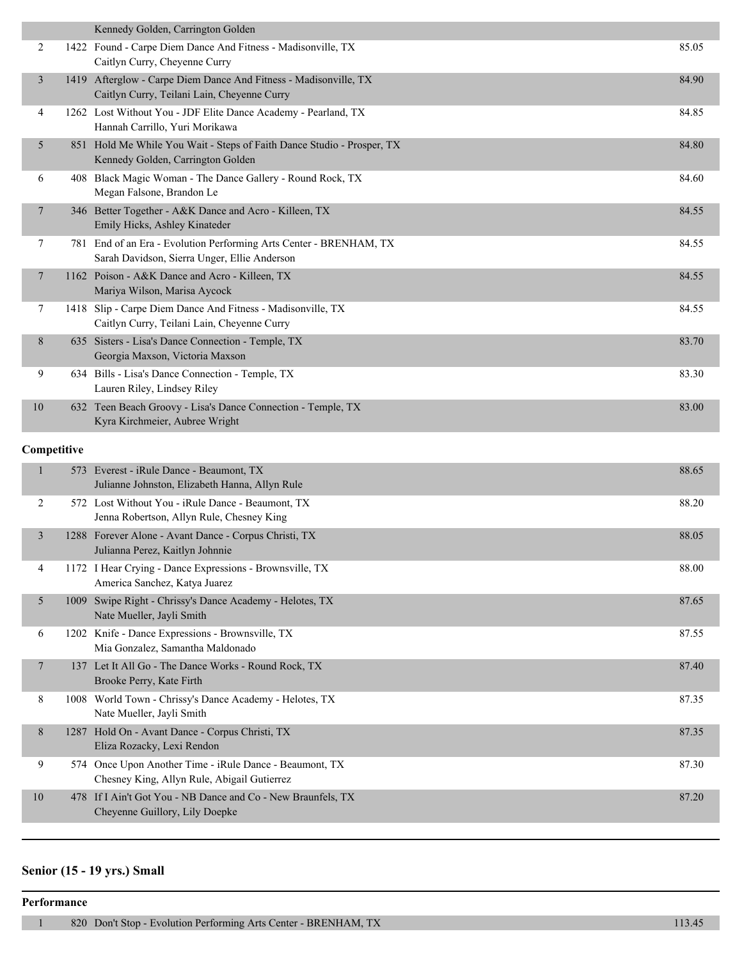|                 | Kennedy Golden, Carrington Golden                                                                                  |       |
|-----------------|--------------------------------------------------------------------------------------------------------------------|-------|
| 2               | 1422 Found - Carpe Diem Dance And Fitness - Madisonville, TX<br>Caitlyn Curry, Cheyenne Curry                      | 85.05 |
| 3               | 1419 Afterglow - Carpe Diem Dance And Fitness - Madisonville, TX<br>Caitlyn Curry, Teilani Lain, Cheyenne Curry    | 84.90 |
| 4               | 1262 Lost Without You - JDF Elite Dance Academy - Pearland, TX<br>Hannah Carrillo, Yuri Morikawa                   | 84.85 |
| 5               | 851 Hold Me While You Wait - Steps of Faith Dance Studio - Prosper, TX<br>Kennedy Golden, Carrington Golden        | 84.80 |
| 6               | 408 Black Magic Woman - The Dance Gallery - Round Rock, TX<br>Megan Falsone, Brandon Le                            | 84.60 |
| $7\phantom{.0}$ | 346 Better Together - A&K Dance and Acro - Killeen, TX<br>Emily Hicks, Ashley Kinateder                            | 84.55 |
| $\tau$          | 781 End of an Era - Evolution Performing Arts Center - BRENHAM, TX<br>Sarah Davidson, Sierra Unger, Ellie Anderson | 84.55 |
| 7               | 1162 Poison - A&K Dance and Acro - Killeen, TX<br>Mariya Wilson, Marisa Aycock                                     | 84.55 |
| 7               | 1418 Slip - Carpe Diem Dance And Fitness - Madisonville, TX<br>Caitlyn Curry, Teilani Lain, Cheyenne Curry         | 84.55 |
| 8               | 635 Sisters - Lisa's Dance Connection - Temple, TX<br>Georgia Maxson, Victoria Maxson                              | 83.70 |
| 9               | 634 Bills - Lisa's Dance Connection - Temple, TX<br>Lauren Riley, Lindsey Riley                                    | 83.30 |
| 10              | 632 Teen Beach Groovy - Lisa's Dance Connection - Temple, TX<br>Kyra Kirchmeier, Aubree Wright                     | 83.00 |

#### **Competitive**

|    | 573  | Everest - iRule Dance - Beaumont, TX<br>Julianne Johnston, Elizabeth Hanna, Allyn Rule                 | 88.65 |
|----|------|--------------------------------------------------------------------------------------------------------|-------|
| 2  |      | 572 Lost Without You - iRule Dance - Beaumont, TX<br>Jenna Robertson, Allyn Rule, Chesney King         | 88.20 |
| 3  | 1288 | Forever Alone - Avant Dance - Corpus Christi, TX<br>Julianna Perez, Kaitlyn Johnnie                    | 88.05 |
| 4  |      | 1172 I Hear Crying - Dance Expressions - Brownsville, TX<br>America Sanchez, Katya Juarez              | 88.00 |
| 5  | 1009 | Swipe Right - Chrissy's Dance Academy - Helotes, TX<br>Nate Mueller, Jayli Smith                       | 87.65 |
| 6  | 1202 | Knife - Dance Expressions - Brownsville, TX<br>Mia Gonzalez, Samantha Maldonado                        | 87.55 |
| 7  |      | 137 Let It All Go - The Dance Works - Round Rock, TX<br>Brooke Perry, Kate Firth                       | 87.40 |
| 8  | 1008 | World Town - Chrissy's Dance Academy - Helotes, TX<br>Nate Mueller, Jayli Smith                        | 87.35 |
| 8  | 1287 | Hold On - Avant Dance - Corpus Christi, TX<br>Eliza Rozacky, Lexi Rendon                               | 87.35 |
| 9  |      | 574 Once Upon Another Time - iRule Dance - Beaumont, TX<br>Chesney King, Allyn Rule, Abigail Gutierrez | 87.30 |
| 10 | 478  | If I Ain't Got You - NB Dance and Co - New Braunfels, TX<br>Cheyenne Guillory, Lily Doepke             | 87.20 |

# **Senior (15 - 19 yrs.) Small**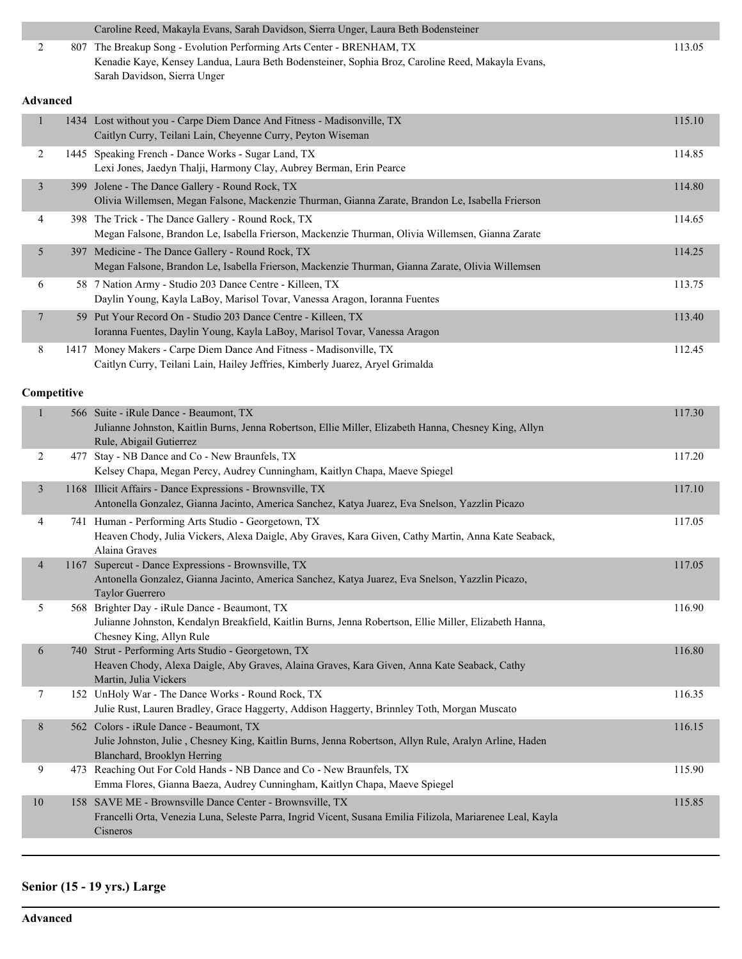|  | Caroline Reed, Makayla Evans, Sarah Davidson, Sierra Unger, Laura Beth Bodensteiner              |        |
|--|--------------------------------------------------------------------------------------------------|--------|
|  | 807 The Breakup Song - Evolution Performing Arts Center - BRENHAM, TX                            | 113.05 |
|  | Kenadie Kaye, Kensey Landua, Laura Beth Bodensteiner, Sophia Broz, Caroline Reed, Makayla Evans, |        |
|  | Sarah Davidson, Sierra Unger                                                                     |        |
|  |                                                                                                  |        |

#### **Advanced**

|                | 1434 Lost without you - Carpe Diem Dance And Fitness - Madisonville, TX<br>Caitlyn Curry, Teilani Lain, Cheyenne Curry, Peyton Wiseman                 | 115.10 |
|----------------|--------------------------------------------------------------------------------------------------------------------------------------------------------|--------|
| $\overline{2}$ | 1445 Speaking French - Dance Works - Sugar Land, TX<br>Lexi Jones, Jaedyn Thalji, Harmony Clay, Aubrey Berman, Erin Pearce                             | 114.85 |
| 3              | 399 Jolene - The Dance Gallery - Round Rock, TX<br>Olivia Willemsen, Megan Falsone, Mackenzie Thurman, Gianna Zarate, Brandon Le, Isabella Frierson    | 114.80 |
| 4              | 398 The Trick - The Dance Gallery - Round Rock, TX<br>Megan Falsone, Brandon Le, Isabella Frierson, Mackenzie Thurman, Olivia Willemsen, Gianna Zarate | 114.65 |
| 5              | 397 Medicine - The Dance Gallery - Round Rock, TX<br>Megan Falsone, Brandon Le, Isabella Frierson, Mackenzie Thurman, Gianna Zarate, Olivia Willemsen  | 114.25 |
| 6              | 58 7 Nation Army - Studio 203 Dance Centre - Killeen, TX<br>Daylin Young, Kayla LaBoy, Marisol Tovar, Vanessa Aragon, Ioranna Fuentes                  | 113.75 |
|                | 59 Put Your Record On - Studio 203 Dance Centre - Killeen, TX<br>Ioranna Fuentes, Daylin Young, Kayla LaBoy, Marisol Tovar, Vanessa Aragon             | 113.40 |
| 8              | 1417 Money Makers - Carpe Diem Dance And Fitness - Madisonville, TX<br>Caitlyn Curry, Teilani Lain, Hailey Jeffries, Kimberly Juarez, Aryel Grimalda   | 112.45 |

#### **Competitive**

| 1              |     | 566 Suite - iRule Dance - Beaumont, TX<br>Julianne Johnston, Kaitlin Burns, Jenna Robertson, Ellie Miller, Elizabeth Hanna, Chesney King, Allyn<br>Rule, Abigail Gutierrez          | 117.30 |
|----------------|-----|-------------------------------------------------------------------------------------------------------------------------------------------------------------------------------------|--------|
| $\overline{2}$ | 477 | Stay - NB Dance and Co - New Braunfels, TX<br>Kelsey Chapa, Megan Percy, Audrey Cunningham, Kaitlyn Chapa, Maeve Spiegel                                                            | 117.20 |
| $\mathfrak{Z}$ |     | 1168 Illicit Affairs - Dance Expressions - Brownsville, TX<br>Antonella Gonzalez, Gianna Jacinto, America Sanchez, Katya Juarez, Eva Snelson, Yazzlin Picazo                        | 117.10 |
| $\overline{4}$ |     | 741 Human - Performing Arts Studio - Georgetown, TX<br>Heaven Chody, Julia Vickers, Alexa Daigle, Aby Graves, Kara Given, Cathy Martin, Anna Kate Seaback,<br>Alaina Graves         | 117.05 |
| $\overline{4}$ |     | 1167 Supercut - Dance Expressions - Brownsville, TX<br>Antonella Gonzalez, Gianna Jacinto, America Sanchez, Katya Juarez, Eva Snelson, Yazzlin Picazo,<br>Taylor Guerrero           | 117.05 |
| 5              |     | 568 Brighter Day - iRule Dance - Beaumont, TX<br>Julianne Johnston, Kendalyn Breakfield, Kaitlin Burns, Jenna Robertson, Ellie Miller, Elizabeth Hanna,<br>Chesney King, Allyn Rule | 116.90 |
| 6              |     | 740 Strut - Performing Arts Studio - Georgetown, TX<br>Heaven Chody, Alexa Daigle, Aby Graves, Alaina Graves, Kara Given, Anna Kate Seaback, Cathy<br>Martin, Julia Vickers         | 116.80 |
| 7              |     | 152 UnHoly War - The Dance Works - Round Rock, TX<br>Julie Rust, Lauren Bradley, Grace Haggerty, Addison Haggerty, Brinnley Toth, Morgan Muscato                                    | 116.35 |
| 8              |     | 562 Colors - iRule Dance - Beaumont, TX<br>Julie Johnston, Julie, Chesney King, Kaitlin Burns, Jenna Robertson, Allyn Rule, Aralyn Arline, Haden<br>Blanchard, Brooklyn Herring     | 116.15 |
| 9              | 473 | Reaching Out For Cold Hands - NB Dance and Co - New Braunfels, TX<br>Emma Flores, Gianna Baeza, Audrey Cunningham, Kaitlyn Chapa, Maeve Spiegel                                     | 115.90 |
| 10             |     | 158 SAVE ME - Brownsville Dance Center - Brownsville, TX<br>Francelli Orta, Venezia Luna, Seleste Parra, Ingrid Vicent, Susana Emilia Filizola, Mariarenee Leal, Kayla<br>Cisneros  | 115.85 |

# **Senior (15 - 19 yrs.) Large**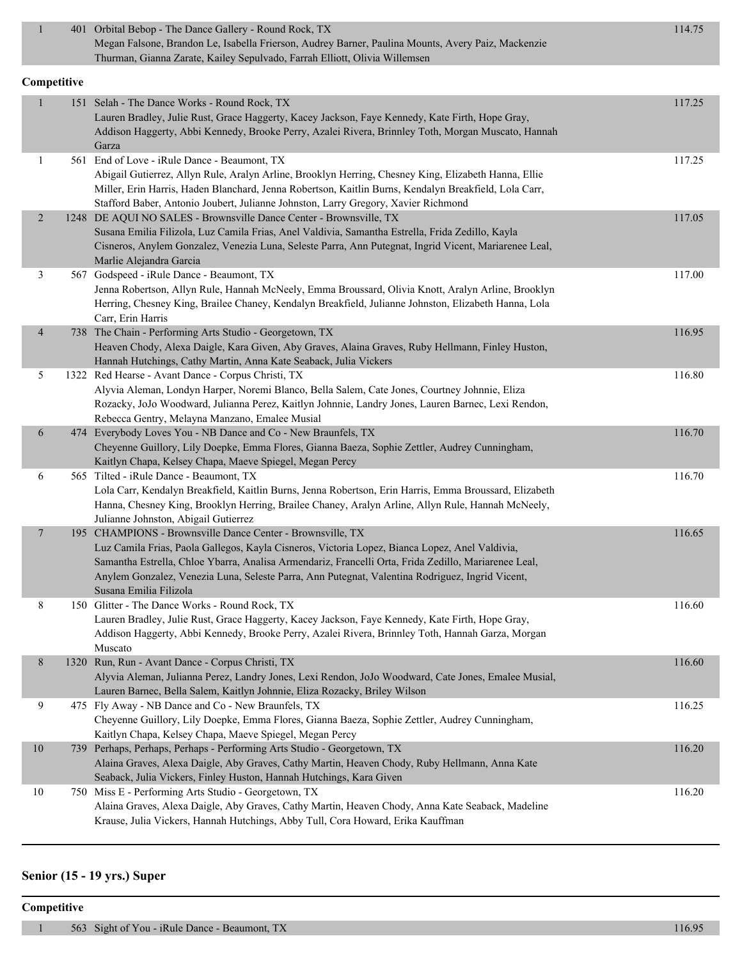| $\mathbf{1}$             | 401 Orbital Bebop - The Dance Gallery - Round Rock, TX                                                                                                                                                  | 114.75 |
|--------------------------|---------------------------------------------------------------------------------------------------------------------------------------------------------------------------------------------------------|--------|
|                          | Megan Falsone, Brandon Le, Isabella Frierson, Audrey Barner, Paulina Mounts, Avery Paiz, Mackenzie<br>Thurman, Gianna Zarate, Kailey Sepulvado, Farrah Elliott, Olivia Willemsen                        |        |
| Competitive              |                                                                                                                                                                                                         |        |
|                          | 151 Selah - The Dance Works - Round Rock, TX                                                                                                                                                            | 117.25 |
|                          | Lauren Bradley, Julie Rust, Grace Haggerty, Kacey Jackson, Faye Kennedy, Kate Firth, Hope Gray,                                                                                                         |        |
|                          | Addison Haggerty, Abbi Kennedy, Brooke Perry, Azalei Rivera, Brinnley Toth, Morgan Muscato, Hannah                                                                                                      |        |
|                          | Garza                                                                                                                                                                                                   |        |
| 1                        | 561 End of Love - iRule Dance - Beaumont, TX                                                                                                                                                            | 117.25 |
|                          | Abigail Gutierrez, Allyn Rule, Aralyn Arline, Brooklyn Herring, Chesney King, Elizabeth Hanna, Ellie                                                                                                    |        |
|                          | Miller, Erin Harris, Haden Blanchard, Jenna Robertson, Kaitlin Burns, Kendalyn Breakfield, Lola Carr,                                                                                                   |        |
|                          | Stafford Baber, Antonio Joubert, Julianne Johnston, Larry Gregory, Xavier Richmond                                                                                                                      |        |
| $\overline{2}$           | 1248 DE AQUI NO SALES - Brownsville Dance Center - Brownsville, TX                                                                                                                                      | 117.05 |
|                          | Susana Emilia Filizola, Luz Camila Frias, Anel Valdivia, Samantha Estrella, Frida Zedillo, Kayla                                                                                                        |        |
|                          | Cisneros, Anylem Gonzalez, Venezia Luna, Seleste Parra, Ann Putegnat, Ingrid Vicent, Mariarenee Leal,                                                                                                   |        |
|                          | Marlie Alejandra Garcia                                                                                                                                                                                 |        |
| 3                        | 567 Godspeed - iRule Dance - Beaumont, TX                                                                                                                                                               | 117.00 |
|                          | Jenna Robertson, Allyn Rule, Hannah McNeely, Emma Broussard, Olivia Knott, Aralyn Arline, Brooklyn                                                                                                      |        |
|                          | Herring, Chesney King, Brailee Chaney, Kendalyn Breakfield, Julianne Johnston, Elizabeth Hanna, Lola                                                                                                    |        |
|                          | Carr, Erin Harris                                                                                                                                                                                       |        |
| $\overline{\mathcal{A}}$ | 738 The Chain - Performing Arts Studio - Georgetown, TX                                                                                                                                                 | 116.95 |
|                          | Heaven Chody, Alexa Daigle, Kara Given, Aby Graves, Alaina Graves, Ruby Hellmann, Finley Huston,                                                                                                        |        |
|                          | Hannah Hutchings, Cathy Martin, Anna Kate Seaback, Julia Vickers                                                                                                                                        |        |
| 5                        | 1322 Red Hearse - Avant Dance - Corpus Christi, TX                                                                                                                                                      | 116.80 |
|                          | Alyvia Aleman, Londyn Harper, Noremi Blanco, Bella Salem, Cate Jones, Courtney Johnnie, Eliza                                                                                                           |        |
|                          | Rozacky, JoJo Woodward, Julianna Perez, Kaitlyn Johnnie, Landry Jones, Lauren Barnec, Lexi Rendon,                                                                                                      |        |
|                          | Rebecca Gentry, Melayna Manzano, Emalee Musial                                                                                                                                                          |        |
| 6                        | 474 Everybody Loves You - NB Dance and Co - New Braunfels, TX                                                                                                                                           | 116.70 |
|                          | Cheyenne Guillory, Lily Doepke, Emma Flores, Gianna Baeza, Sophie Zettler, Audrey Cunningham,                                                                                                           |        |
|                          | Kaitlyn Chapa, Kelsey Chapa, Maeve Spiegel, Megan Percy                                                                                                                                                 |        |
| 6                        | 565 Tilted - iRule Dance - Beaumont, TX                                                                                                                                                                 | 116.70 |
|                          | Lola Carr, Kendalyn Breakfield, Kaitlin Burns, Jenna Robertson, Erin Harris, Emma Broussard, Elizabeth                                                                                                  |        |
|                          | Hanna, Chesney King, Brooklyn Herring, Brailee Chaney, Aralyn Arline, Allyn Rule, Hannah McNeely,                                                                                                       |        |
|                          | Julianne Johnston, Abigail Gutierrez                                                                                                                                                                    |        |
| 7                        | 195 CHAMPIONS - Brownsville Dance Center - Brownsville, TX                                                                                                                                              | 116.65 |
|                          | Luz Camila Frias, Paola Gallegos, Kayla Cisneros, Victoria Lopez, Bianca Lopez, Anel Valdivia,                                                                                                          |        |
|                          | Samantha Estrella, Chloe Ybarra, Analisa Armendariz, Francelli Orta, Frida Zedillo, Mariarenee Leal,<br>Anylem Gonzalez, Venezia Luna, Seleste Parra, Ann Putegnat, Valentina Rodriguez, Ingrid Vicent, |        |
|                          | Susana Emilia Filizola                                                                                                                                                                                  |        |
| 8                        | 150 Glitter - The Dance Works - Round Rock, TX                                                                                                                                                          | 116.60 |
|                          | Lauren Bradley, Julie Rust, Grace Haggerty, Kacey Jackson, Faye Kennedy, Kate Firth, Hope Gray,                                                                                                         |        |
|                          | Addison Haggerty, Abbi Kennedy, Brooke Perry, Azalei Rivera, Brinnley Toth, Hannah Garza, Morgan                                                                                                        |        |
|                          | Muscato                                                                                                                                                                                                 |        |
| 8                        | 1320 Run, Run - Avant Dance - Corpus Christi, TX                                                                                                                                                        | 116.60 |
|                          | Alyvia Aleman, Julianna Perez, Landry Jones, Lexi Rendon, JoJo Woodward, Cate Jones, Emalee Musial,                                                                                                     |        |
|                          | Lauren Barnec, Bella Salem, Kaitlyn Johnnie, Eliza Rozacky, Briley Wilson                                                                                                                               |        |
| 9                        | 475 Fly Away - NB Dance and Co - New Braunfels, TX                                                                                                                                                      | 116.25 |
|                          | Cheyenne Guillory, Lily Doepke, Emma Flores, Gianna Baeza, Sophie Zettler, Audrey Cunningham,                                                                                                           |        |
|                          | Kaitlyn Chapa, Kelsey Chapa, Maeve Spiegel, Megan Percy                                                                                                                                                 |        |
| $10\,$                   | 739 Perhaps, Perhaps, Perhaps - Performing Arts Studio - Georgetown, TX                                                                                                                                 | 116.20 |
|                          | Alaina Graves, Alexa Daigle, Aby Graves, Cathy Martin, Heaven Chody, Ruby Hellmann, Anna Kate                                                                                                           |        |
|                          | Seaback, Julia Vickers, Finley Huston, Hannah Hutchings, Kara Given                                                                                                                                     |        |
| $10\,$                   | 750 Miss E - Performing Arts Studio - Georgetown, TX                                                                                                                                                    | 116.20 |
|                          | Alaina Graves, Alexa Daigle, Aby Graves, Cathy Martin, Heaven Chody, Anna Kate Seaback, Madeline                                                                                                        |        |
|                          | Krause, Julia Vickers, Hannah Hutchings, Abby Tull, Cora Howard, Erika Kauffman                                                                                                                         |        |

# **Senior (15 - 19 yrs.) Super**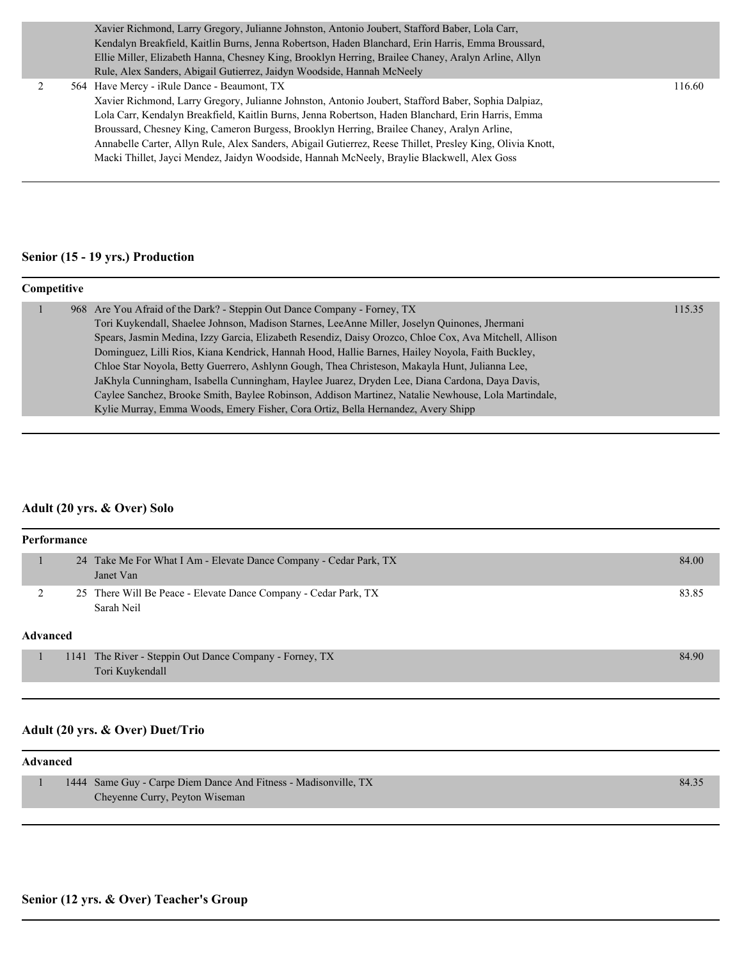|   |  | Xavier Richmond, Larry Gregory, Julianne Johnston, Antonio Joubert, Stafford Baber, Lola Carr,            |        |
|---|--|-----------------------------------------------------------------------------------------------------------|--------|
|   |  | Kendalyn Breakfield, Kaitlin Burns, Jenna Robertson, Haden Blanchard, Erin Harris, Emma Broussard,        |        |
|   |  | Ellie Miller, Elizabeth Hanna, Chesney King, Brooklyn Herring, Brailee Chaney, Aralyn Arline, Allyn       |        |
|   |  | Rule, Alex Sanders, Abigail Gutierrez, Jaidyn Woodside, Hannah McNeely                                    |        |
| 2 |  | 564 Have Mercy - iRule Dance - Beaumont, TX                                                               | 116.60 |
|   |  | Xavier Richmond, Larry Gregory, Julianne Johnston, Antonio Joubert, Stafford Baber, Sophia Dalpiaz,       |        |
|   |  | Lola Carr, Kendalyn Breakfield, Kaitlin Burns, Jenna Robertson, Haden Blanchard, Erin Harris, Emma        |        |
|   |  | Broussard, Chesney King, Cameron Burgess, Brooklyn Herring, Brailee Chaney, Aralyn Arline,                |        |
|   |  | Annabelle Carter, Allyn Rule, Alex Sanders, Abigail Gutierrez, Reese Thillet, Presley King, Olivia Knott, |        |
|   |  | Macki Thillet, Jayci Mendez, Jaidyn Woodside, Hannah McNeely, Braylie Blackwell, Alex Goss                |        |
|   |  |                                                                                                           |        |

# **Senior (15 - 19 yrs.) Production**

#### **Competitive**

|  | 968 Are You Afraid of the Dark? - Steppin Out Dance Company - Forney, TX                               | 115.35 |
|--|--------------------------------------------------------------------------------------------------------|--------|
|  | Tori Kuykendall, Shaelee Johnson, Madison Starnes, LeeAnne Miller, Joselyn Quinones, Jhermani          |        |
|  | Spears, Jasmin Medina, Izzy Garcia, Elizabeth Resendiz, Daisy Orozco, Chloe Cox, Ava Mitchell, Allison |        |
|  | Dominguez, Lilli Rios, Kiana Kendrick, Hannah Hood, Hallie Barnes, Hailey Noyola, Faith Buckley,       |        |
|  | Chloe Star Noyola, Betty Guerrero, Ashlynn Gough, Thea Christeson, Makayla Hunt, Julianna Lee,         |        |
|  | JaKhyla Cunningham, Isabella Cunningham, Haylee Juarez, Dryden Lee, Diana Cardona, Daya Davis,         |        |
|  | Caylee Sanchez, Brooke Smith, Baylee Robinson, Addison Martinez, Natalie Newhouse, Lola Martindale,    |        |
|  | Kylie Murray, Emma Woods, Emery Fisher, Cora Ortiz, Bella Hernandez, Avery Shipp                       |        |

# **Adult (20 yrs. & Over) Solo**

| Performance     |                                                                                |       |
|-----------------|--------------------------------------------------------------------------------|-------|
|                 | 24 Take Me For What I Am - Elevate Dance Company - Cedar Park, TX<br>Janet Van | 84.00 |
|                 | 25 There Will Be Peace - Elevate Dance Company - Cedar Park, TX<br>Sarah Neil  | 83.85 |
| <b>Advanced</b> |                                                                                |       |
|                 | 1141 The River - Steppin Out Dance Company - Forney, TX<br>Tori Kuykendall     | 84.90 |

# **Adult (20 yrs. & Over) Duet/Trio**

| 1444 Same Guy - Carpe Diem Dance And Fitness - Madisonville, TX | 84.35 |
|-----------------------------------------------------------------|-------|
| Cheyenne Curry, Peyton Wiseman                                  |       |